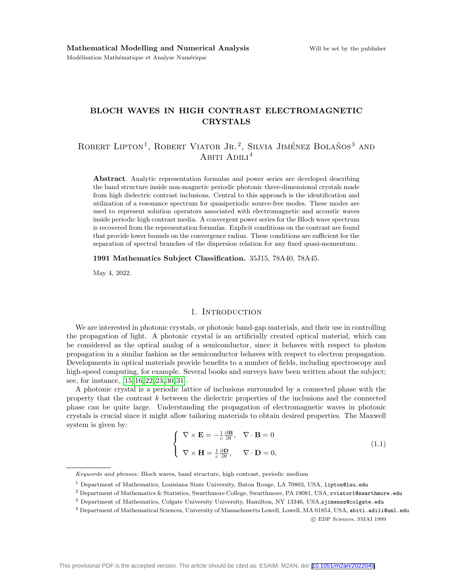# BLOCH WAVES IN HIGH CONTRAST ELECTROMAGNETIC CRYSTALS

# ROBERT LIPTON<sup>1</sup>, ROBERT VIATOR JR.<sup>2</sup>, SILVIA JIMÉNEZ BOLAÑOS<sup>3</sup> AND ABITI ADILI<sup>4</sup>

Abstract. Analytic representation formulas and power series are developed describing the band structure inside non-magnetic periodic photonic three-dimensional crystals made from high dielectric contrast inclusions. Central to this approach is the identification and utilization of a resonance spectrum for quasiperiodic source-free modes. These modes are used to represent solution operators associated with electromagnetic and acoustic waves inside periodic high contrast media. A convergent power series for the Bloch wave spectrum is recovered from the representation formulas. Explicit conditions on the contrast are found that provide lower bounds on the convergence radius. These conditions are sufficient for the separation of spectral branches of the dispersion relation for any fixed quasi-momentum.

1991 Mathematics Subject Classification. 35J15, 78A40, 78A45.

May 4, 2022.

#### 1. INTRODUCTION

We are interested in photonic crystals, or photonic band-gap materials, and their use in controlling the propagation of light. A photonic crystal is an artificially created optical material, which can be considered as the optical analog of a semiconductor, since it behaves with respect to photon propagation in a similar fashion as the semiconductor behaves with respect to electron propagation. Developments in optical materials provide benefits to a number of fields, including spectroscopy and high-speed computing, for example. Several books and surveys have been written about the subject; see, for instance, [\[15,](#page-36-0) [16,](#page-36-1) [22,](#page-36-2) [23,](#page-36-3) [30,](#page-36-4) [31\]](#page-36-5).

A photonic crystal is a periodic lattice of inclusions surrounded by a connected phase with the property that the contrast  $k$  between the dielectric properties of the inclusions and the connected phase can be quite large. Understanding the propagation of electromagnetic waves in photonic crystals is crucial since it might allow tailoring materials to obtain desired properties. The Maxwell system is given by:

<span id="page-0-0"></span>
$$
\begin{cases} \nabla \times \mathbf{E} = -\frac{1}{c} \frac{\partial \mathbf{B}}{\partial t}, \quad \nabla \cdot \mathbf{B} = 0 \\ \nabla \times \mathbf{H} = \frac{1}{c} \frac{\partial \mathbf{D}}{\partial t}, \quad \nabla \cdot \mathbf{D} = 0, \end{cases}
$$
\n(1.1)

Keywords and phrases: Bloch waves, band structure, high contrast, periodic medium

<sup>&</sup>lt;sup>1</sup> Department of Mathematics, Louisiana State University, Baton Rouge, LA 70803, USA, lipton@lsu.edu

<sup>2</sup> Department of Mathematics & Statistics, Swarthmore College, Swarthmore, PA 19081, USA, rviator1@swarthmore.edu

<sup>&</sup>lt;sup>3</sup> Department of Mathematics, Colgate University University, Hamilton, NY 13346, USA,sjimenez@colgate.edu

<sup>4</sup> Department of Mathematical Sciences, University of Massachusetts Lowell, Lowell, MA 01854, USA, abiti.adili@uml.edu c EDP Sciences, SMAI 1999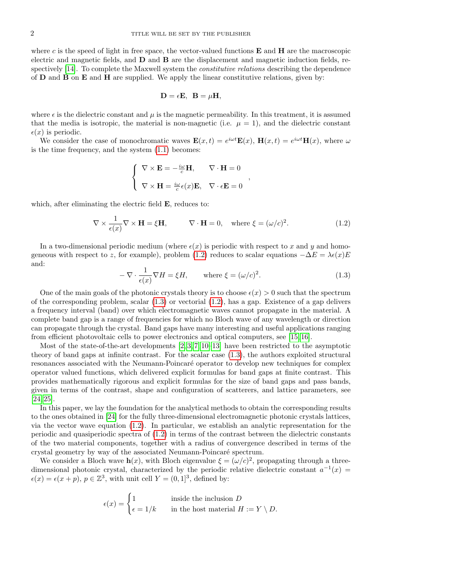where c is the speed of light in free space, the vector-valued functions  $E$  and  $H$  are the macroscopic electric and magnetic fields, and D and B are the displacement and magnetic induction fields, re-spectively [\[14\]](#page-36-6). To complete the Maxwell system the *constitutive relations* describing the dependence of  $D$  and  $B$  on  $E$  and  $H$  are supplied. We apply the linear constitutive relations, given by:

$$
\mathbf{D} = \epsilon \mathbf{E}, \ \mathbf{B} = \mu \mathbf{H},
$$

where  $\epsilon$  is the dielectric constant and  $\mu$  is the magnetic permeability. In this treatment, it is assumed that the media is isotropic, the material is non-magnetic (i.e.  $\mu = 1$ ), and the dielectric constant  $\epsilon(x)$  is periodic.

We consider the case of monochromatic waves  $\mathbf{E}(x,t) = e^{i\omega t}\mathbf{E}(x)$ ,  $\mathbf{H}(x,t) = e^{i\omega t}\mathbf{H}(x)$ , where  $\omega$ is the time frequency, and the system [\(1.1\)](#page-0-0) becomes:

$$
\left\{\begin{array}{ll}\nabla \times \mathbf{E} = -\frac{i\omega}{c} \mathbf{H}, & \nabla \cdot \mathbf{H} = 0 \\
\nabla \times \mathbf{H} = \frac{i\omega}{c} \epsilon(x) \mathbf{E}, & \nabla \cdot \epsilon \mathbf{E} = 0\n\end{array}\right.,
$$

which, after eliminating the electric field **E**, reduces to:

<span id="page-1-0"></span>
$$
\nabla \times \frac{1}{\epsilon(x)} \nabla \times \mathbf{H} = \xi \mathbf{H}, \qquad \nabla \cdot \mathbf{H} = 0, \quad \text{where } \xi = (\omega/c)^2.
$$
 (1.2)

In a two-dimensional periodic medium (where  $\epsilon(x)$  is periodic with respect to x and y and homo-geneous with respect to z, for example), problem [\(1.2\)](#page-1-0) reduces to scalar equations  $-\Delta E = \lambda \epsilon(x)E$ and:

<span id="page-1-1"></span>
$$
-\nabla \cdot \frac{1}{\epsilon(x)} \nabla H = \xi H, \quad \text{where } \xi = (\omega/c)^2.
$$
 (1.3)

One of the main goals of the photonic crystals theory is to choose  $\epsilon(x) > 0$  such that the spectrum of the corresponding problem, scalar  $(1.3)$  or vectorial  $(1.2)$ , has a gap. Existence of a gap delivers a frequency interval (band) over which electromagnetic waves cannot propagate in the material. A complete band gap is a range of frequencies for which no Bloch wave of any wavelength or direction can propagate through the crystal. Band gaps have many interesting and useful applications ranging from efficient photovoltaic cells to power electronics and optical computers, see [\[15,](#page-36-0) [16\]](#page-36-1).

Most of the state-of-the-art developments [\[2,](#page-35-0) [3,](#page-35-1) [7,](#page-35-2) [10–](#page-36-7)[13\]](#page-36-8) have been restricted to the asymptotic theory of band gaps at infinite contrast. For the scalar case [\(1.3\)](#page-1-1), the authors exploited structural resonances associated with the Neumann-Poincaré operator to develop new techniques for complex operator valued functions, which delivered explicit formulas for band gaps at finite contrast. This provides mathematically rigorous and explicit formulas for the size of band gaps and pass bands, given in terms of the contrast, shape and configuration of scatterers, and lattice parameters, see [\[24,](#page-36-9) [25\]](#page-36-10).

In this paper, we lay the foundation for the analytical methods to obtain the corresponding results to the ones obtained in [\[24\]](#page-36-9) for the fully three-dimensional electromagnetic photonic crystals lattices, via the vector wave equation [\(1.2\)](#page-1-0). In particular, we establish an analytic representation for the periodic and quasiperiodic spectra of [\(1.2\)](#page-1-0) in terms of the contrast between the dielectric constants of the two material components, together with a radius of convergence described in terms of the crystal geometry by way of the associated Neumann-Poincaré spectrum.

We consider a Bloch wave  $h(x)$ , with Bloch eigenvalue  $\xi = (\omega/c)^2$ , propagating through a threedimensional photonic crystal, characterized by the periodic relative dielectric constant  $a^{-1}(x)$  $\epsilon(x) = \epsilon(x+p)$ ,  $p \in \mathbb{Z}^3$ , with unit cell  $Y = (0,1]^3$ , defined by:

$$
\epsilon(x) = \begin{cases} 1 & \text{inside the inclusion } D \\ \epsilon = 1/k & \text{in the host material } H := Y \setminus D. \end{cases}
$$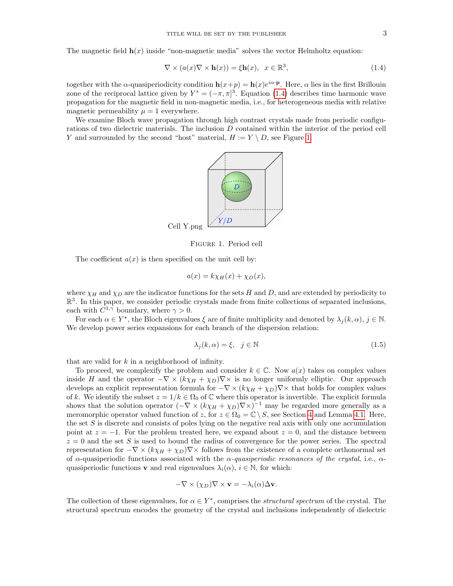The magnetic field  $h(x)$  inside "non-magnetic media" solves the vector Helmholtz equation:

<span id="page-2-0"></span>
$$
\nabla \times (a(x)\nabla \times \mathbf{h}(x)) = \xi \mathbf{h}(x), \quad x \in \mathbb{R}^3,
$$
\n(1.4)

together with the  $\alpha$ -quasiperiodicity condition  $h(x+p) = h(x)e^{i\alpha \cdot p}$ . Here,  $\alpha$  lies in the first Brillouin zone of the reciprocal lattice given by  $Y^* = (-\pi, \pi]^3$ . Equation [\(1.4\)](#page-2-0) describes time harmonic wave propagation for the magnetic field in non-magnetic media, i.e., for heterogeneous media with relative magnetic permeability  $\mu = 1$  everywhere.

We examine Bloch wave propagation through high contrast crystals made from periodic configurations of two dielectric materials. The inclusion  $D$  contained within the interior of the period cell Y and surrounded by the second "host" material,  $H := Y \setminus D$ , see Figure [1.](#page-2-1)



<span id="page-2-1"></span>Figure 1. Period cell

The coefficient  $a(x)$  is then specified on the unit cell by:

$$
a(x) = k\chi_H(x) + \chi_D(x),
$$

where  $\chi_H$  and  $\chi_D$  are the indicator functions for the sets H and D, and are extended by periodicity to  $\mathbb{R}^3$ . In this paper, we consider periodic crystals made from finite collections of separated inclusions, each with  $C^{1,\gamma}$  boundary, where  $\gamma > 0$ .

For each  $\alpha \in Y^*$ , the Bloch eigenvalues  $\xi$  are of finite multiplicity and denoted by  $\lambda_j(k,\alpha), j \in \mathbb{N}$ . We develop power series expansions for each branch of the dispersion relation:

<span id="page-2-2"></span>
$$
\lambda_j(k,\alpha) = \xi, \quad j \in \mathbb{N} \tag{1.5}
$$

that are valid for  $k$  in a neighborhood of infinity.

To proceed, we complexify the problem and consider  $k \in \mathbb{C}$ . Now  $a(x)$  takes on complex values inside H and the operator  $-\nabla \times (k\chi_H + \chi_D)\nabla \times$  is no longer uniformly elliptic. Our approach develops an explicit representation formula for  $-\nabla \times (k\chi_H + \chi_D)\nabla \times$  that holds for complex values of k. We identify the subset  $z = 1/k \in \Omega_0$  of  $\mathbb C$  where this operator is invertible. The explicit formula shows that the solution operator  $(-\nabla \times (k\chi_H + \chi_D)\nabla \times)^{-1}$  may be regarded more generally as a meromorphic operator valued function of z, for  $z \in \Omega_0 = \mathbb{C} \setminus S$ , see Section [4](#page-16-0) and Lemma [4.1.](#page-16-1) Here, the set  $S$  is discrete and consists of poles lying on the negative real axis with only one accumulation point at  $z = -1$ . For the problem treated here, we expand about  $z = 0$ , and the distance between  $z = 0$  and the set S is used to bound the radius of convergence for the power series. The spectral representation for  $-\nabla \times (k\chi_H + \chi_D)\nabla \times$  follows from the existence of a complete orthonormal set of  $\alpha$ -quasiperiodic functions associated with the  $\alpha$ -quasiperiodic resonances of the crystal, i.e.,  $\alpha$ quasiperiodic functions **v** and real eigenvalues  $\lambda_i(\alpha)$ ,  $i \in \mathbb{N}$ , for which:

$$
-\nabla \times (\chi_D) \nabla \times \mathbf{v} = -\lambda_i(\alpha) \Delta \mathbf{v}.
$$

The collection of these eigenvalues, for  $\alpha \in Y^*$ , comprises the *structural spectrum* of the crystal. The structural spectrum encodes the geometry of the crystal and inclusions independently of dielectric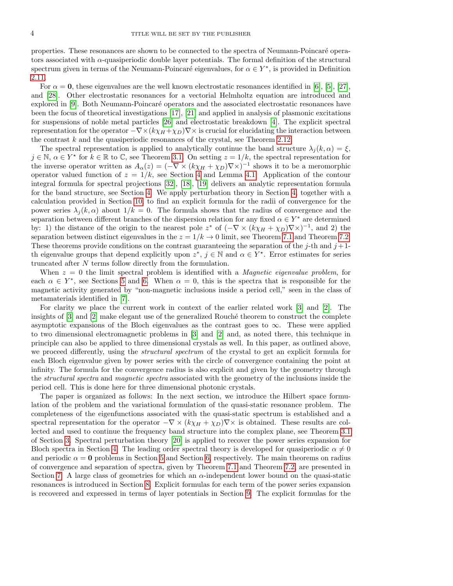properties. These resonances are shown to be connected to the spectra of Neumann-Poincaré operators associated with  $\alpha$ -quasiperiodic double layer potentials. The formal definition of the structural spectrum given in terms of the Neumann-Poincaré eigenvalues, for  $\alpha \in Y^*$ , is provided in Definition [2.11.](#page-13-0)

For  $\alpha = 0$ , these eigenvalues are the well known electrostatic resonances identified in [\[6\]](#page-35-3), [\[5\]](#page-35-4), [\[27\]](#page-36-11), and [\[28\]](#page-36-12). Other electrostatic resonances for a vectorial Helmholtz equation are introduced and explored in [\[9\]](#page-36-13). Both Neumann-Poincaré operators and the associated electrostatic resonances have been the focus of theoretical investigations [\[17\]](#page-36-14), [\[21\]](#page-36-15) and applied in analysis of plasmonic excitations for suspensions of noble metal particles [\[26\]](#page-36-16) and electrostatic breakdown [\[4\]](#page-35-5). The explicit spectral representation for the operator  $-\nabla \times (k\chi_H + \chi_D)\nabla \times$  is crucial for elucidating the interaction between the contrast  $k$  and the quasiperiodic resonances of the crystal, see Theorem [2.12.](#page-14-0)

The spectral representation is applied to analytically continue the band structure  $\lambda_j(k,\alpha) = \xi$ ,  $j \in \mathbb{N}, \alpha \in Y^*$  for  $k \in \mathbb{R}$  to  $\mathbb{C}$ , see Theorem [3.1.](#page-16-2) On setting  $z = 1/k$ , the spectral representation for the inverse operator written as  $A_{\alpha}(z) = (-\nabla \times (k\chi_H + \chi_D)\nabla \times)^{-1}$  shows it to be a meromorphic operator valued function of  $z = 1/k$ , see Section [4](#page-16-0) and Lemma [4.1.](#page-16-1) Application of the contour integral formula for spectral projections [\[32\]](#page-36-17), [\[18\]](#page-36-18), [\[19\]](#page-36-19) delivers an analytic representation formula for the band structure, see Section [4.](#page-16-0) We apply perturbation theory in Section [4,](#page-16-0) together with a calculation provided in Section [10,](#page-27-0) to find an explicit formula for the radii of convergence for the power series  $\lambda_i(k,\alpha)$  about  $1/k = 0$ . The formula shows that the radius of convergence and the separation between different branches of the dispersion relation for any fixed  $\alpha \in Y^*$  are determined by: 1) the distance of the origin to the nearest pole  $z^*$  of  $(-\nabla \times (k\chi_H + \chi_D)\nabla \times)^{-1}$ , and 2) the separation between distinct eigenvalues in the  $z = 1/k \rightarrow 0$  limit, see Theorem [7.1](#page-22-0) and Theorem [7.2.](#page-23-0) These theorems provide conditions on the contrast guaranteeing the separation of the j-th and  $j+1$ th eigenvalue groups that depend explicitly upon  $z^*$ ,  $j \in \mathbb{N}$  and  $\alpha \in Y^*$ . Error estimates for series truncated after N terms follow directly from the formulation.

When  $z = 0$  the limit spectral problem is identified with a *Magnetic eigenvalue problem*, for each  $\alpha \in Y^*$ , see Sections [5](#page-18-0) and [6.](#page-19-0) When  $\alpha = 0$ , this is the spectra that is responsible for the magnetic activity generated by "non-magnetic inclusions inside a period cell," seen in the class of metamaterials identified in [\[7\]](#page-35-2).

For clarity we place the current work in context of the earlier related work [\[3\]](#page-35-1) and [\[2\]](#page-35-0). The insights of  $[3]$  and  $[2]$  make elegant use of the generalized Rouché theorem to construct the complete asymptotic expansions of the Bloch eigenvalues as the contrast goes to  $\infty$ . These were applied to two dimensional electromagnetic problems in [\[3\]](#page-35-1) and [\[2\]](#page-35-0) and, as noted there, this technique in principle can also be applied to three dimensional crystals as well. In this paper, as outlined above, we proceed differently, using the *structural spectrum* of the crystal to get an explicit formula for each Bloch eigenvalue given by power series with the circle of convergence containing the point at infinity. The formula for the convergence radius is also explicit and given by the geometry through the *structural spectra* and *magnetic spectra* associated with the geometry of the inclusions inside the period cell. This is done here for three dimensional photonic crystals.

The paper is organized as follows: In the next section, we introduce the Hilbert space formulation of the problem and the variational formulation of the quasi-static resonance problem. The completeness of the eigenfunctions associated with the quasi-static spectrum is established and a spectral representation for the operator  $-\nabla \times (k\chi_H + \chi_D)\nabla \times$  is obtained. These results are collected and used to continue the frequency band structure into the complex plane, see Theorem [3.1](#page-16-2) of Section [3.](#page-15-0) Spectral perturbation theory [\[20\]](#page-36-20) is applied to recover the power series expansion for Bloch spectra in Section [4.](#page-16-0) The leading order spectral theory is developed for quasiperiodic  $\alpha \neq 0$ and periodic  $\alpha = 0$  problems in Section [5](#page-18-0) and Section [6,](#page-19-0) respectively. The main theorems on radius of convergence and separation of spectra, given by Theorem [7.1](#page-22-0) and Theorem [7.2,](#page-23-0) are presented in Section [7.](#page-22-1) A large class of geometries for which an  $\alpha$ -independent lower bound on the quasi-static resonances is introduced in Section [8.](#page-24-0) Explicit formulas for each term of the power series expansion is recovered and expressed in terms of layer potentials in Section [9.](#page-26-0) The explicit formulas for the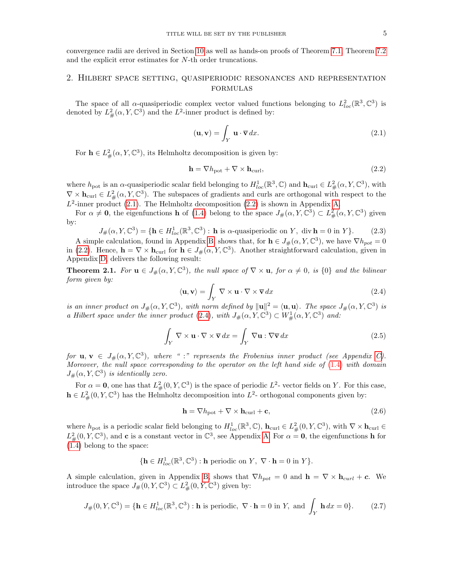convergence radii are derived in Section [10](#page-27-0) as well as hands-on proofs of Theorem [7.1,](#page-22-0) Theorem [7.2](#page-23-0) and the explicit error estimates for N-th order truncations.

## 2. Hilbert space setting, quasiperiodic resonances and representation formulas

The space of all  $\alpha$ -quasiperiodic complex vector valued functions belonging to  $L^2_{loc}(\mathbb{R}^3,\mathbb{C}^3)$  is denoted by  $L^2_{\#}(\alpha, Y, \mathbb{C}^3)$  and the  $L^2$ -inner product is defined by:

<span id="page-4-0"></span>
$$
(\mathbf{u}, \mathbf{v}) = \int_{Y} \mathbf{u} \cdot \overline{\mathbf{v}} \, dx. \tag{2.1}
$$

For  $h \in L^2_{\#}(\alpha, Y, \mathbb{C}^3)$ , its Helmholtz decomposition is given by:

<span id="page-4-1"></span>
$$
\mathbf{h} = \nabla h_{\text{pot}} + \nabla \times \mathbf{h}_{\text{curl}},\tag{2.2}
$$

where  $h_{\text{pot}}$  is an  $\alpha$ -quasiperiodic scalar field belonging to  $H_{loc}^1(\mathbb{R}^3, \mathbb{C})$  and  $\mathbf{h}_{\text{curl}} \in L^2_{\#}(\alpha, Y, \mathbb{C}^3)$ , with  $\nabla \times \mathbf{h}_{\text{curl}} \in L^2_{\#}(\alpha, Y, \mathbb{C}^3)$ . The subspaces of gradients and curls are orthogonal with respect to the  $L^2$ -inner product [\(2.1\)](#page-4-0). The Helmholtz decomposition [\(2.2\)](#page-4-1) is shown in Appendix [A.](#page-32-0)

For  $\alpha \neq \mathbf{0}$ , the eigenfunctions **h** of [\(1.4\)](#page-2-0) belong to the space  $J_{\#}(\alpha, Y, \mathbb{C}^3) \subset L^2_{\#}(\alpha, Y, \mathbb{C}^3)$  given by:

<span id="page-4-4"></span> $J_{\#}(\alpha, Y, \mathbb{C}^3) = \{ \mathbf{h} \in H^1_{loc}(\mathbb{R}^3, \mathbb{C}^3) : \mathbf{h} \text{ is } \alpha\text{-quasiperiodic on } Y, \text{ div } \mathbf{h} = 0 \text{ in } Y \}.$  (2.3) A simple calculation, found in Appendix [B,](#page-33-0) shows that, for  $h \in J_{\#}(\alpha, Y, \mathbb{C}^3)$ , we have  $\nabla h_{pot} = 0$ in [\(2.2\)](#page-4-1). Hence,  $\mathbf{h} = \nabla \times \mathbf{h}_{\text{curl}}$  for  $\mathbf{h} \in J_{\#}(\alpha, Y, \mathbb{C}^3)$ . Another straightforward calculation, given in Appendix [D,](#page-35-6) delivers the following result:

**Theorem 2.1.** For  $\mathbf{u} \in J_{\#}(\alpha, Y, \mathbb{C}^3)$ , the null space of  $\nabla \times \mathbf{u}$ , for  $\alpha \neq 0$ , is  $\{0\}$  and the bilinear form given by:

<span id="page-4-2"></span>
$$
\langle \mathbf{u}, \mathbf{v} \rangle = \int_Y \nabla \times \mathbf{u} \cdot \nabla \times \overline{\mathbf{v}} \, dx \tag{2.4}
$$

is an inner product on  $J_{\#}(\alpha, Y, \mathbb{C}^3)$ , with norm defined by  $\|\mathbf{u}\|^2 = \langle \mathbf{u}, \mathbf{u} \rangle$ . The space  $J_{\#}(\alpha, Y, \mathbb{C}^3)$  is a Hilbert space under the inner product [\(2.4\)](#page-4-2), with  $J_{\#}(\alpha, Y, \mathbb{C}^3) \subset W^1_{\#}(\alpha, Y, \mathbb{C}^3)$  and:

$$
\int_{Y} \nabla \times \mathbf{u} \cdot \nabla \times \overline{\mathbf{v}} dx = \int_{Y} \nabla \mathbf{u} : \nabla \overline{\mathbf{v}} dx
$$
\n(2.5)

for  $u, v \in J_{\#}(\alpha, Y, \mathbb{C}^3)$ , where ":" represents the Frobenius inner product (see Appendix [C\)](#page-34-0). Moreover, the null space corresponding to the operator on the left hand side of  $(1.4)$  with domain  $J_{\#}(\alpha, Y, \mathbb{C}^3)$  is identically zero.

For  $\alpha = 0$ , one has that  $L^2_{\#}(0, Y, \mathbb{C}^3)$  is the space of periodic  $L^2$ - vector fields on Y. For this case,  $h \in L^2_{\#}(0, Y, \mathbb{C}^3)$  has the Helmholtz decomposition into  $L^2$ - orthogonal components given by:

$$
\mathbf{h} = \nabla h_{\text{pot}} + \nabla \times \mathbf{h}_{\text{curl}} + \mathbf{c},\tag{2.6}
$$

where  $h_{\text{pot}}$  is a periodic scalar field belonging to  $H_{loc}^1(\mathbb{R}^3, \mathbb{C})$ ,  $\mathbf{h}_{\text{curl}} \in L^2_{\#}(0, Y, \mathbb{C}^3)$ , with  $\nabla \times \mathbf{h}_{\text{curl}} \in$  $L^2_{\#}(0, Y, \mathbb{C}^3)$ , and **c** is a constant vector in  $\mathbb{C}^3$ , see Appendix [A.](#page-32-0) For  $\alpha = 0$ , the eigenfunctions **h** for [\(1.4\)](#page-2-0) belong to the space:

$$
\{\mathbf h\in H^1_{loc}(\mathbb R^3,\mathbb C^3): \mathbf h \text{ periodic on }Y, \ \nabla\cdot\mathbf h=0 \text{ in }Y\}.
$$

A simple calculation, given in Appendix [B,](#page-33-0) shows that  $\nabla h_{pot} = 0$  and  $\mathbf{h} = \nabla \times \mathbf{h}_{curl} + c$ . We introduce the space  $J_{\#}(0, Y, \mathbb{C}^3) \subset L^2_{\#}(0, Y, \mathbb{C}^3)$  given by:

<span id="page-4-3"></span>
$$
J_{\#}(0, Y, \mathbb{C}^3) = \{ \mathbf{h} \in H_{loc}^1(\mathbb{R}^3, \mathbb{C}^3) : \mathbf{h} \text{ is periodic}, \ \nabla \cdot \mathbf{h} = 0 \text{ in } Y, \text{ and } \int_Y \mathbf{h} \, dx = 0 \}. \tag{2.7}
$$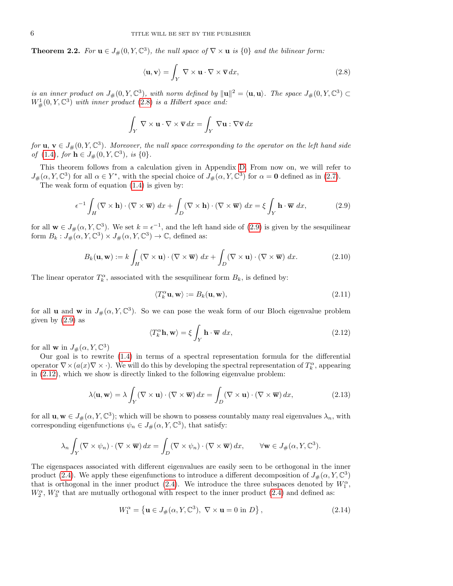**Theorem 2.2.** For  $\mathbf{u} \in J_{\#}(0, Y, \mathbb{C}^3)$ , the null space of  $\nabla \times \mathbf{u}$  is  $\{0\}$  and the bilinear form:

<span id="page-5-0"></span>
$$
\langle \mathbf{u}, \mathbf{v} \rangle = \int_{Y} \nabla \times \mathbf{u} \cdot \nabla \times \overline{\mathbf{v}} \, dx,\tag{2.8}
$$

is an inner product on  $J_\#(0, Y, \mathbb{C}^3)$ , with norm defined by  $\|\mathbf{u}\|^2 = \langle \mathbf{u}, \mathbf{u} \rangle$ . The space  $J_\#(0, Y, \mathbb{C}^3) \subset$  $W^1_{\#}(0, Y, \mathbb{C}^3)$  with inner product  $(2.8)$  is a Hilbert space and:

$$
\int_{Y} \nabla \times \mathbf{u} \cdot \nabla \times \overline{\mathbf{v}} \, dx = \int_{Y} \nabla \mathbf{u} : \nabla \overline{\mathbf{v}} \, dx
$$

for  $\mathbf{u}, \mathbf{v} \in J_{\#}(0, Y, \mathbb{C}^3)$ . Moreover, the null space corresponding to the operator on the left hand side of [\(1.4\)](#page-2-0), for  $\mathbf{h} \in J_{\#}(0, Y, \mathbb{C}^3)$ , is {0}.

This theorem follows from a calculation given in Appendix [D.](#page-35-6) From now on, we will refer to  $J_{\#}(\alpha, Y, \mathbb{C}^3)$  for all  $\alpha \in Y^*$ , with the special choice of  $J_{\#}(\alpha, Y, \mathbb{C}^3)$  for  $\alpha = 0$  defined as in [\(2.7\)](#page-4-3).

The weak form of equation [\(1.4\)](#page-2-0) is given by:

<span id="page-5-1"></span>
$$
\epsilon^{-1} \int_H (\nabla \times \mathbf{h}) \cdot (\nabla \times \overline{\mathbf{w}}) dx + \int_D (\nabla \times \mathbf{h}) \cdot (\nabla \times \overline{\mathbf{w}}) dx = \xi \int_Y \mathbf{h} \cdot \overline{\mathbf{w}} dx,
$$
 (2.9)

for all  $\mathbf{w} \in J_{\#}(\alpha, Y, \mathbb{C}^3)$ . We set  $k = \epsilon^{-1}$ , and the left hand side of [\(2.9\)](#page-5-1) is given by the sesquilinear form  $B_k: J_\#(\alpha, Y, \mathbb{C}^3) \times J_\#(\alpha, Y, \mathbb{C}^3) \to \mathbb{C}$ , defined as:

<span id="page-5-4"></span>
$$
B_k(\mathbf{u}, \mathbf{w}) := k \int_H (\nabla \times \mathbf{u}) \cdot (\nabla \times \overline{\mathbf{w}}) dx + \int_D (\nabla \times \mathbf{u}) \cdot (\nabla \times \overline{\mathbf{w}}) dx.
$$
 (2.10)

The linear operator  $T_k^{\alpha}$ , associated with the sesquilinear form  $B_k$ , is defined by:

<span id="page-5-5"></span>
$$
\langle T_k^{\alpha} \mathbf{u}, \mathbf{w} \rangle := B_k(\mathbf{u}, \mathbf{w}), \tag{2.11}
$$

for all **u** and **w** in  $J_{\#}(\alpha, Y, \mathbb{C}^3)$ . So we can pose the weak form of our Bloch eigenvalue problem given by  $(2.9)$  as

<span id="page-5-2"></span>
$$
\langle T_k^{\alpha} \mathbf{h}, \mathbf{w} \rangle = \xi \int_Y \mathbf{h} \cdot \overline{\mathbf{w}} \, dx,\tag{2.12}
$$

for all **w** in  $J_{\#}(\alpha, Y, \mathbb{C}^3)$ 

Our goal is to rewrite [\(1.4\)](#page-2-0) in terms of a spectral representation formula for the differential operator  $\nabla \times (a(x)\nabla \times \cdot)$ . We will do this by developing the spectral representation of  $T_k^{\alpha}$ , appearing in [\(2.12\)](#page-5-2), which we show is directly linked to the following eigenvalue problem:

<span id="page-5-3"></span>
$$
\lambda \langle \mathbf{u}, \mathbf{w} \rangle = \lambda \int_Y (\nabla \times \mathbf{u}) \cdot (\nabla \times \overline{\mathbf{w}}) dx = \int_D (\nabla \times \mathbf{u}) \cdot (\nabla \times \overline{\mathbf{w}}) dx,
$$
 (2.13)

for all  $\mathbf{u}, \mathbf{w} \in J_{\#}(\alpha, Y, \mathbb{C}^3)$ ; which will be shown to possess countably many real eigenvalues  $\lambda_n$ , with corresponding eigenfunctions  $\psi_n \in J_{\#}(\alpha, Y, \mathbb{C}^3)$ , that satisfy:

$$
\lambda_n \int_Y (\nabla \times \psi_n) \cdot (\nabla \times \overline{\mathbf{w}}) dx = \int_D (\nabla \times \psi_n) \cdot (\nabla \times \overline{\mathbf{w}}) dx, \qquad \forall \mathbf{w} \in J_\#(\alpha, Y, \mathbb{C}^3).
$$

The eigenspaces associated with different eigenvalues are easily seen to be orthogonal in the inner product [\(2.4\)](#page-4-2). We apply these eigenfunctions to introduce a different decomposition of  $J_{\#}(\alpha, Y, \mathbb{C}^3)$ that is orthogonal in the inner product [\(2.4\)](#page-4-2). We introduce the three subspaces denoted by  $W_1^{\alpha}$ ,  $W_2^{\alpha}$ ,  $W_3^{\alpha}$  that are mutually orthogonal with respect to the inner product [\(2.4\)](#page-4-2) and defined as:

<span id="page-5-6"></span>
$$
W_1^{\alpha} = \left\{ \mathbf{u} \in J_{\#}(\alpha, Y, \mathbb{C}^3), \ \nabla \times \mathbf{u} = 0 \text{ in } D \right\},\tag{2.14}
$$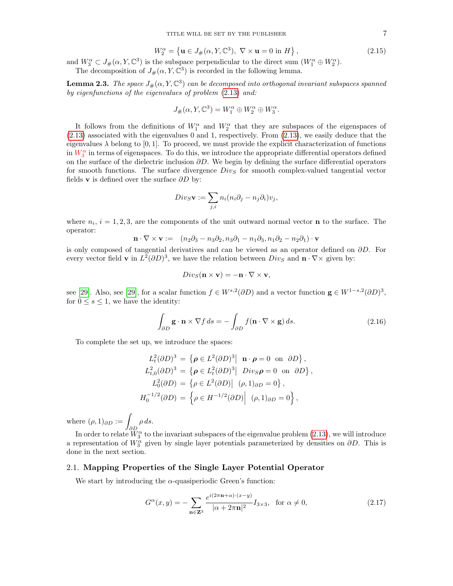<span id="page-6-1"></span>
$$
W_2^{\alpha} = \left\{ \mathbf{u} \in J_{\#}(\alpha, Y, \mathbb{C}^3), \ \nabla \times \mathbf{u} = 0 \text{ in } H \right\},\tag{2.15}
$$

and  $W_3^{\alpha} \subset J_{\#}(\alpha, Y, \mathbb{C}^3)$  is the subspace perpendicular to the direct sum  $(W_1^{\alpha} \oplus W_2^{\alpha})$ . The decomposition of  $J_{\#}(\alpha, Y, \mathbb{C}^3)$  is recorded in the following lemma.

**Lemma 2.3.** The space  $J_*(\alpha, Y, \mathbb{C}^3)$  can be decomposed into orthogonal invariant subspaces spanned by eigenfunctions of the eigenvalues of problem [\(2.13\)](#page-5-3) and:

$$
J_{\#}(\alpha, Y, \mathbb{C}^3) = W_1^{\alpha} \oplus W_2^{\alpha} \oplus W_3^{\alpha}.
$$

It follows from the definitions of  $W_1^{\alpha}$  and  $W_2^{\alpha}$  that they are subspaces of the eigenspaces of [\(2.13\)](#page-5-3) associated with the eigenvalues 0 and 1, respectively. From [\(2.13\)](#page-5-3), we easily deduce that the eigenvalues  $\lambda$  belong to [0, 1]. To proceed, we must provide the explicit characterization of functions in  $W_3^{\alpha}$  in terms of eigenspaces. To do this, we introduce the appropriate differential operators defined on the surface of the dielectric inclusion  $\partial D$ . We begin by defining the surface differential operators for smooth functions. The surface divergence  $Div_S$  for smooth complex-valued tangential vector fields **v** is defined over the surface  $\partial D$  by:

$$
Div_S \mathbf{v} := \sum_{j,i} n_i (n_i \partial_j - n_j \partial_i) v_j,
$$

where  $n_i$ ,  $i = 1, 2, 3$ , are the components of the unit outward normal vector **n** to the surface. The operator:

$$
\mathbf{n} \cdot \nabla \times \mathbf{v} := (n_2 \partial_3 - n_3 \partial_2, n_3 \partial_1 - n_1 \partial_3, n_1 \partial_2 - n_2 \partial_1) \cdot \mathbf{v}
$$

is only composed of tangential derivatives and can be viewed as an operator defined on  $\partial D$ . For every vector field **v** in  $L^2(\partial D)^3$ , we have the relation between  $Div_S$  and  $\mathbf{n} \cdot \nabla \times$  given by:

$$
Div_S(\mathbf{n} \times \mathbf{v}) = -\mathbf{n} \cdot \nabla \times \mathbf{v},
$$

see [\[29\]](#page-36-21). Also, see [29], for a scalar function  $f \in W^{s,2}(\partial D)$  and a vector function  $\mathbf{g} \in W^{1-s,2}(\partial D)^3$ , for  $0 \leq s \leq 1$ , we have the identity:

$$
\int_{\partial D} \mathbf{g} \cdot \mathbf{n} \times \nabla f \, ds = -\int_{\partial D} f(\mathbf{n} \cdot \nabla \times \mathbf{g}) \, ds. \tag{2.16}
$$

<span id="page-6-0"></span>To complete the set up, we introduce the spaces:

$$
L_t^2(\partial D)^3 = \left\{ \rho \in L^2(\partial D)^3 \middle| \mathbf{n} \cdot \rho = 0 \text{ on } \partial D \right\},
$$
  
\n
$$
L_{t,0}^2(\partial D)^3 = \left\{ \rho \in L_t^2(\partial D)^3 \middle| \text{Div}_S \rho = 0 \text{ on } \partial D \right\},
$$
  
\n
$$
L_0^2(\partial D) = \left\{ \rho \in L^2(\partial D) \middle| (\rho, 1)_{\partial D} = 0 \right\},
$$
  
\n
$$
H_0^{-1/2}(\partial D) = \left\{ \rho \in H^{-1/2}(\partial D) \middle| (\rho, 1)_{\partial D} = 0 \right\},
$$

where  $(\rho, 1)_{\partial D} := \int_{\partial D}$  $\rho ds.$ 

In order to relate  $\widetilde{W}^\alpha_3$  to the invariant subspaces of the eigenvalue problem [\(2.13\)](#page-5-3), we will introduce a representation of  $W_3^{\alpha}$  given by single layer potentials parameterized by densities on  $\partial D$ . This is done in the next section.

### 2.1. Mapping Properties of the Single Layer Potential Operator

We start by introducing the  $\alpha$ -quasiperiodic Green's function:

<span id="page-6-2"></span>
$$
G^{\alpha}(x,y) = -\sum_{\mathbf{n}\in\mathbf{Z}^3} \frac{e^{i(2\pi\mathbf{n}+\alpha)\cdot(x-y)}}{|\alpha+2\pi\mathbf{n}|^2} I_{3\times 3}, \text{ for } \alpha \neq 0,
$$
 (2.17)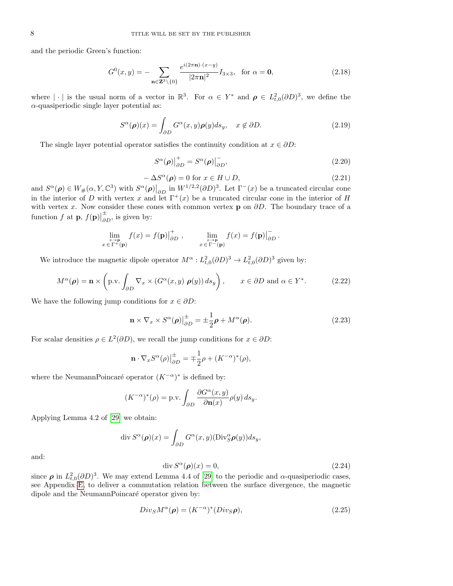and the periodic Green's function:

<span id="page-7-6"></span>
$$
G^{0}(x,y) = -\sum_{\mathbf{n} \in \mathbf{Z}^{3} \setminus \{0\}} \frac{e^{i(2\pi \mathbf{n}) \cdot (x-y)}}{|2\pi \mathbf{n}|^{2}} I_{3 \times 3}, \text{ for } \alpha = \mathbf{0},
$$
\n(2.18)

where  $|\cdot|$  is the usual norm of a vector in  $\mathbb{R}^3$ . For  $\alpha \in Y^*$  and  $\rho \in L^2_{t,0}(\partial D)^3$ , we define the  $\alpha$ -quasiperiodic single layer potential as:

$$
S^{\alpha}(\rho)(x) = \int_{\partial D} G^{\alpha}(x, y) \rho(y) ds_y, \quad x \notin \partial D.
$$
 (2.19)

<span id="page-7-0"></span>The single layer potential operator satisfies the continuity condition at  $x \in \partial D$ :

<span id="page-7-1"></span>
$$
S^{\alpha}(\rho)|_{\partial D}^{+} = S^{\alpha}(\rho)|_{\partial D}^{-}, \qquad (2.20)
$$

<span id="page-7-3"></span>
$$
-\Delta S^{\alpha}(\rho) = 0 \text{ for } x \in H \cup D,
$$
\n(2.21)

and  $S^{\alpha}(\boldsymbol{\rho}) \in W_{\#}(\alpha, Y, \mathbb{C}^3)$  with  $S^{\alpha}(\boldsymbol{\rho})|_{\partial D}$  in  $W^{1/2,2}(\partial D)^3$ . Let  $\Gamma^-(x)$  be a truncated circular cone in the interior of D with vertex x and let  $\Gamma^+(x)$  be a truncated circular cone in the interior of H with vertex x. Now consider these cones with common vertex **p** on  $\partial D$ . The boundary trace of a function  $f$  at  $\mathbf{p}, f(\mathbf{p})$  $\frac{\pm}{\partial D}$ , is given by:

$$
\lim_{\substack{x \to \mathbf{p} \\ x \in \Gamma^+(\mathbf{p})}} f(x) = f(\mathbf{p}) \Big|_{\partial D}^+, \qquad \lim_{\substack{x \to \mathbf{p} \\ x \in \Gamma^-(\mathbf{p})}} f(x) = f(\mathbf{p}) \Big|_{\partial D}^-.
$$

We introduce the magnetic dipole operator  $M^{\alpha}: L^2_{t,0}(\partial D)^3 \to L^2_{t,0}(\partial D)^3$  given by:

$$
M^{\alpha}(\rho) = \mathbf{n} \times \left( \text{p.v.} \int_{\partial D} \nabla_x \times (G^{\alpha}(x, y) \; \rho(y)) \, ds_y \right), \qquad x \in \partial D \text{ and } \alpha \in Y^*.
$$
 (2.22)

We have the following jump conditions for  $x \in \partial D$ :

<span id="page-7-4"></span>
$$
\mathbf{n} \times \nabla_x \times S^{\alpha}(\boldsymbol{\rho}) \Big|_{\partial D}^{\pm} = \pm \frac{1}{2} \boldsymbol{\rho} + M^{\alpha}(\boldsymbol{\rho}). \tag{2.23}
$$

For scalar densities  $\rho \in L^2(\partial D)$ , we recall the jump conditions for  $x \in \partial D$ :

$$
\mathbf{n} \cdot \nabla_x S^{\alpha}(\rho) \Big|_{\partial D}^{\pm} = \mp \frac{1}{2} \rho + (K^{-\alpha})^*(\rho),
$$

where the NeumannPoincaré operator  $(K^{-\alpha})^*$  is defined by:

$$
(K^{-\alpha})^*(\rho) = \text{p.v.} \int_{\partial D} \frac{\partial G^{\alpha}(x, y)}{\partial \mathbf{n}(x)} \rho(y) \, ds_y.
$$

Applying Lemma 4.2 of [\[29\]](#page-36-21) we obtain:

$$
\operatorname{div} S^{\alpha}(\boldsymbol{\rho})(x) = \int_{\partial D} G^{\alpha}(x, y) (\operatorname{Div}_{S}^{\alpha} \boldsymbol{\rho}(y)) ds_{y},
$$

and:

<span id="page-7-2"></span>
$$
\operatorname{div} S^{\alpha}(\rho)(x) = 0, \tag{2.24}
$$

since  $\rho$  in  $L^2_{t,0}(\partial D)^3$ . We may extend Lemma 4.4 of [\[29\]](#page-36-21) to the periodic and  $\alpha$ -quasiperiodic cases, see Appendix [E,](#page-35-7) to deliver a commutation relation between the surface divergence, the magnetic dipole and the NeumannPoincaré operator given by:

<span id="page-7-5"></span>
$$
Div_S M^{\alpha}(\rho) = (K^{-\alpha})^* (Div_S \rho), \qquad (2.25)
$$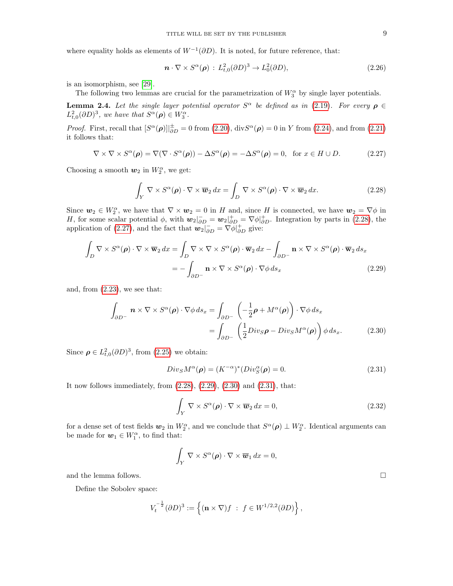where equality holds as elements of  $W^{-1}(\partial D)$ . It is noted, for future reference, that:

<span id="page-8-5"></span>
$$
\mathbf{n} \cdot \nabla \times S^{\alpha}(\boldsymbol{\rho}) : L^2_{t,0}(\partial D)^3 \to L^2_0(\partial D), \tag{2.26}
$$

is an isomorphism, see [\[29\]](#page-36-21).

The following two lemmas are crucial for the parametrization of  $W_3^{\alpha}$  by single layer potentials.

**Lemma 2.4.** Let the single layer potential operator  $S^{\alpha}$  be defined as in [\(2.19\)](#page-7-0). For every  $\rho \in$  $L^2_{t,0}(\partial D)^3$ , we have that  $S^{\alpha}(\rho) \in W_3^{\alpha}$ .

*Proof.* First, recall that  $[S^{\alpha}(\rho)]|_{\partial D}^{\pm} = 0$  from [\(2.20\)](#page-7-1),  $\text{div}S^{\alpha}(\rho) = 0$  in Y from [\(2.24\)](#page-7-2), and from [\(2.21\)](#page-7-3) it follows that:

<span id="page-8-1"></span>
$$
\nabla \times \nabla \times S^{\alpha}(\boldsymbol{\rho}) = \nabla (\nabla \cdot S^{\alpha}(\boldsymbol{\rho})) - \Delta S^{\alpha}(\boldsymbol{\rho}) = -\Delta S^{\alpha}(\boldsymbol{\rho}) = 0, \text{ for } x \in H \cup D.
$$
 (2.27)

Choosing a smooth  $w_2$  in  $W_2^{\alpha}$ , we get:

<span id="page-8-0"></span>
$$
\int_{Y} \nabla \times S^{\alpha}(\boldsymbol{\rho}) \cdot \nabla \times \overline{\boldsymbol{w}}_{2} dx = \int_{D} \nabla \times S^{\alpha}(\boldsymbol{\rho}) \cdot \nabla \times \overline{\boldsymbol{w}}_{2} dx.
$$
\n(2.28)

Since  $w_2 \in W_2^{\alpha}$ , we have that  $\nabla \times w_2 = 0$  in H and, since H is connected, we have  $w_2 = \nabla \phi$  in H, for some scalar potential  $\phi$ , with  $\mathbf{w}_2|_{\partial D}^2 = \mathbf{w}_2|_{\partial D}^2 = \nabla \phi|_{\partial D}^2$ . Integration by parts in [\(2.28\)](#page-8-0), the application of [\(2.27\)](#page-8-1), and the fact that  $w_2|_{\partial D}^{\dagger} = \nabla \phi|_{\partial D}^{\dagger}$  give:

$$
\int_{D} \nabla \times S^{\alpha}(\boldsymbol{\rho}) \cdot \nabla \times \overline{\mathbf{w}}_2 dx = \int_{D} \nabla \times \nabla \times S^{\alpha}(\boldsymbol{\rho}) \cdot \overline{\mathbf{w}}_2 dx - \int_{\partial D^{-}} \mathbf{n} \times \nabla \times S^{\alpha}(\boldsymbol{\rho}) \cdot \overline{\mathbf{w}}_2 ds_x
$$
\n
$$
= - \int_{\partial D^{-}} \mathbf{n} \times \nabla \times S^{\alpha}(\boldsymbol{\rho}) \cdot \nabla \phi ds_x
$$
\n(2.29)

and, from  $(2.23)$ , we see that:

$$
\int_{\partial D^{-}} \mathbf{n} \times \nabla \times S^{\alpha}(\boldsymbol{\rho}) \cdot \nabla \phi \, ds_x = \int_{\partial D^{-}} \left( -\frac{1}{2} \boldsymbol{\rho} + M^{\alpha}(\boldsymbol{\rho}) \right) \cdot \nabla \phi \, ds_x
$$

$$
= \int_{\partial D^{-}} \left( \frac{1}{2} Div_{S} \boldsymbol{\rho} - Div_{S} M^{\alpha}(\boldsymbol{\rho}) \right) \phi \, ds_x. \tag{2.30}
$$

Since  $\rho \in L^2_{t,0}(\partial D)^3$ , from [\(2.25\)](#page-7-5) we obtain:

<span id="page-8-4"></span>
$$
Div_S M^{\alpha}(\rho) = (K^{-\alpha})^* (Div_S^{\alpha}(\rho) = 0.
$$
\n(2.31)

It now follows immediately, from  $(2.28)$ ,  $(2.29)$ ,  $(2.30)$  and  $(2.31)$ , that:

$$
\int_{Y} \nabla \times S^{\alpha}(\rho) \cdot \nabla \times \overline{\boldsymbol{w}}_2 dx = 0,
$$
\n(2.32)

for a dense set of test fields  $w_2$  in  $W_2^{\alpha}$ , and we conclude that  $S^{\alpha}(\rho) \perp W_2^{\alpha}$ . Identical arguments can be made for  $w_1 \in W_1^{\alpha}$ , to find that:

$$
\int_Y \nabla \times S^{\alpha}(\rho) \cdot \nabla \times \overline{\boldsymbol{w}}_1 dx = 0,
$$
 and the lemma follows.  $\Box$ 

Define the Sobolev space:

$$
V_t^{-\frac{1}{2}}(\partial D)^3 := \left\{ (\mathbf{n} \times \nabla) f : f \in W^{1/2,2}(\partial D) \right\},\
$$

<span id="page-8-3"></span><span id="page-8-2"></span>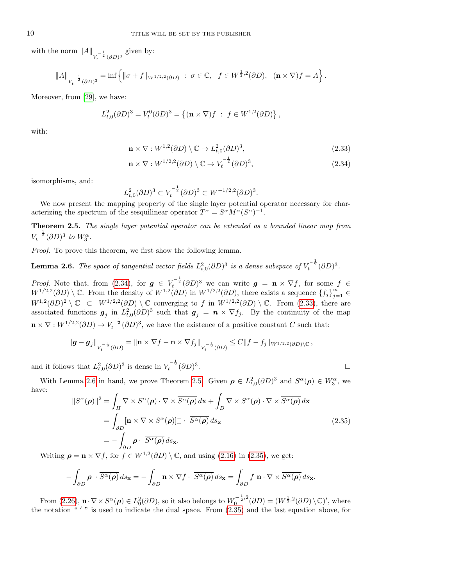with the norm  $||A||_{V_t^{-\frac{1}{2}}(\partial D)^3}$  given by:

$$
||A||_{V_t^{-\frac{1}{2}}(\partial D)^3} = \inf \left\{ ||\sigma + f||_{W^{1/2,2}(\partial D)} : \sigma \in \mathbb{C}, f \in W^{\frac{1}{2},2}(\partial D), (\mathbf{n} \times \nabla)f = A \right\}.
$$

Moreover, from [\[29\]](#page-36-21), we have:

$$
L_{t,0}^{2}(\partial D)^{3} = V_{t}^{0}(\partial D)^{3} = \{ (\mathbf{n} \times \nabla)f : f \in W^{1,2}(\partial D) \},
$$

with:

<span id="page-9-1"></span>
$$
\mathbf{n} \times \nabla : W^{1,2}(\partial D) \setminus \mathbb{C} \to L^2_{t,0}(\partial D)^3,
$$
\n(2.33)

<span id="page-9-0"></span>
$$
\mathbf{n} \times \nabla : W^{1/2,2}(\partial D) \setminus \mathbb{C} \to V_t^{-\frac{1}{2}}(\partial D)^3,\tag{2.34}
$$

isomorphisms, and:

$$
L^2_{t,0}(\partial D)^3 \subset V_t^{-\frac{1}{2}}(\partial D)^3 \subset W^{-1/2,2}(\partial D)^3.
$$

We now present the mapping property of the single layer potential operator necessary for characterizing the spectrum of the sesquilinear operator  $T^{\alpha} = S^{\alpha} M^{\alpha} (S^{\alpha})^{-1}$ .

<span id="page-9-3"></span>Theorem 2.5. The single layer potential operator can be extended as a bounded linear map from  $V_t^{-\frac{1}{2}} (\partial D)^3$  to  $W_3^{\alpha}$ .

Proof. To prove this theorem, we first show the following lemma.

<span id="page-9-2"></span>**Lemma 2.6.** The space of tangential vector fields  $L^2_{t,0}(\partial D)^3$  is a dense subspace of  $V_t^{-\frac{1}{2}}(\partial D)^3$ .

*Proof.* Note that, from [\(2.34\)](#page-9-0), for  $g \in V_t^{-\frac{1}{2}}(\partial D)^3$  we can write  $g = \mathbf{n} \times \nabla f$ , for some  $f \in$  $W^{1/2,2}(\partial D) \setminus \mathbb{C}$ . From the density of  $W^{1,2}(\partial D)$  in  $W^{1/2,2}(\partial D)$ , there exists a sequence  $\{f_j\}_{j=1}^{\infty} \in$  $W^{1,2}(\partial D)^2 \setminus \mathbb{C}$   $\subset W^{1/2,2}(\partial D) \setminus \mathbb{C}$  converging to f in  $W^{1/2,2}(\partial D) \setminus \mathbb{C}$ . From [\(2.33\)](#page-9-1), there are associated functions  $g_j$  in  $L^2_{t,0}(\partial D)^3$  such that  $g_j = n \times \nabla f_j$ . By the continuity of the map  $\mathbf{n} \times \nabla : W^{1/2,2}(\partial D) \to V_t^{-\frac{1}{2}}(\partial D)^3$ , we have the existence of a positive constant C such that:

$$
\|\boldsymbol{g}-\boldsymbol{g}_j\|_{V_t^{-\frac{1}{2}}(\partial D)}=\|\mathbf{n}\times\nabla f-\mathbf{n}\times\nabla f_j\|_{V_t^{-\frac{1}{2}}(\partial D)}\leq C\|f-f_j\|_{W^{1/2,2}(\partial D)\setminus\mathbb{C}},
$$

and it follows that  $L^2_{t,0}(\partial D)^3$  is dense in  $V_t^{-\frac{1}{2}}(\partial D)^3$ . В последните поставите на селото на селото на селото на селото на селото на селото на селото на селото на се<br>Селото на селото на селото на селото на селото на селото на селото на селото на селото на селото на селото на

With Lemma [2.6](#page-9-2) in hand, we prove Theorem [2.5.](#page-9-3) Given  $\rho \in L^2_{t,0}(\partial D)^3$  and  $S^{\alpha}(\rho) \in W_3^{\alpha}$ , we have:

<span id="page-9-4"></span>
$$
||S^{\alpha}(\rho)||^{2} = \int_{H} \nabla \times S^{\alpha}(\rho) \cdot \nabla \times \overline{S^{\alpha}(\rho)} dx + \int_{D} \nabla \times S^{\alpha}(\rho) \cdot \nabla \times \overline{S^{\alpha}(\rho)} dx
$$
  
= 
$$
\int_{\partial D} [\mathbf{n} \times \nabla \times S^{\alpha}(\rho)]_{+}^{-} \cdot \overline{S^{\alpha}(\rho)} ds_{\mathbf{x}}
$$
  
= 
$$
-\int_{\partial D} \rho \cdot \overline{S^{\alpha}(\rho)} ds_{\mathbf{x}}.
$$
 (2.35)

Writing  $\rho = \mathbf{n} \times \nabla f$ , for  $f \in W^{1,2}(\partial D) \setminus \mathbb{C}$ , and using [\(2.16\)](#page-6-0) in [\(2.35\)](#page-9-4), we get:

$$
-\int_{\partial D} \boldsymbol{\rho} \cdot \overline{S^{\alpha}(\boldsymbol{\rho})} ds_{\mathbf{x}} = -\int_{\partial D} \mathbf{n} \times \nabla f \cdot \overline{S^{\alpha}(\boldsymbol{\rho})} ds_{\mathbf{x}} = \int_{\partial D} f \mathbf{n} \cdot \nabla \times \overline{S^{\alpha}(\boldsymbol{\rho})} ds_{\mathbf{x}}.
$$

From [\(2.26\)](#page-8-5),  $\mathbf{n} \cdot \nabla \times S^{\alpha}(\boldsymbol{\rho}) \in L_0^2(\partial D)$ , so it also belongs to  $W_0^{-\frac{1}{2},2}$  $\int_0^{-\frac{1}{2},2} (\partial D) = (W^{\frac{1}{2},2} (\partial D) \setminus \mathbb{C})'$ , where the notation  $\frac{u}{v}$  " is used to indicate the dual space. From  $(2.35)$  and the last equation above, for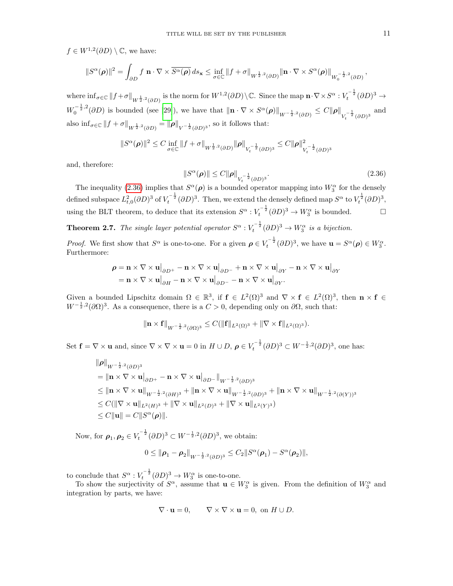$f \in W^{1,2}(\partial D) \setminus \mathbb{C}$ , we have:

$$
||S^{\alpha}(\boldsymbol{\rho})||^{2} = \int_{\partial D} f \mathbf{n} \cdot \nabla \times \overline{S^{\alpha}(\boldsymbol{\rho})} ds_{\mathbf{x}} \leq \inf_{\sigma \in \mathbb{C}} ||f + \sigma||_{W^{\frac{1}{2},2}(\partial D)} ||\mathbf{n} \cdot \nabla \times S^{\alpha}(\boldsymbol{\rho})||_{W_{0}^{-\frac{1}{2},2}(\partial D)},
$$

where  $\inf_{\sigma \in \mathbb{C}} ||f + \sigma||_{W^{\frac{1}{2},2}(\partial D)}$  is the norm for  $W^{1,2}(\partial D) \setminus \mathbb{C}$ . Since the map  $\mathbf{n} \cdot \nabla \times S^{\alpha}: V_t^{-\frac{1}{2}}(\partial D)^3 \to$  $W_0^{-\frac{1}{2},2}$  $\int_0^{-\frac{1}{2},2}(\partial D)$  is bounded (see [\[29\]](#page-36-21)), we have that  $\|\mathbf{n}\cdot\nabla\times S^{\alpha}(\boldsymbol{\rho})\|_{W^{-\frac{1}{2},2}(\partial D)} \leq C\|\boldsymbol{\rho}\|_{V_t^{-\frac{1}{2}}(\partial D)^3}$  and also  $\inf_{\sigma \in \mathbb{C}} ||f + \sigma||_{W^{\frac{1}{2},2}(\partial D)} = ||\boldsymbol{\rho}||_{V^{-\frac{1}{2}}(\partial D)^{3}},$  so it follows that:

$$
||S^{\alpha}(\rho)||^{2} \leq C \inf_{\sigma \in \mathbb{C}} ||f + \sigma||_{W^{\frac{1}{2},2}(\partial D)} ||\rho||_{V_{t}^{-\frac{1}{2}}(\partial D)^{3}} \leq C ||\rho||^{2}_{V_{t}^{-\frac{1}{2}}(\partial D)^{3}}
$$

and, therefore:

<span id="page-10-0"></span>
$$
||S^{\alpha}(\boldsymbol{\rho})|| \le C ||\boldsymbol{\rho}||_{V_t^{-\frac{1}{2}}(\partial D)^3}.
$$
\n(2.36)

The inequality [\(2.36\)](#page-10-0) implies that  $S^{\alpha}(\rho)$  is a bounded operator mapping into  $W_3^{\alpha}$  for the densely defined subspace  $L^2_{t,0}(\partial D)^3$  of  $V_t^{-\frac{1}{2}}(\partial D)^3$ . Then, we extend the densely defined map  $S^{\alpha}$  to  $V_t^{\frac{1}{2}}(\partial D)^3$ , using the BLT theorem, to deduce that its extension  $S^{\alpha}: V_t^{-\frac{1}{2}}(\partial D)^3 \to W_3^{\alpha}$  is bounded.

<span id="page-10-1"></span>**Theorem 2.7.** The single layer potential operator  $S^{\alpha}: V_t^{-\frac{1}{2}}(\partial D)^3 \to W_3^{\alpha}$  is a bijection.

*Proof.* We first show that  $S^{\alpha}$  is one-to-one. For a given  $\rho \in V_t^{-\frac{1}{2}}(\partial D)^3$ , we have  $\mathbf{u} = S^{\alpha}(\rho) \in W_3^{\alpha}$ . Furthermore:

$$
\rho = \mathbf{n} \times \nabla \times \mathbf{u} \big|_{\partial D^{+}} - \mathbf{n} \times \nabla \times \mathbf{u} \big|_{\partial D^{-}} + \mathbf{n} \times \nabla \times \mathbf{u} \big|_{\partial Y} - \mathbf{n} \times \nabla \times \mathbf{u} \big|_{\partial Y}
$$
  
=  $\mathbf{n} \times \nabla \times \mathbf{u} \big|_{\partial H} - \mathbf{n} \times \nabla \times \mathbf{u} \big|_{\partial D^{-}} - \mathbf{n} \times \nabla \times \mathbf{u} \big|_{\partial Y}.$ 

Given a bounded Lipschitz domain  $\Omega \in \mathbb{R}^3$ , if  $f \in L^2(\Omega)^3$  and  $\nabla \times f \in L^2(\Omega)^3$ , then  $\mathbf{n} \times \mathbf{f} \in$  $W^{-\frac{1}{2},2}(\partial\Omega)^3$ . As a consequence, there is a  $C>0$ , depending only on  $\partial\Omega$ , such that:

$$
\|\mathbf{n}\times\mathbf{f}\|_{W^{-\frac{1}{2},2}(\partial\Omega)^3}\leq C(\|\mathbf{f}\|_{L^2(\Omega)^3}+\|\nabla\times\mathbf{f}\|_{L^2(\Omega)^3}).
$$

Set  $\mathbf{f} = \nabla \times \mathbf{u}$  and, since  $\nabla \times \nabla \times \mathbf{u} = 0$  in  $H \cup D$ ,  $\rho \in V_t^{-\frac{1}{2}}(\partial D)^3 \subset W^{-\frac{1}{2},2}(\partial D)^3$ , one has:

$$
\|\rho\|_{W^{-\frac{1}{2},2}(\partial D)^3}
$$
\n
$$
= \|\mathbf{n} \times \nabla \times \mathbf{u}\|_{\partial D^{+}} - \mathbf{n} \times \nabla \times \mathbf{u}\|_{\partial D^{-}}\|_{W^{-\frac{1}{2},2}(\partial D)^3}
$$
\n
$$
\leq \|\mathbf{n} \times \nabla \times \mathbf{u}\|_{W^{-\frac{1}{2},2}(\partial H)^3} + \|\mathbf{n} \times \nabla \times \mathbf{u}\|_{W^{-\frac{1}{2},2}(\partial D)^3} + \|\mathbf{n} \times \nabla \times \mathbf{u}\|_{W^{-\frac{1}{2},2}(\partial (Y))^3}
$$
\n
$$
\leq C(\|\nabla \times \mathbf{u}\|_{L^2(H)^3} + \|\nabla \times \mathbf{u}\|_{L^2(D)^3} + \|\nabla \times \mathbf{u}\|_{L^2(Y)^3})
$$
\n
$$
\leq C\|\mathbf{u}\| = C\|S^{\alpha}(\rho)\|.
$$

Now, for  $\rho_1, \rho_2 \in V_t^{-\frac{1}{2}} (\partial D)^3 \subset W^{-\frac{1}{2},2} (\partial D)^3$ , we obtain:

$$
0\leq\left\Vert \boldsymbol{\rho}_{1}-\boldsymbol{\rho}_{2}\right\Vert _{W^{-\frac{1}{2},2}(\partial D)^{3}}\leq C_{2}\Vert S^{\alpha}(\boldsymbol{\rho}_{1})-S^{\alpha}(\boldsymbol{\rho}_{2})\Vert,
$$

to conclude that  $S^{\alpha}: V_t^{-\frac{1}{2}}(\partial D)^3 \to W_3^{\alpha}$  is one-to-one.

To show the surjectivity of  $S^{\alpha}$ , assume that  $\mathbf{u} \in W_3^{\alpha}$  is given. From the definition of  $W_3^{\alpha}$  and integration by parts, we have:

$$
\nabla \cdot \mathbf{u} = 0, \qquad \nabla \times \nabla \times \mathbf{u} = 0, \text{ on } H \cup D.
$$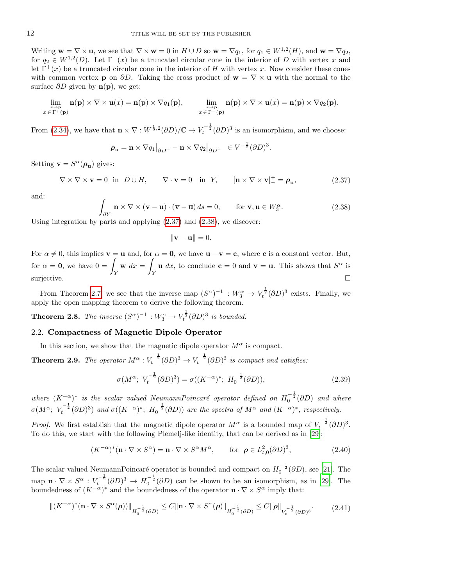Writing  $\mathbf{w} = \nabla \times \mathbf{u}$ , we see that  $\nabla \times \mathbf{w} = 0$  in  $H \cup D$  so  $\mathbf{w} = \nabla q_1$ , for  $q_1 \in W^{1,2}(H)$ , and  $\mathbf{w} = \nabla q_2$ , for  $q_2 \in W^{1,2}(D)$ . Let  $\Gamma^-(x)$  be a truncated circular cone in the interior of D with vertex x and let  $\Gamma^+(x)$  be a truncated circular cone in the interior of H with vertex x. Now consider these cones with common vertex **p** on  $\partial D$ . Taking the cross product of **w** =  $\nabla \times$ **u** with the normal to the surface  $\partial D$  given by  $\mathbf{n}(\mathbf{p})$ , we get:

$$
\lim_{\substack{x\to\mathbf{p}\\x\in\Gamma^+(\mathbf{p})}}\mathbf{n}(\mathbf{p})\times\nabla\times\mathbf{u}(x)=\mathbf{n}(\mathbf{p})\times\nabla q_1(\mathbf{p}),\qquad \lim_{\substack{x\to\mathbf{p}\\x\in\Gamma^-(\mathbf{p})}}\mathbf{n}(\mathbf{p})\times\nabla\times\mathbf{u}(x)=\mathbf{n}(\mathbf{p})\times\nabla q_2(\mathbf{p}).
$$

From [\(2.34\)](#page-9-0), we have that  $\mathbf{n} \times \nabla : W^{\frac{1}{2},2}(\partial D)/\mathbb{C} \to V_t^{-\frac{1}{2}}(\partial D)^3$  is an isomorphism, and we choose:

$$
\boldsymbol{\rho}_{\mathbf{u}} = \mathbf{n} \times \nabla q_1 \big|_{\partial D^+} - \mathbf{n} \times \nabla q_2 \big|_{\partial D^-} \ \in V^{-\frac{1}{2}} (\partial D)^3.
$$

Setting  $\mathbf{v} = S^{\alpha}(\boldsymbol{\rho}_{\mathbf{u}})$  gives:

<span id="page-11-0"></span>
$$
\nabla \times \nabla \times \mathbf{v} = 0 \text{ in } D \cup H, \qquad \nabla \cdot \mathbf{v} = 0 \text{ in } Y, \qquad [\mathbf{n} \times \nabla \times \mathbf{v}]_{-}^{+} = \rho_{\mathbf{u}}, \tag{2.37}
$$

and:

<span id="page-11-1"></span>
$$
\int_{\partial Y} \mathbf{n} \times \nabla \times (\mathbf{v} - \mathbf{u}) \cdot (\overline{\mathbf{v}} - \overline{\mathbf{u}}) ds = 0, \quad \text{for } \mathbf{v}, \mathbf{u} \in W_3^{\alpha}.
$$
 (2.38)

Using integration by parts and applying  $(2.37)$  and  $(2.38)$ , we discover:

 $\|\mathbf{v} - \mathbf{u}\| = 0.$ 

For  $\alpha \neq 0$ , this implies  $\mathbf{v} = \mathbf{u}$  and, for  $\alpha = \mathbf{0}$ , we have  $\mathbf{u} - \mathbf{v} = \mathbf{c}$ , where **c** is a constant vector. But, for  $\alpha = 0$ , we have  $0 = \sqrt{2}$ Y  $\mathbf{w} dx =$ Y **u** dx, to conclude **c** = 0 and **v** = **u**. This shows that  $S^{\alpha}$  is surjective.  $\square$ 

From Theorem [2.7,](#page-10-1) we see that the inverse map  $(S^{\alpha})^{-1} : W_3^{\alpha} \to V_t^{\frac{1}{2}}(\partial D)^3$  exists. Finally, we apply the open mapping theorem to derive the following theorem.

**Theorem 2.8.** The inverse  $(S^{\alpha})^{-1}: W_3^{\alpha} \to V_t^{\frac{1}{2}}(\partial D)^3$  is bounded.

### 2.2. Compactness of Magnetic Dipole Operator

In this section, we show that the magnetic dipole operator  $M^{\alpha}$  is compact.

<span id="page-11-5"></span>**Theorem 2.9.** The operator  $M^{\alpha}: V_t^{-\frac{1}{2}}(\partial D)^3 \to V_t^{-\frac{1}{2}}(\partial D)^3$  is compact and satisfies:

<span id="page-11-4"></span>
$$
\sigma(M^{\alpha}; V_t^{-\frac{1}{2}}(\partial D)^3) = \sigma((K^{-\alpha})^*; H_0^{-\frac{1}{2}}(\partial D)),
$$
\n(2.39)

where  $(K^{-\alpha})^*$  is the scalar valued NeumannPoincaré operator defined on  $H_0^{-\frac{1}{2}}(\partial D)$  and where  $\sigma(M^{\alpha}; V_t^{-\frac{1}{2}}(\partial D)^3)$  and  $\sigma((K^{-\alpha})^*; H_0^{-\frac{1}{2}}(\partial D))$  are the spectra of  $M^{\alpha}$  and  $(K^{-\alpha})^*$ , respectively.

*Proof.* We first establish that the magnetic dipole operator  $M^{\alpha}$  is a bounded map of  $V_t^{-\frac{1}{2}}(\partial D)^3$ . To do this, we start with the following Plemelj-like identity, that can be derived as in [\[29\]](#page-36-21):

<span id="page-11-2"></span>
$$
(K^{-\alpha})^*(\mathbf{n} \cdot \nabla \times S^{\alpha}) = \mathbf{n} \cdot \nabla \times S^{\alpha} M^{\alpha}, \quad \text{for } \rho \in L^2_{t,0}(\partial D)^3,
$$
 (2.40)

The scalar valued NeumannPoincaré operator is bounded and compact on  $H_0^{-\frac{1}{2}}(\partial D)$ , see [\[21\]](#page-36-15). The map  $\mathbf{n} \cdot \nabla \times S^{\alpha} : V_t^{-\frac{1}{2}} (\partial D)^3 \to H_0^{-\frac{1}{2}} (\partial D)$  can be shown to be an isomorphism, as in [\[29\]](#page-36-21). The boundedness of  $(K^{-\alpha})^*$  and the boundedness of the operator  $\mathbf{n} \cdot \nabla \times S^{\alpha}$  imply that:

<span id="page-11-3"></span>
$$
\|(K^{-\alpha})^*(\mathbf{n}\cdot\nabla\times S^{\alpha}(\boldsymbol{\rho}))\|_{H_0^{-\frac{1}{2}}(\partial D)} \leq C\|\mathbf{n}\cdot\nabla\times S^{\alpha}(\boldsymbol{\rho})\|_{H_0^{-\frac{1}{2}}(\partial D)} \leq C\|\boldsymbol{\rho}\|_{V_t^{-\frac{1}{2}}(\partial D)^3}.
$$
 (2.41)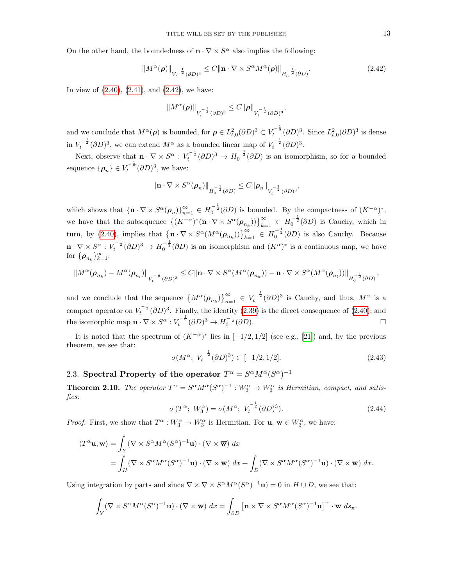On the other hand, the boundedness of  $\mathbf{n} \cdot \nabla \times S^{\alpha}$  also implies the following:

<span id="page-12-0"></span>
$$
\|M^{\alpha}(\boldsymbol{\rho})\|_{V_t^{-\frac{1}{2}}(\partial D)^3} \le C \|\mathbf{n} \cdot \nabla \times S^{\alpha} M^{\alpha}(\boldsymbol{\rho})\|_{H_0^{-\frac{1}{2}}(\partial D)}.
$$
\n(2.42)

In view of  $(2.40)$ ,  $(2.41)$ , and  $(2.42)$ , we have:

$$
||M^{\alpha}(\boldsymbol{\rho})||_{V_t^{-\frac{1}{2}}(\partial D)^3} \leq C ||\boldsymbol{\rho}||_{V_t^{-\frac{1}{2}}(\partial D)^3},
$$

and we conclude that  $M^{\alpha}(\rho)$  is bounded, for  $\rho \in L^2_{t,0}(\partial D)^3 \subset V_t^{-\frac{1}{2}}(\partial D)^3$ . Since  $L^2_{t,0}(\partial D)^3$  is dense in  $V_t^{-\frac{1}{2}}(\partial D)^3$ , we can extend  $M^{\alpha}$  as a bounded linear map of  $V_t^{-\frac{1}{2}}(\partial D)^3$ .

Next, observe that  $\mathbf{n} \cdot \nabla \times S^{\alpha} : V_t^{-\frac{1}{2}} (\partial D)^3 \to H_0^{-\frac{1}{2}} (\partial D)$  is an isomorphism, so for a bounded sequence  $\{\boldsymbol{\rho}_n\} \in V_t^{-\frac{1}{2}} (\partial D)^3$ , we have:

$$
\|\mathbf{n}\cdot\nabla\times S^{\alpha}(\boldsymbol{\rho}_n)\|_{H_0^{-\frac{1}{2}}(\partial D)}\leq C\|\boldsymbol{\rho}_n\|_{V_t^{-\frac{1}{2}}(\partial D)^3},
$$

which shows that  $\{\mathbf{n} \cdot \nabla \times S^{\alpha}(\boldsymbol{\rho}_n)\}_{n=1}^{\infty} \in H_0^{-\frac{1}{2}}(\partial D)$  is bounded. By the compactness of  $(K^{-\alpha})^*$ , we have that the subsequence  $\{(K^{-\alpha})^*(\mathbf{n}\cdot\nabla\times S^{\alpha}(\boldsymbol{\rho}_{n_k}))\}_{k=1}^{\infty} \in H_0^{-\frac{1}{2}}(\partial D)$  is Cauchy, which in turn, by [\(2.40\)](#page-11-2), implies that  $\left\{ \mathbf{n} \cdot \nabla \times S^{\alpha}(M^{\alpha}(\boldsymbol{\rho}_{n_k})) \right\}_{k=1}^{\infty} \in H_0^{-\frac{1}{2}}(\partial D)$  is also Cauchy. Because  $\mathbf{n} \cdot \nabla \times S^{\alpha}: V_t^{-\frac{1}{2}}(\partial D)^3 \to H_0^{-\frac{1}{2}}(\partial D)$  is an isomorphism and  $(K^{\alpha})^*$  is a continuous map, we have for  $\{\boldsymbol{\rho}_{n_k}\}_{k=1}^{\infty}$ :

$$
\|M^{\alpha}(\boldsymbol{\rho}_{n_k})-M^{\alpha}(\boldsymbol{\rho}_{n_l})\|_{V_t^{-\frac{1}{2}}(\partial D)^3}\leq C\|\mathbf{n}\cdot\nabla\times S^{\alpha}(M^{\alpha}(\boldsymbol{\rho}_{n_k}))- \mathbf{n}\cdot\nabla\times S^{\alpha}(M^{\alpha}(\boldsymbol{\rho}_{n_l}))\|_{H_0^{-\frac{1}{2}}(\partial D)},
$$

and we conclude that the sequence  $\left\{M^{\alpha}(\boldsymbol{\rho}_{n_k})\right\}_{n=1}^{\infty} \in V_t^{-\frac{1}{2}}(\partial D)^3$  is Cauchy, and thus,  $M^{\alpha}$  is a compact operator on  $V_t^{-\frac{1}{2}} (\partial D)^3$ . Finally, the identity [\(2.39\)](#page-11-4) is the direct consequence of [\(2.40\)](#page-11-2), and the isomorphic map  $\mathbf{n} \cdot \nabla \times S^{\alpha}: V_t^{-\frac{1}{2}}(\partial D)^3 \to H_0^{-\frac{1}{2}}(\partial D)$ .

It is noted that the spectrum of  $(K^{-\alpha})^*$  lies in  $[-1/2, 1/2]$  (see e.g., [\[21\]](#page-36-15)) and, by the previous theorem, we see that:

<span id="page-12-3"></span>
$$
\sigma(M^{\alpha}; V_t^{-\frac{1}{2}}(\partial D)^3) \subset [-1/2, 1/2]. \tag{2.43}
$$

# 2.3. Spectral Property of the operator  $T^{\alpha} = S^{\alpha} M^{\alpha} (S^{\alpha})^{-1}$

<span id="page-12-2"></span>**Theorem 2.10.** The operator  $T^{\alpha} = S^{\alpha} M^{\alpha} (S^{\alpha})^{-1} : W_3^{\alpha} \to W_3^{\alpha}$  is Hermitian, compact, and satisfies:

<span id="page-12-1"></span>
$$
\sigma(T^{\alpha}; W_3^{\alpha}) = \sigma(M^{\alpha}; V_t^{-\frac{1}{2}} (\partial D)^3). \tag{2.44}
$$

*Proof.* First, we show that  $T^{\alpha}: W_3^{\alpha} \to W_3^{\alpha}$  is Hermitian. For  $\mathbf{u}, \mathbf{w} \in W_3^{\alpha}$ , we have:

$$
\langle T^{\alpha} \mathbf{u}, \mathbf{w} \rangle = \int_{Y} (\nabla \times S^{\alpha} M^{\alpha} (S^{\alpha})^{-1} \mathbf{u}) \cdot (\nabla \times \overline{\mathbf{w}}) dx
$$
  
= 
$$
\int_{H} (\nabla \times S^{\alpha} M^{\alpha} (S^{\alpha})^{-1} \mathbf{u}) \cdot (\nabla \times \overline{\mathbf{w}}) dx + \int_{D} (\nabla \times S^{\alpha} M^{\alpha} (S^{\alpha})^{-1} \mathbf{u}) \cdot (\nabla \times \overline{\mathbf{w}}) dx.
$$

Using integration by parts and since  $\nabla \times \nabla \times S^{\alpha} M^{\alpha} (S^{\alpha})^{-1} \mathbf{u} = 0$  in  $H \cup D$ , we see that:

$$
\int_Y (\nabla \times S^{\alpha} M^{\alpha} (S^{\alpha})^{-1} \mathbf{u}) \cdot (\nabla \times \overline{\mathbf{w}}) dx = \int_{\partial D} [\mathbf{n} \times \nabla \times S^{\alpha} M^{\alpha} (S^{\alpha})^{-1} \mathbf{u}]_{-}^+ \cdot \overline{\mathbf{w}} ds_{\mathbf{x}}.
$$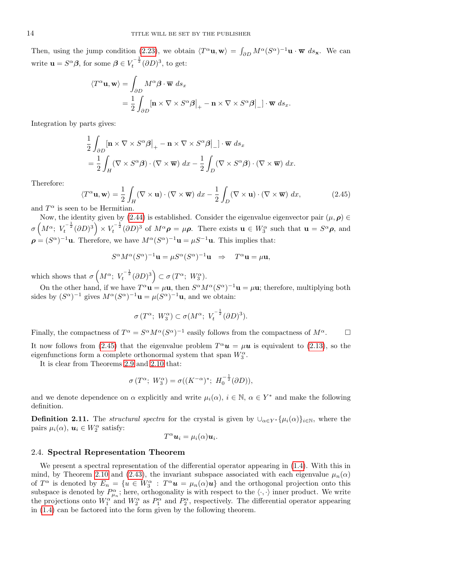Then, using the jump condition [\(2.23\)](#page-7-4), we obtain  $\langle T^{\alpha} \mathbf{u}, \mathbf{w} \rangle = \int_{\partial D} M^{\alpha} (S^{\alpha})^{-1} \mathbf{u} \cdot \overline{\mathbf{w}} \ ds_{\mathbf{x}}$ . We can write  $\mathbf{u} = S^{\alpha} \boldsymbol{\beta}$ , for some  $\boldsymbol{\beta} \in V_t^{-\frac{1}{2}} (\partial D)^3$ , to get:

$$
\langle T^{\alpha} \mathbf{u}, \mathbf{w} \rangle = \int_{\partial D} M^{\alpha} \boldsymbol{\beta} \cdot \overline{\mathbf{w}} \, ds_x
$$
  
=  $\frac{1}{2} \int_{\partial D} [\mathbf{n} \times \nabla \times S^{\alpha} \boldsymbol{\beta}]_{+} - \mathbf{n} \times \nabla \times S^{\alpha} \boldsymbol{\beta}]_{-} \cdot \overline{\mathbf{w}} \, ds_x.$ 

Integration by parts gives:

$$
\frac{1}{2} \int_{\partial D} \left[ \mathbf{n} \times \nabla \times S^{\alpha} \boldsymbol{\beta} \right]_{+} - \mathbf{n} \times \nabla \times S^{\alpha} \boldsymbol{\beta} \Big|_{-} \right] \cdot \overline{\mathbf{w}} \, ds_{x}
$$
\n
$$
= \frac{1}{2} \int_{H} (\nabla \times S^{\alpha} \boldsymbol{\beta}) \cdot (\nabla \times \overline{\mathbf{w}}) \, dx - \frac{1}{2} \int_{D} (\nabla \times S^{\alpha} \boldsymbol{\beta}) \cdot (\nabla \times \overline{\mathbf{w}}) \, dx.
$$

Therefore:

<span id="page-13-1"></span>
$$
\langle T^{\alpha} \mathbf{u}, \mathbf{w} \rangle = \frac{1}{2} \int_{H} (\nabla \times \mathbf{u}) \cdot (\nabla \times \overline{\mathbf{w}}) dx - \frac{1}{2} \int_{D} (\nabla \times \mathbf{u}) \cdot (\nabla \times \overline{\mathbf{w}}) dx,
$$
 (2.45)

and  $T^{\alpha}$  is seen to be Hermitian.

Now, the identity given by [\(2.44\)](#page-12-1) is established. Consider the eigenvalue eigenvector pair  $(\mu, \rho) \in$  $\sigma\left(M^{\alpha}; V_t^{-\frac{1}{2}}(\partial D)^3\right) \times V_t^{-\frac{1}{2}}(\partial D)^3$  of  $M^{\alpha} \rho = \mu \rho$ . There exists  $\mathbf{u} \in W_3^{\alpha}$  such that  $\mathbf{u} = S^{\alpha} \rho$ , and  $\rho = (S^{\alpha})^{-1}$ **u**. Therefore, we have  $M^{\alpha}(S^{\alpha})^{-1}$ **u** =  $\mu S^{-1}$ **u**. This implies that:

$$
S^{\alpha}M^{\alpha}(S^{\alpha})^{-1}\mathbf{u} = \mu S^{\alpha}(S^{\alpha})^{-1}\mathbf{u} \Rightarrow T^{\alpha}\mathbf{u} = \mu\mathbf{u},
$$

which shows that  $\sigma\left(M^{\alpha}; V_t^{-\frac{1}{2}}(\partial D)^3\right) \subset \sigma(T^{\alpha}; W_3^{\alpha}).$ 

On the other hand, if we have  $T^{\alpha} \mathbf{u} = \mu \mathbf{u}$ , then  $S^{\alpha} M^{\alpha} (S^{\alpha})^{-1} \mathbf{u} = \mu \mathbf{u}$ ; therefore, multiplying both sides by  $(S^{\alpha})^{-1}$  gives  $M^{\alpha}(S^{\alpha})^{-1}\mathbf{u} = \mu(S^{\alpha})^{-1}\mathbf{u}$ , and we obtain:

$$
\sigma(T^{\alpha}; W_3^{\alpha}) \subset \sigma(M^{\alpha}; V_t^{-\frac{1}{2}}(\partial D)^3).
$$

Finally, the compactness of  $T^{\alpha} = S^{\alpha} M^{\alpha} (S^{\alpha})^{-1}$  easily follows from the compactness of  $M^{\alpha}$ .

It now follows from [\(2.45\)](#page-13-1) that the eigenvalue problem  $T^{\alpha}u = \mu u$  is equivalent to [\(2.13\)](#page-5-3), so the eigenfunctions form a complete orthonormal system that span  $W_3^{\alpha}$ .

It is clear from Theorems [2.9](#page-11-5) and [2.10](#page-12-2) that:

$$
\sigma(T^{\alpha}; W_3^{\alpha}) = \sigma((K^{-\alpha})^*; H_0^{-\frac{1}{2}}(\partial D)),
$$

and we denote dependence on  $\alpha$  explicitly and write  $\mu_i(\alpha)$ ,  $i \in \mathbb{N}$ ,  $\alpha \in Y^*$  and make the following definition.

<span id="page-13-0"></span>**Definition 2.11.** The *structural spectra* for the crystal is given by  $\bigcup_{\alpha \in Y^*} {\{\mu_i(\alpha)\}}_{i \in \mathbb{N}}$ , where the pairs  $\mu_i(\alpha)$ ,  $\mathbf{u}_i \in W_2^{\alpha}$  satisfy:

$$
T^{\alpha} \mathbf{u}_i = \mu_i(\alpha) \mathbf{u}_i.
$$

#### 2.4. Spectral Representation Theorem

We present a spectral representation of the differential operator appearing in [\(1.4\)](#page-2-0). With this in mind, by Theorem [2.10](#page-12-2) and [\(2.43\)](#page-12-3), the invariant subspace associated with each eigenvalue  $\mu_n(\alpha)$ of  $T^{\alpha}$  is denoted by  $E_n = \{u \in W_3^{\alpha} : T^{\alpha}u = \mu_n(\alpha)u\}$  and the orthogonal projection onto this subspace is denoted by  $P_{\mu_n}^{\alpha}$ ; here, orthogonality is with respect to the  $\langle \cdot, \cdot \rangle$  inner product. We write the projections onto  $W_1^{\alpha'}$  and  $W_2^{\alpha}$  as  $P_1^{\alpha}$  and  $P_2^{\alpha}$ , respectively. The differential operator appearing in [\(1.4\)](#page-2-0) can be factored into the form given by the following theorem.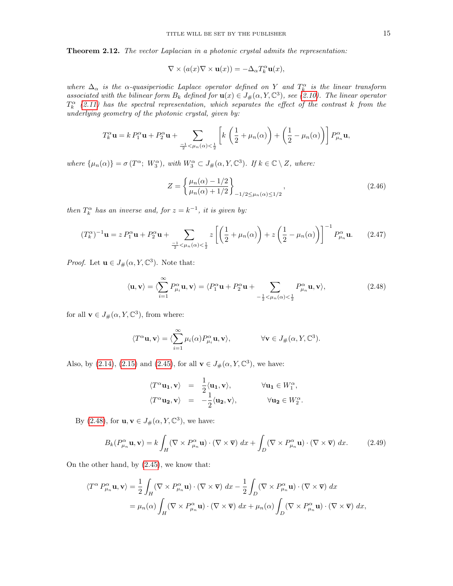<span id="page-14-0"></span>Theorem 2.12. The vector Laplacian in a photonic crystal admits the representation:

$$
\nabla \times (a(x)\nabla \times \mathbf{u}(x)) = -\Delta_{\alpha} T_{k}^{\alpha} \mathbf{u}(x),
$$

where  $\Delta_{\alpha}$  is the  $\alpha$ -quasiperiodic Laplace operator defined on Y and  $T_k^{\alpha}$  is the linear transform associated with the bilinear form  $B_k$  defined for  $\mathbf{u}(x) \in J_\#(\alpha, Y, \mathbb{C}^3)$ , see [\(2.10\)](#page-5-4). The linear operator  $T_k^{\alpha}$  [\(2.11\)](#page-5-5) has the spectral representation, which separates the effect of the contrast k from the underlying geometry of the photonic crystal, given by:

$$
T_k^{\alpha} \mathbf{u} = k P_1^{\alpha} \mathbf{u} + P_2^{\alpha} \mathbf{u} + \sum_{\frac{-1}{2} < \mu_n(\alpha) < \frac{1}{2}} \left[ k \left( \frac{1}{2} + \mu_n(\alpha) \right) + \left( \frac{1}{2} - \mu_n(\alpha) \right) \right] P_{\mu_n}^{\alpha} \mathbf{u},
$$

where  $\{\mu_n(\alpha)\} = \sigma(T^{\alpha}; W_3^{\alpha}),$  with  $W_3^{\alpha} \subset J_{\#}(\alpha, Y, \mathbb{C}^3)$ . If  $k \in \mathbb{C} \setminus Z$ , where:

<span id="page-14-3"></span>
$$
Z = \left\{ \frac{\mu_n(\alpha) - 1/2}{\mu_n(\alpha) + 1/2} \right\}_{-1/2 \le \mu_n(\alpha) \le 1/2},
$$
\n(2.46)

then  $T_k^{\alpha}$  has an inverse and, for  $z = k^{-1}$ , it is given by:

<span id="page-14-4"></span>
$$
(T_k^{\alpha})^{-1} \mathbf{u} = z P_1^{\alpha} \mathbf{u} + P_2^{\alpha} \mathbf{u} + \sum_{\frac{-1}{2} < \mu_n(\alpha) < \frac{1}{2}} z \left[ \left( \frac{1}{2} + \mu_n(\alpha) \right) + z \left( \frac{1}{2} - \mu_n(\alpha) \right) \right]^{-1} P_{\mu_n}^{\alpha} \mathbf{u}. \tag{2.47}
$$

*Proof.* Let  $\mathbf{u} \in J_{\#}(\alpha, Y, \mathbb{C}^3)$ . Note that:

<span id="page-14-1"></span>
$$
\langle \mathbf{u}, \mathbf{v} \rangle = \langle \sum_{i=1}^{\infty} P_{\mu_i}^{\alpha} \mathbf{u}, \mathbf{v} \rangle = \langle P_1^{\alpha} \mathbf{u} + P_2^{\alpha} \mathbf{u} + \sum_{-\frac{1}{2} < \mu_n(\alpha) < \frac{1}{2}} P_{\mu_n}^{\alpha} \mathbf{u}, \mathbf{v} \rangle, \tag{2.48}
$$

for all  $\mathbf{v} \in J_{\#}(\alpha, Y, \mathbb{C}^3)$ , from where:

$$
\langle T^{\alpha} \mathbf{u}, \mathbf{v} \rangle = \langle \sum_{i=1}^{\infty} \mu_i(\alpha) P_{\mu_i}^{\alpha} \mathbf{u}, \mathbf{v} \rangle, \qquad \forall \mathbf{v} \in J_{\#}(\alpha, Y, \mathbb{C}^3).
$$

Also, by [\(2.14\)](#page-5-6), [\(2.15\)](#page-6-1) and [\(2.45\)](#page-13-1), for all  $\mathbf{v} \in J_{\#}(\alpha, Y, \mathbb{C}^{3})$ , we have:

$$
\langle T^{\alpha} \mathbf{u_1}, \mathbf{v} \rangle = \frac{1}{2} \langle \mathbf{u_1}, \mathbf{v} \rangle, \qquad \forall \mathbf{u_1} \in W_1^{\alpha},
$$
  

$$
\langle T^{\alpha} \mathbf{u_2}, \mathbf{v} \rangle = -\frac{1}{2} \langle \mathbf{u_2}, \mathbf{v} \rangle, \qquad \forall \mathbf{u_2} \in W_2^{\alpha}.
$$

By [\(2.48\)](#page-14-1), for  $\mathbf{u}, \mathbf{v} \in J_{\#}(\alpha, Y, \mathbb{C}^3)$ , we have:

<span id="page-14-2"></span>
$$
B_k(P_{\mu_n}^{\alpha}\mathbf{u}, \mathbf{v}) = k \int_H (\nabla \times P_{\mu_n}^{\alpha}\mathbf{u}) \cdot (\nabla \times \overline{\mathbf{v}}) dx + \int_D (\nabla \times P_{\mu_n}^{\alpha}\mathbf{u}) \cdot (\nabla \times \overline{\mathbf{v}}) dx.
$$
 (2.49)

On the other hand, by [\(2.45\)](#page-13-1), we know that:

$$
\langle T^{\alpha} P_{\mu_n}^{\alpha} \mathbf{u}, \mathbf{v} \rangle = \frac{1}{2} \int_H (\nabla \times P_{\mu_n}^{\alpha} \mathbf{u}) \cdot (\nabla \times \overline{\mathbf{v}}) dx - \frac{1}{2} \int_D (\nabla \times P_{\mu_n}^{\alpha} \mathbf{u}) \cdot (\nabla \times \overline{\mathbf{v}}) dx
$$
  

$$
= \mu_n(\alpha) \int_H (\nabla \times P_{\mu_n}^{\alpha} \mathbf{u}) \cdot (\nabla \times \overline{\mathbf{v}}) dx + \mu_n(\alpha) \int_D (\nabla \times P_{\mu_n}^{\alpha} \mathbf{u}) \cdot (\nabla \times \overline{\mathbf{v}}) dx,
$$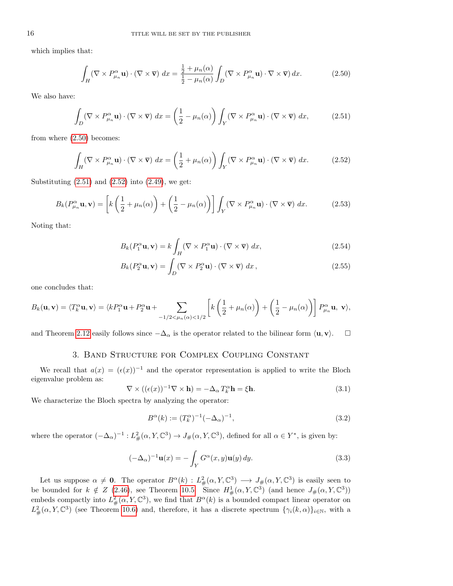which implies that:

<span id="page-15-1"></span>
$$
\int_{H} (\nabla \times P_{\mu_n}^{\alpha} \mathbf{u}) \cdot (\nabla \times \overline{\mathbf{v}}) dx = \frac{\frac{1}{2} + \mu_n(\alpha)}{\frac{1}{2} - \mu_n(\alpha)} \int_{D} (\nabla \times P_{\mu_n}^{\alpha} \mathbf{u}) \cdot \nabla \times \overline{\mathbf{v}} dx.
$$
\n(2.50)

We also have:

<span id="page-15-2"></span>
$$
\int_{D} (\nabla \times P_{\mu_n}^{\alpha} \mathbf{u}) \cdot (\nabla \times \overline{\mathbf{v}}) dx = \left(\frac{1}{2} - \mu_n(\alpha)\right) \int_{Y} (\nabla \times P_{\mu_n}^{\alpha} \mathbf{u}) \cdot (\nabla \times \overline{\mathbf{v}}) dx,
$$
\n(2.51)

from where [\(2.50\)](#page-15-1) becomes:

<span id="page-15-3"></span>
$$
\int_{H} (\nabla \times P_{\mu_n}^{\alpha} \mathbf{u}) \cdot (\nabla \times \overline{\mathbf{v}}) dx = \left(\frac{1}{2} + \mu_n(\alpha)\right) \int_{Y} (\nabla \times P_{\mu_n}^{\alpha} \mathbf{u}) \cdot (\nabla \times \overline{\mathbf{v}}) dx.
$$
 (2.52)

Substituting  $(2.51)$  and  $(2.52)$  into  $(2.49)$ , we get:

$$
B_k(P_{\mu_n}^{\alpha}\mathbf{u}, \mathbf{v}) = \left[k\left(\frac{1}{2} + \mu_n(\alpha)\right) + \left(\frac{1}{2} - \mu_n(\alpha)\right)\right] \int_Y (\nabla \times P_{\mu_n}^{\alpha}\mathbf{u}) \cdot (\nabla \times \overline{\mathbf{v}}) dx.
$$
 (2.53)

Noting that:

$$
B_k(P_1^{\alpha}\mathbf{u}, \mathbf{v}) = k \int_H (\nabla \times P_1^{\alpha} \mathbf{u}) \cdot (\nabla \times \overline{\mathbf{v}}) dx, \qquad (2.54)
$$

$$
B_k(P_2^{\alpha}\mathbf{u}, \mathbf{v}) = \int_D (\nabla \times P_2^{\alpha}\mathbf{u}) \cdot (\nabla \times \overline{\mathbf{v}}) dx, \qquad (2.55)
$$

one concludes that:

$$
B_k(\mathbf{u}, \mathbf{v}) = \langle T_k^{\alpha} \mathbf{u}, \mathbf{v} \rangle = \langle k P_1^{\alpha} \mathbf{u} + P_2^{\alpha} \mathbf{u} + \sum_{-1/2 < \mu_n(\alpha) < 1/2} \left[ k \left( \frac{1}{2} + \mu_n(\alpha) \right) + \left( \frac{1}{2} - \mu_n(\alpha) \right) \right] P_{\mu_n}^{\alpha} \mathbf{u}, \mathbf{v} \rangle,
$$

and Theorem [2.12](#page-14-0) easily follows since  $-\Delta_{\alpha}$  is the operator related to the bilinear form  $\langle \mathbf{u}, \mathbf{v} \rangle$ .  $\Box$ 

# 3. Band Structure for Complex Coupling Constant

<span id="page-15-0"></span>We recall that  $a(x) = (\epsilon(x))^{-1}$  and the operator representation is applied to write the Bloch eigenvalue problem as:

<span id="page-15-4"></span>
$$
\nabla \times ((\epsilon(x))^{-1} \nabla \times \mathbf{h}) = -\Delta_{\alpha} T_{k}^{\alpha} \mathbf{h} = \xi \mathbf{h}.
$$
 (3.1)

We characterize the Bloch spectra by analyzing the operator:

<span id="page-15-5"></span>
$$
B^{\alpha}(k) := (T_k^{\alpha})^{-1}(-\Delta_{\alpha})^{-1},
$$
\n(3.2)

where the operator  $(-\Delta_{\alpha})^{-1}: L^2_{\#}(\alpha, Y, \mathbb{C}^3) \to J_{\#}(\alpha, Y, \mathbb{C}^3)$ , defined for all  $\alpha \in Y^*$ , is given by:

<span id="page-15-6"></span>
$$
(-\Delta_{\alpha})^{-1}\mathbf{u}(x) = -\int_{Y} G^{\alpha}(x, y)\mathbf{u}(y) dy.
$$
 (3.3)

Let us suppose  $\alpha \neq 0$ . The operator  $B^{\alpha}(k) : L^2_{\#}(\alpha, Y, \mathbb{C}^3) \longrightarrow J_{\#}(\alpha, Y, \mathbb{C}^3)$  is easily seen to be bounded for  $k \notin Z$  (2.[46\)](#page-14-3), see Theorem [10.5.](#page-31-0) Since  $H^1_{\#}(\alpha, Y, \mathbb{C}^3)$  (and hence  $J_{\#}(\alpha, Y, \mathbb{C}^3)$ ) embeds compactly into  $L^2_{\#}(\alpha, Y, \mathbb{C}^3)$ , we find that  $B^{\alpha}(k)$  is a bounded compact linear operator on  $L^2_{\#}(\alpha, Y, \mathbb{C}^3)$  (see Theorem [10.6\)](#page-32-1) and, therefore, it has a discrete spectrum  $\{\gamma_i(k,\alpha)\}_{i\in\mathbb{N}}$ , with a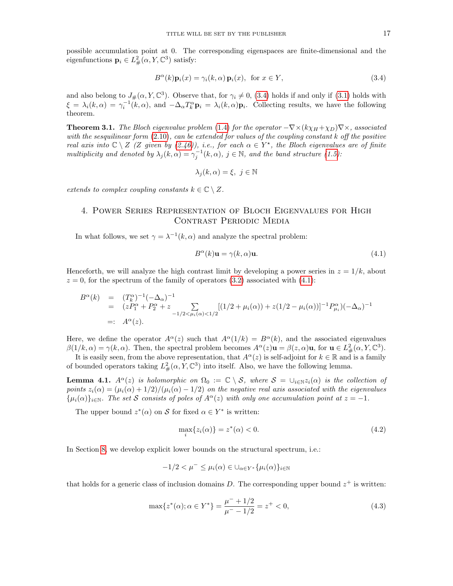possible accumulation point at 0. The corresponding eigenspaces are finite-dimensional and the eigenfunctions  $\mathbf{p}_i \in L^2_{\#}(\alpha, Y, \mathbb{C}^3)$  satisfy:

<span id="page-16-3"></span>
$$
B^{\alpha}(k)\mathbf{p}_i(x) = \gamma_i(k,\alpha)\,\mathbf{p}_i(x), \text{ for } x \in Y,
$$
\n(3.4)

and also belong to  $J_{\#}(\alpha, Y, \mathbb{C}^3)$ . Observe that, for  $\gamma_i \neq 0$ , [\(3.4\)](#page-16-3) holds if and only if [\(3.1\)](#page-15-4) holds with  $\xi = \lambda_i(k, \alpha) = \gamma_i^{-1}(k, \alpha)$ , and  $-\Delta_\alpha T_k^{\alpha} \mathbf{p}_i = \lambda_i(k, \alpha) \mathbf{p}_i$ . Collecting results, we have the following theorem.

<span id="page-16-2"></span>**Theorem 3.1.** The Bloch eigenvalue problem [\(1.4\)](#page-2-0) for the operator  $-\nabla \times (k\chi_H + \chi_D)\nabla \times$ , associated with the sesquilinear form  $(2.10)$ , can be extended for values of the coupling constant k off the positive real axis into  $C \setminus Z$  (Z given by [\(2.46\)](#page-14-3)), i.e., for each  $\alpha \in Y^*$ , the Bloch eigenvalues are of finite multiplicity and denoted by  $\lambda_j(k,\alpha) = \gamma_j^{-1}(k,\alpha)$ ,  $j \in \mathbb{N}$ , and the band structure [\(1.5\)](#page-2-2):

$$
\lambda_j(k,\alpha) = \xi, \ j \in \mathbb{N}
$$

extends to complex coupling constants  $k \in \mathbb{C} \setminus Z$ .

# <span id="page-16-0"></span>4. Power Series Representation of Bloch Eigenvalues for High CONTRAST PERIODIC MEDIA

In what follows, we set  $\gamma = \lambda^{-1}(k, \alpha)$  and analyze the spectral problem:

<span id="page-16-4"></span>
$$
B^{\alpha}(k)\mathbf{u} = \gamma(k,\alpha)\mathbf{u}.\tag{4.1}
$$

Henceforth, we will analyze the high contrast limit by developing a power series in  $z = 1/k$ , about  $z = 0$ , for the spectrum of the family of operators [\(3.2\)](#page-15-5) associated with [\(4.1\)](#page-16-4):

$$
B^{\alpha}(k) = (T_k^{\alpha})^{-1}(-\Delta_{\alpha})^{-1}
$$
  
=  $(zP_1^{\alpha} + P_2^{\alpha} + z \sum_{-1/2 < \mu_i(\alpha) < 1/2} [(1/2 + \mu_i(\alpha)) + z(1/2 - \mu_i(\alpha))]^{-1} P_{\mu_i}^{\alpha})(-\Delta_{\alpha})^{-1}$   
=:  $A^{\alpha}(z).$ 

Here, we define the operator  $A^{\alpha}(z)$  such that  $A^{\alpha}(1/k) = B^{\alpha}(k)$ , and the associated eigenvalues  $\beta(1/k, \alpha) = \gamma(k, \alpha)$ . Then, the spectral problem becomes  $A^{\alpha}(z)$ **u** =  $\beta(z, \alpha)$ **u**, for **u**  $\in L^2_{\#}(\alpha, Y, \mathbb{C}^3)$ .

It is easily seen, from the above representation, that  $A^{\alpha}(z)$  is self-adjoint for  $k \in \mathbb{R}$  and is a family of bounded operators taking  $L^2_{\#}(\alpha, Y, \mathbb{C}^3)$  into itself. Also, we have the following lemma.

<span id="page-16-1"></span>**Lemma 4.1.**  $A^{\alpha}(z)$  is holomorphic on  $\Omega_0 := \mathbb{C} \setminus \mathcal{S}$ , where  $\mathcal{S} = \cup_{i \in \mathbb{N}} z_i(\alpha)$  is the collection of points  $z_i(\alpha) = (\mu_i(\alpha) + 1/2)/(\mu_i(\alpha) - 1/2)$  on the negative real axis associated with the eigenvalues  $\{\mu_i(\alpha)\}_{i\in\mathbb{N}}$ . The set S consists of poles of  $A^{\alpha}(z)$  with only one accumulation point at  $z = -1$ .

The upper bound  $z^*(\alpha)$  on S for fixed  $\alpha \in Y^*$  is written:

<span id="page-16-5"></span>
$$
\max_{i} \{ z_i(\alpha) \} = z^*(\alpha) < 0. \tag{4.2}
$$

In Section [8,](#page-24-0) we develop explicit lower bounds on the structural spectrum, i.e.:

$$
-1/2 < \mu^{-} \leq \mu_i(\alpha) \in \bigcup_{\alpha \in Y^*} {\mu_i(\alpha)}_{i \in \mathbb{N}}
$$

that holds for a generic class of inclusion domains D. The corresponding upper bound  $z^+$  is written:

$$
\max\{z^*(\alpha); \alpha \in Y^*\} = \frac{\mu^- + 1/2}{\mu^- - 1/2} = z^+ < 0,\tag{4.3}
$$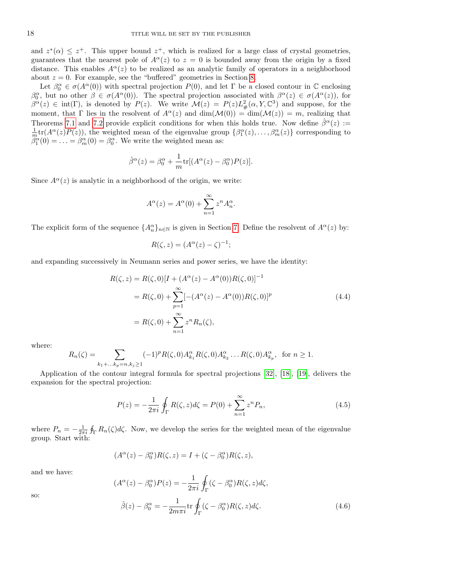and  $z^*(\alpha) \leq z^+$ . This upper bound  $z^+$ , which is realized for a large class of crystal geometries, guarantees that the nearest pole of  $A^{\alpha}(z)$  to  $z = 0$  is bounded away from the origin by a fixed distance. This enables  $A^{\alpha}(z)$  to be realized as an analytic family of operators in a neighborhood about  $z = 0$ . For example, see the "buffered" geometries in Section [8.](#page-24-0)

Let  $\beta_0^{\alpha} \in \sigma(A^{\alpha}(0))$  with spectral projection  $P(0)$ , and let  $\Gamma$  be a closed contour in  $\mathbb C$  enclosing  $\beta_0^{\alpha}$ , but no other  $\beta \in \sigma(A^{\alpha}(0))$ . The spectral projection associated with  $\beta^{\alpha}(z) \in \sigma(A^{\alpha}(z))$ , for  $\beta^{\alpha}(z) \in \text{int}(\Gamma)$ , is denoted by  $P(z)$ . We write  $\mathcal{M}(z) = P(z)L_{\#}^{2}(\alpha, Y, \mathbb{C}^{3})$  and suppose, for the moment, that Γ lies in the resolvent of  $A^{\alpha}(z)$  and  $\dim(M(0)) = \dim(M(z)) = m$ , realizing that Theorems [7.1](#page-22-0) and [7.2](#page-23-0) provide explicit conditions for when this holds true. Now define  $\hat{\beta}^{\alpha}(z)$  :=  $\frac{1}{m}$ tr $(A^{\alpha}(z)P(z))$ , the weighted mean of the eigenvalue group  $\{\beta_1^{\alpha}(z), \ldots, \beta_m^{\alpha}(z)\}\)$  corresponding to  $\ddot{\beta}_1^{\alpha}(0) = \ldots = \beta_m^{\alpha}(0) = \beta_0^{\alpha}$ . We write the weighted mean as:

$$
\hat{\beta}^{\alpha}(z) = \beta_0^{\alpha} + \frac{1}{m} \text{tr}[(A^{\alpha}(z) - \beta_0^{\alpha})P(z)].
$$

Since  $A^{\alpha}(z)$  is analytic in a neighborhood of the origin, we write:

$$
A^{\alpha}(z) = A^{\alpha}(0) + \sum_{n=1}^{\infty} z^n A_n^{\alpha}.
$$

The explicit form of the sequence  $\{A_n^{\alpha}\}_{n\in\mathbb{N}}$  is given in Section [7.](#page-22-1) Define the resolvent of  $A^{\alpha}(z)$  by:

<span id="page-17-1"></span>
$$
R(\zeta, z) = (A^{\alpha}(z) - \zeta)^{-1};
$$

and expanding successively in Neumann series and power series, we have the identity:

$$
R(\zeta, z) = R(\zeta, 0)[I + (A^{\alpha}(z) - A^{\alpha}(0))R(\zeta, 0)]^{-1}
$$
  
=  $R(\zeta, 0) + \sum_{p=1}^{\infty} [-(A^{\alpha}(z) - A^{\alpha}(0))R(\zeta, 0)]^{p}$   
=  $R(\zeta, 0) + \sum_{n=1}^{\infty} z^{n} R_{n}(\zeta),$  (4.4)

where:

$$
R_n(\zeta) = \sum_{k_1 + \dots k_p = n, k_j \ge 1} (-1)^p R(\zeta, 0) A_{k_1}^{\alpha} R(\zeta, 0) A_{k_2}^{\alpha} \dots R(\zeta, 0) A_{k_p}^{\alpha}, \text{ for } n \ge 1.
$$

Application of the contour integral formula for spectral projections [\[32\]](#page-36-17), [\[18\]](#page-36-18), [\[19\]](#page-36-19), delivers the expansion for the spectral projection:

<span id="page-17-2"></span>
$$
P(z) = -\frac{1}{2\pi i} \oint_{\Gamma} R(\zeta, z) d\zeta = P(0) + \sum_{n=1}^{\infty} z^n P_n,
$$
\n(4.5)

where  $P_n = -\frac{1}{2\pi i} \oint_{\Gamma} R_n(\zeta) d\zeta$ . Now, we develop the series for the weighted mean of the eigenvalue group. Start with:

$$
(A^{\alpha}(z) - \beta_0^{\alpha})R(\zeta, z) = I + (\zeta - \beta_0^{\alpha})R(\zeta, z),
$$

and we have:

<span id="page-17-0"></span>
$$
(A^{\alpha}(z) - \beta_0^{\alpha})P(z) = -\frac{1}{2\pi i} \oint_{\Gamma} (\zeta - \beta_0^{\alpha}) R(\zeta, z) d\zeta,
$$
  

$$
\hat{\beta}(z) - \beta_0^{\alpha} = -\frac{1}{2m\pi i} \text{tr} \oint_{\Gamma} (\zeta - \beta_0^{\alpha}) R(\zeta, z) d\zeta.
$$
 (4.6)

so: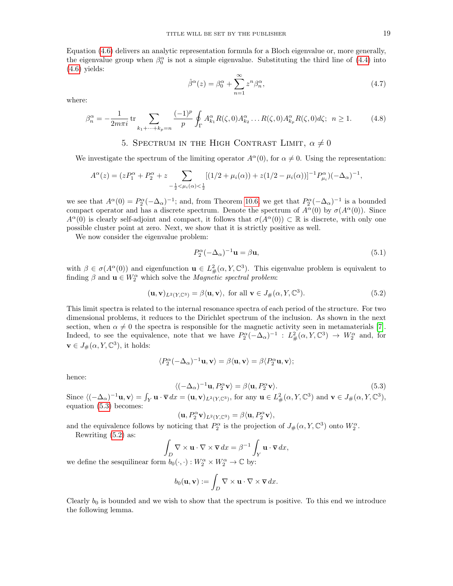Equation [\(4.6\)](#page-17-0) delivers an analytic representation formula for a Bloch eigenvalue or, more generally, the eigenvalue group when  $\beta_0^{\alpha}$  is not a simple eigenvalue. Substituting the third line of [\(4.4\)](#page-17-1) into [\(4.6\)](#page-17-0) yields:

<span id="page-18-4"></span>
$$
\hat{\beta}^{\alpha}(z) = \beta_0^{\alpha} + \sum_{n=1}^{\infty} z^n \beta_n^{\alpha},\tag{4.7}
$$

where:

<span id="page-18-5"></span>
$$
\beta_n^{\alpha} = -\frac{1}{2m\pi i} \operatorname{tr} \sum_{k_1 + \dots + k_p = n} \frac{(-1)^p}{p} \oint_{\Gamma} A_{k_1}^{\alpha} R(\zeta, 0) A_{k_2}^{\alpha} \dots R(\zeta, 0) A_{k_p}^{\alpha} R(\zeta, 0) d\zeta; \ \ n \ge 1. \tag{4.8}
$$

## 5. SPECTRUM IN THE HIGH CONTRAST LIMIT,  $\alpha \neq 0$

<span id="page-18-0"></span>We investigate the spectrum of the limiting operator  $A^{\alpha}(0)$ , for  $\alpha \neq 0$ . Using the representation:

$$
A^{\alpha}(z) = (zP_1^{\alpha} + P_2^{\alpha} + z \sum_{-\frac{1}{2} < \mu_i(\alpha) < \frac{1}{2}} [(1/2 + \mu_i(\alpha)) + z(1/2 - \mu_i(\alpha))]^{-1} P_{\mu_i}^{\alpha} ( -\Delta_{\alpha})^{-1},
$$

we see that  $A^{\alpha}(0) = P_2^{\alpha}(-\Delta_{\alpha})^{-1}$ ; and, from Theorem [10.6,](#page-32-1) we get that  $P_2^{\alpha}(-\Delta_{\alpha})^{-1}$  is a bounded compact operator and has a discrete spectrum. Denote the spectrum of  $A^{\alpha}(0)$  by  $\sigma(A^{\alpha}(0))$ . Since  $A^{\alpha}(0)$  is clearly self-adjoint and compact, it follows that  $\sigma(A^{\alpha}(0)) \subset \mathbb{R}$  is discrete, with only one possible cluster point at zero. Next, we show that it is strictly positive as well.

We now consider the eigenvalue problem:

<span id="page-18-3"></span>
$$
P_2^{\alpha}(-\Delta_{\alpha})^{-1}\mathbf{u} = \beta \mathbf{u},\tag{5.1}
$$

with  $\beta \in \sigma(A^{\alpha}(0))$  and eigenfunction  $\mathbf{u} \in L^2_{\#}(\alpha, Y, \mathbb{C}^3)$ . This eigenvalue problem is equivalent to finding  $\beta$  and  $\mathbf{u} \in W_2^{\alpha}$  which solve the *Magnetic spectral problem*:

<span id="page-18-2"></span>
$$
(\mathbf{u}, \mathbf{v})_{L^2(Y, \mathbb{C}^3)} = \beta \langle \mathbf{u}, \mathbf{v} \rangle, \text{ for all } \mathbf{v} \in J_\#(\alpha, Y, \mathbb{C}^3). \tag{5.2}
$$

This limit spectra is related to the internal resonance spectra of each period of the structure. For two dimensional problems, it reduces to the Dirichlet spectrum of the inclusion. As shown in the next section, when  $\alpha \neq 0$  the spectra is responsible for the magnetic activity seen in metamaterials [\[7\]](#page-35-2). Indeed, to see the equivalence, note that we have  $P_2^{\alpha}(-\Delta_{\alpha})^{-1}$  :  $L^2_{\#}(\alpha, Y, \mathbb{C}^3) \to W_2^{\alpha}$  and, for  $\mathbf{v} \in J_{\#}(\alpha, Y, \mathbb{C}^3)$ , it holds:

$$
\langle P_2^{\alpha}(-\Delta_{\alpha})^{-1}\mathbf{u}, \mathbf{v}\rangle = \beta\langle \mathbf{u}, \mathbf{v}\rangle = \beta\langle P_2^{\alpha}\mathbf{u}, \mathbf{v}\rangle;
$$

hence:

<span id="page-18-1"></span>
$$
\langle (-\Delta_{\alpha})^{-1} \mathbf{u}, P_2^{\alpha} \mathbf{v} \rangle = \beta \langle \mathbf{u}, P_2^{\alpha} \mathbf{v} \rangle.
$$
 (5.3)

Since  $\langle (-\Delta_{\alpha})^{-1} \mathbf{u}, \mathbf{v} \rangle = \int_Y \mathbf{u} \cdot \overline{\mathbf{v}} \, dx = (\mathbf{u}, \mathbf{v})_{L^2(Y, \mathbb{C}^3)}$ , for any  $\mathbf{u} \in L^2_{\#}(\alpha, Y, \mathbb{C}^3)$  and  $\mathbf{v} \in J_{\#}(\alpha, Y, \mathbb{C}^3)$ , equation [\(5.3\)](#page-18-1) becomes:

$$
(\mathbf{u}, P_2^{\alpha}\mathbf{v})_{L^2(Y,\mathbb{C}^3)} = \beta \langle \mathbf{u}, P_2^{\alpha}\mathbf{v} \rangle,
$$

and the equivalence follows by noticing that  $P_2^{\alpha}$  is the projection of  $J_{\#}(\alpha, Y, \mathbb{C}^3)$  onto  $W_2^{\alpha}$ .

Rewriting [\(5.2\)](#page-18-2) as:

$$
\int_{D} \nabla \times \mathbf{u} \cdot \nabla \times \overline{\mathbf{v}} \, dx = \beta^{-1} \int_{Y} \mathbf{u} \cdot \overline{\mathbf{v}} \, dx,
$$
  
where  $\int_{\mathbf{v}} \mathbf{u} \cdot \nabla \times \mathbf{u} \times \nabla \times \mathbf{v} \times \mathbf{v}$  is the function of the function.

we define the sesquilinear form  $b_0(\cdot, \cdot) : W_2^{\alpha} \times W_2^{\alpha} \to \mathbb{C}$  by:

$$
b_0(\mathbf{u}, \mathbf{v}) := \int_D \nabla \times \mathbf{u} \cdot \nabla \times \overline{\mathbf{v}} \, dx.
$$

Clearly  $b_0$  is bounded and we wish to show that the spectrum is positive. To this end we introduce the following lemma.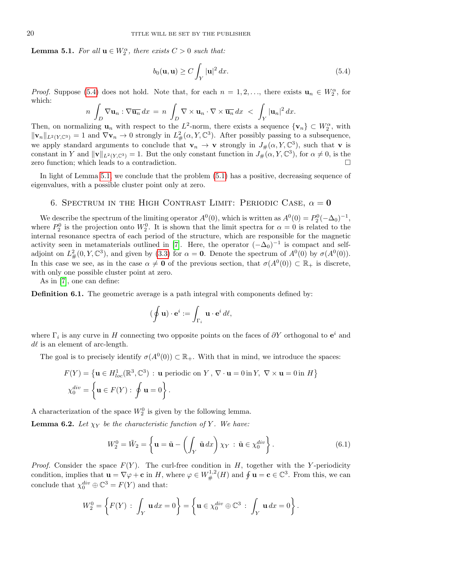<span id="page-19-2"></span>**Lemma 5.1.** For all  $\mathbf{u} \in W_2^{\alpha}$ , there exists  $C > 0$  such that:

<span id="page-19-1"></span>
$$
b_0(\mathbf{u}, \mathbf{u}) \ge C \int_Y |\mathbf{u}|^2 dx. \tag{5.4}
$$

*Proof.* Suppose [\(5.4\)](#page-19-1) does not hold. Note that, for each  $n = 1, 2, \ldots$ , there exists  $\mathbf{u}_n \in W_2^{\alpha}$ , for which:

$$
n \int_D \nabla \mathbf{u}_n : \nabla \overline{\mathbf{u}_n} \, dx = n \int_D \nabla \times \mathbf{u}_n \cdot \nabla \times \overline{\mathbf{u}_n} \, dx \, < \, \int_Y |\mathbf{u}_n|^2 \, dx.
$$

Then, on normalizing  $\mathbf{u}_n$  with respect to the L<sup>2</sup>-norm, there exists a sequence  $\{\mathbf{v}_n\} \subset W_2^{\alpha}$ , with  $\|\mathbf{v}_n\|_{L^2(Y,\mathbb{C}^3)} = 1$  and  $\nabla \mathbf{v}_n \to 0$  strongly in  $L^2_{\#}(\alpha, Y, \mathbb{C}^3)$ . After possibly passing to a subsequence, we apply standard arguments to conclude that  $\mathbf{v}_n \to \mathbf{v}$  strongly in  $J_\#(\alpha, Y, \mathbb{C}^3)$ , such that  $\mathbf{v}$  is constant in Y and  $\|\mathbf{v}\|_{L^2(Y,\mathbb{C}^3)} = 1$ . But the only constant function in  $J^{\perp}_{\#}(\alpha, Y, \mathbb{C}^3)$ , for  $\alpha \neq 0$ , is the zero function; which leads to a contradiction.

In light of Lemma [5.1,](#page-19-2) we conclude that the problem  $(5.1)$  has a positive, decreasing sequence of eigenvalues, with a possible cluster point only at zero.

## 6. SPECTRUM IN THE HIGH CONTRAST LIMIT: PERIODIC CASE,  $\alpha = 0$

<span id="page-19-0"></span>We describe the spectrum of the limiting operator  $A^0(0)$ , which is written as  $A^0(0) = P_2^0(-\Delta_0)^{-1}$ , where  $P_2^0$  is the projection onto  $W_2^0$ . It is shown that the limit spectra for  $\alpha = 0$  is related to the internal resonance spectra of each period of the structure, which are responsible for the magnetic activity seen in metamaterials outlined in [\[7\]](#page-35-2). Here, the operator  $(-\Delta_0)^{-1}$  is compact and selfadjoint on  $L^2_{\#}(0, Y, \mathbb{C}^3)$ , and given by [\(3.3\)](#page-15-6) for  $\alpha = 0$ . Denote the spectrum of  $A^0(0)$  by  $\sigma(A^0(0))$ . In this case we see, as in the case  $\alpha \neq \mathbf{0}$  of the previous section, that  $\sigma(A^0(0)) \subset \mathbb{R}_+$  is discrete, with only one possible cluster point at zero.

As in [\[7\]](#page-35-2), one can define:

Definition 6.1. The geometric average is a path integral with components defined by:

$$
(\oint \mathbf{u}) \cdot \mathbf{e}^i := \int_{\Gamma_i} \mathbf{u} \cdot \mathbf{e}^i d\ell,
$$

where  $\Gamma_i$  is any curve in H connecting two opposite points on the faces of  $\partial Y$  orthogonal to  $e^i$  and  $d\ell$  is an element of arc-length.

The goal is to precisely identify  $\sigma(A^0(0)) \subset \mathbb{R}_+$ . With that in mind, we introduce the spaces:

$$
F(Y) = \{ \mathbf{u} \in H_{loc}^1(\mathbb{R}^3, \mathbb{C}^3) : \mathbf{u} \text{ periodic on } Y, \nabla \cdot \mathbf{u} = 0 \text{ in } Y, \nabla \times \mathbf{u} = 0 \text{ in } H \}
$$
  

$$
\chi_0^{div} = \left\{ \mathbf{u} \in F(Y) : \oint \mathbf{u} = 0 \right\}.
$$

A characterization of the space  $W_2^0$  is given by the following lemma.

**Lemma 6.2.** Let  $\chi_Y$  be the characteristic function of Y. We have:

<span id="page-19-3"></span>
$$
W_2^0 = \tilde{W}_2 = \left\{ \mathbf{u} = \tilde{\mathbf{u}} - \left( \int_Y \tilde{\mathbf{u}} \, dx \right) \chi_Y \, : \, \tilde{\mathbf{u}} \in \chi_0^{div} \right\}. \tag{6.1}
$$

*Proof.* Consider the space  $F(Y)$ . The curl-free condition in H, together with the Y-periodicity condition, implies that  $\mathbf{u} = \nabla \varphi + \mathbf{c}$  in H, where  $\varphi \in W^{1,2}_\#(H)$  and  $\oint \mathbf{u} = \mathbf{c} \in \mathbb{C}^3$ . From this, we can conclude that  $\chi_0^{div} \oplus \mathbb{C}^3 = F(Y)$  and that:

$$
W_2^0 = \left\{ F(Y) : \int_Y \mathbf{u} \, dx = 0 \right\} = \left\{ \mathbf{u} \in \chi_0^{div} \oplus \mathbb{C}^3 : \int_Y \mathbf{u} \, dx = 0 \right\}.
$$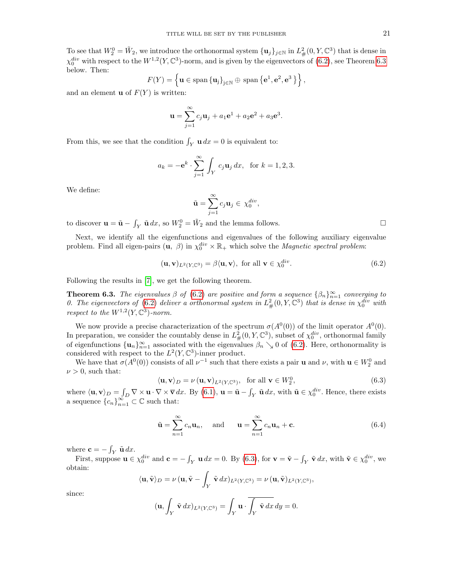To see that  $W_2^0 = \tilde{W}_2$ , we introduce the orthonormal system  $\{u_j\}_{j\in\mathbb{N}}$  in  $L^2_{\#}(0, Y, \mathbb{C}^3)$  that is dense in  $\chi_0^{div}$  with respect to the  $W^{1,2}(Y,\mathbb{C}^3)$ -norm, and is given by the eigenvectors of  $(6.2)$ , see Theorem [6.3](#page-20-1) below. Then:

$$
F(Y) = \left\{ \mathbf{u} \in \text{span} \left\{ \mathbf{u}_j \right\}_{j \in \mathbb{N}} \oplus \text{ span} \left\{ \mathbf{e}^1, \mathbf{e}^2, \mathbf{e}^3 \right\} \right\},
$$

and an element **u** of  $F(Y)$  is written:

$$
\mathbf{u} = \sum_{j=1}^{\infty} c_j \mathbf{u}_j + a_1 \mathbf{e}^1 + a_2 \mathbf{e}^2 + a_3 \mathbf{e}^3.
$$

From this, we see that the condition  $\int_Y u \, dx = 0$  is equivalent to:

$$
a_k = -e^k \cdot \sum_{j=1}^{\infty} \int_Y c_j u_j dx
$$
, for  $k = 1, 2, 3$ .

We define:

$$
\tilde{\mathbf{u}} = \sum_{j=1}^{\infty} c_j \mathbf{u}_j \in \chi_0^{div},
$$

to discover  $\mathbf{u} = \tilde{\mathbf{u}} - \int_Y \tilde{\mathbf{u}} \, dx$ , so  $W_2^0 = \tilde{W}_2$  and the lemma follows.

Next, we identify all the eigenfunctions and eigenvalues of the following auxiliary eigenvalue problem. Find all eigen-pairs  $(\mathbf{u}, \beta)$  in  $\chi_0^{div} \times \mathbb{R}_+$  which solve the *Magnetic spectral problem:* 

<span id="page-20-0"></span>
$$
(\mathbf{u}, \mathbf{v})_{L^2(Y, \mathbb{C}^3)} = \beta \langle \mathbf{u}, \mathbf{v} \rangle, \text{ for all } \mathbf{v} \in \chi_0^{div}.
$$
 (6.2)

Following the results in [\[7\]](#page-35-2), we get the following theorem.

<span id="page-20-1"></span>**Theorem 6.3.** The eigenvalues  $\beta$  of [\(6.2\)](#page-20-0) are positive and form a sequence  $\{\beta_n\}_{n=1}^{\infty}$  converging to 0. The eigenvectors of [\(6.2\)](#page-20-0) deliver a orthonormal system in  $L^2_{\#}(0, Y, \mathbb{C}^3)$  that is dense in  $\chi_0^{div}$  with respect to the  $W^{1,2}(Y, \mathbb{C}^3)$ -norm.

We now provide a precise characterization of the spectrum  $\sigma(A^0(0))$  of the limit operator  $A^0(0)$ . In preparation, we consider the countably dense in  $L^2_{\#}(0, Y, \mathbb{C}^3)$ , subset of  $\chi_0^{div}$ , orthonormal family of eigenfunctions  $\{\mathbf u_n\}_{n=1}^\infty$  associated with the eigenvalues  $\beta_n \searrow 0$  of [\(6.2\)](#page-20-0). Here, orthonormality is considered with respect to the  $L^2(Y,\mathbb{C}^3)$ -inner product.

We have that  $\sigma(A^0(0))$  consists of all  $\nu^{-1}$  such that there exists a pair **u** and  $\nu$ , with  $\mathbf{u} \in W_2^0$  and  $\nu > 0$ , such that:

<span id="page-20-2"></span>
$$
\langle \mathbf{u}, \mathbf{v} \rangle_D = \nu \left( \mathbf{u}, \mathbf{v} \right)_{L^2(Y, \mathbb{C}^3)}, \text{ for all } \mathbf{v} \in W_2^0,
$$
\n(6.3)

where  $\langle \mathbf{u}, \mathbf{v} \rangle_D = \int_D \nabla \times \mathbf{u} \cdot \nabla \times \nabla dx$ . By [\(6.1\)](#page-19-3),  $\mathbf{u} = \tilde{\mathbf{u}} - \int_Y \tilde{\mathbf{u}} dx$ , with  $\tilde{\mathbf{u}} \in \chi_0^{div}$ . Hence, there exists a sequence  ${c_n}_{n=1}^{\infty} \subset \mathbb{C}$  such that:

<span id="page-20-3"></span>
$$
\tilde{\mathbf{u}} = \sum_{n=1}^{\infty} c_n \mathbf{u}_n, \text{ and } \mathbf{u} = \sum_{n=1}^{\infty} c_n \mathbf{u}_n + \mathbf{c}.
$$
 (6.4)

where  $\mathbf{c} = -\int_{V} \tilde{\mathbf{u}} dx$ .

First, suppose  $\mathbf{u} \in \chi_0^{div}$  and  $\mathbf{c} = -\int_Y \mathbf{u} \, dx = 0$ . By [\(6.3\)](#page-20-2), for  $\mathbf{v} = \tilde{\mathbf{v}} - \int_Y \tilde{\mathbf{v}} \, dx$ , with  $\tilde{\mathbf{v}} \in \chi_0^{div}$ , we obtain:

$$
\langle \mathbf{u}, \tilde{\mathbf{v}} \rangle_D = \nu \left( \mathbf{u}, \tilde{\mathbf{v}} - \int_Y \tilde{\mathbf{v}} \, dx \right)_{L^2(Y, \mathbb{C}^3)} = \nu \left( \mathbf{u}, \tilde{\mathbf{v}} \right)_{L^2(Y, \mathbb{C}^3)},
$$

since:

$$
(\mathbf{u}, \int_Y \tilde{\mathbf{v}} \, dx)_{L^2(Y, \mathbb{C}^3)} = \int_Y \mathbf{u} \cdot \overline{\int_Y \tilde{\mathbf{v}} \, dx} \, dy = 0.
$$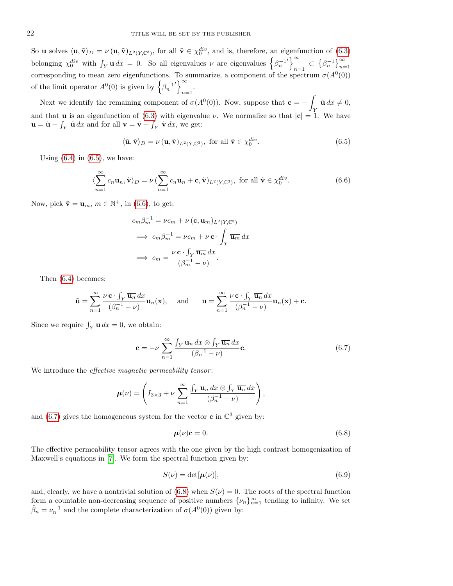So **u** solves  $\langle \mathbf{u}, \tilde{\mathbf{v}} \rangle_D = \nu(\mathbf{u}, \tilde{\mathbf{v}})_{L^2(Y,\mathbb{C}^3)}$ , for all  $\tilde{\mathbf{v}} \in \chi_0^{div}$ , and is, therefore, an eigenfunction of [\(6.3\)](#page-20-2) belonging  $\chi_0^{div}$  with  $\int_Y \mathbf{u} \, dx = 0$ . So all eigenvalues  $\nu$  are eigenvalues  $\left\{\beta_n^{-1}\right\}$  $\bar{\mathfrak{g}}$  $\sum_{n=1}^{\infty}$   $\subset$   $\left\{\beta_n^{-1}\right\}_{n=1}^{\infty}$ corresponding to mean zero eigenfunctions. To summarize, a component of the spectrum  $\sigma(A^0(0))$ of the limit operator  $A^0(0)$  is given by  $\left\{\beta_n^{-1}\right\}$  $\bigwedge^{\infty}$  $n=1$ 

Next we identify the remaining component of  $\sigma(A^0(0))$ . Now, suppose that  $\mathbf{c} = -$ Y  $\tilde{\mathbf{u}} dx \neq 0,$ and that **u** is an eigenfunction of [\(6.3\)](#page-20-2) with eigenvalue  $\nu$ . We normalize so that  $|\mathbf{c}| = 1$ . We have  $\mathbf{u} = \tilde{\mathbf{u}} - \int_Y \tilde{\mathbf{u}} \, dx$  and for all  $\mathbf{v} = \tilde{\mathbf{v}} - \int_Y \tilde{\mathbf{v}} \, dx$ , we get:

<span id="page-21-0"></span>
$$
\langle \tilde{\mathbf{u}}, \tilde{\mathbf{v}} \rangle_D = \nu \left( \mathbf{u}, \tilde{\mathbf{v}} \right)_{L^2(Y, \mathbb{C}^3)}, \text{ for all } \tilde{\mathbf{v}} \in \chi_0^{div}.
$$
 (6.5)

Using  $(6.4)$  in  $(6.5)$ , we have:

<span id="page-21-1"></span>
$$
\langle \sum_{n=1}^{\infty} c_n \mathbf{u}_n, \tilde{\mathbf{v}} \rangle_D = \nu \left( \sum_{n=1}^{\infty} c_n \mathbf{u}_n + \mathbf{c}, \tilde{\mathbf{v}} \right)_{L^2(Y, \mathbb{C}^3)}, \text{ for all } \tilde{\mathbf{v}} \in \chi_0^{div}.
$$
 (6.6)

Now, pick  $\tilde{\mathbf{v}} = \mathbf{u}_m$ ,  $m \in \mathbb{N}^+$ , in [\(6.6\)](#page-21-1), to get:

$$
c_m \beta_m^{-1} = \nu c_m + \nu (\mathbf{c}, \mathbf{u}_m)_{L^2(Y, \mathbb{C}^3)}
$$
  
\n
$$
\implies c_m \beta_m^{-1} = \nu c_m + \nu \mathbf{c} \cdot \int_Y \overline{\mathbf{u}_m} \, dx
$$
  
\n
$$
\implies c_m = \frac{\nu \mathbf{c} \cdot \int_Y \overline{\mathbf{u}_m} \, dx}{(\beta_m^{-1} - \nu)}.
$$

Then [\(6.4\)](#page-20-3) becomes:

$$
\tilde{\mathbf{u}} = \sum_{n=1}^{\infty} \frac{\nu \mathbf{c} \cdot \int_Y \overline{\mathbf{u}_n} \, dx}{(\beta_n^{-1} - \nu)} \mathbf{u}_n(\mathbf{x}), \quad \text{and} \quad \mathbf{u} = \sum_{n=1}^{\infty} \frac{\nu \mathbf{c} \cdot \int_Y \overline{\mathbf{u}_n} \, dx}{(\beta_n^{-1} - \nu)} \mathbf{u}_n(\mathbf{x}) + \mathbf{c}.
$$

Since we require  $\int_Y u \, dx = 0$ , we obtain:

<span id="page-21-2"></span>
$$
\mathbf{c} = -\nu \sum_{n=1}^{\infty} \frac{\int_{Y} \mathbf{u}_{n} dx \otimes \int_{Y} \overline{\mathbf{u}_{n}} dx}{(\beta_{n}^{-1} - \nu)} \mathbf{c}.
$$
 (6.7)

We introduce the *effective magnetic permeability tensor*:

$$
\mu(\nu) = \left(I_{3\times 3} + \nu \sum_{n=1}^{\infty} \frac{\int_{Y} \mathbf{u}_{n} dx \otimes \int_{Y} \overline{\mathbf{u}_{n}} dx}{(\beta_{n}^{-1} - \nu)}\right),
$$

and [\(6.7\)](#page-21-2) gives the homogeneous system for the vector **c** in  $\mathbb{C}^3$  given by:

<span id="page-21-3"></span>
$$
\mu(\nu)\mathbf{c} = 0. \tag{6.8}
$$

The effective permeability tensor agrees with the one given by the high contrast homogenization of Maxwell's equations in [\[7\]](#page-35-2). We form the spectral function given by:

$$
S(\nu) = \det[\mu(\nu)],\tag{6.9}
$$

and, clearly, we have a nontrivial solution of  $(6.8)$  when  $S(\nu) = 0$ . The roots of the spectral function form a countable non-decreasing sequence of positive numbers  $\{\nu_n\}_{n=1}^{\infty}$  tending to infinity. We set  $\tilde{\beta}_n = \nu_n^{-1}$  and the complete characterization of  $\sigma(A^0(0))$  given by: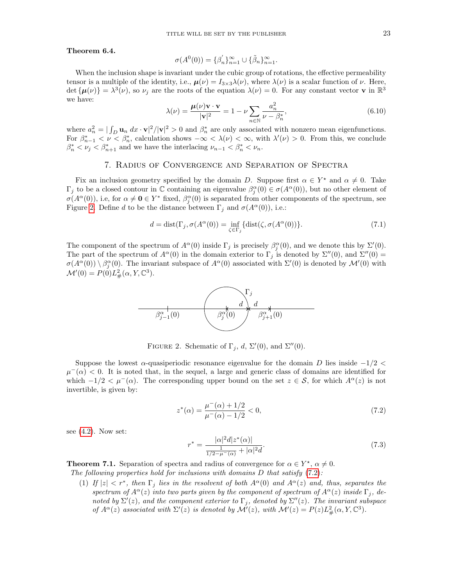#### Theorem 6.4.

$$
\sigma(A^0(0)) = {\beta'_n}_{n=1}^{\infty} \cup {\tilde{\beta}_n}_{n=1}^{\infty}.
$$

When the inclusion shape is invariant under the cubic group of rotations, the effective permeability tensor is a multiple of the identity, i.e.,  $\mu(\nu) = I_{3\times 3}\lambda(\nu)$ , where  $\lambda(\nu)$  is a scalar function of  $\nu$ . Here, det  $\{\mu(\nu)\} = \lambda^3(\nu)$ , so  $\nu_j$  are the roots of the equation  $\lambda(\nu) = 0$ . For any constant vector **v** in  $\mathbb{R}^3$ we have:

$$
\lambda(\nu) = \frac{\mu(\nu)\mathbf{v} \cdot \mathbf{v}}{|\mathbf{v}|^2} = 1 - \nu \sum_{n \in \mathbb{N}} \frac{a_n^2}{\nu - \beta_n^*},\tag{6.10}
$$

where  $a_n^2 = |\int_D \mathbf{u}_n dx \cdot \mathbf{v}|^2 / |\mathbf{v}|^2 > 0$  and  $\beta_n^*$  are only associated with nonzero mean eigenfunctions. where  $a_n - \frac{1}{D} a_n$  and  $\cdots$   $\left| \frac{1}{r} \right| \ge 0$  and  $\beta_n$  are only associated with nonzero mean eigenfunctions.<br>For  $\beta_{n-1}^* < \nu < \beta_n^*$ , calculation shows  $-\infty < \lambda(\nu) < \infty$ , with  $\lambda'(\nu) > 0$ . From this, we conclude  $\beta_n^* < \nu_j < \beta_{n+1}^*$  and we have the interlacing  $\nu_{n-1} < \beta_n^* < \nu_n$ .

## 7. Radius of Convergence and Separation of Spectra

<span id="page-22-1"></span>Fix an inclusion geometry specified by the domain D. Suppose first  $\alpha \in Y^*$  and  $\alpha \neq 0$ . Take  $\Gamma_j$  to be a closed contour in  $\mathbb C$  containing an eigenvalue  $\beta_j^{\alpha}(0) \in \sigma(A^{\alpha}(0))$ , but no other element of  $\sigma(A^{\alpha}(0))$ , i.e, for  $\alpha \neq \mathbf{0} \in Y^*$  fixed,  $\beta_j^{\alpha}(0)$  is separated from other components of the spectrum, see Figure [2.](#page-22-2) Define d to be the distance between  $\Gamma_i$  and  $\sigma(A^{\alpha}(0))$ , i.e.:

<span id="page-22-5"></span>
$$
d = \text{dist}(\Gamma_j, \sigma(A^{\alpha}(0))) = \inf_{\zeta \in \Gamma_j} \{ \text{dist}(\zeta, \sigma(A^{\alpha}(0)) \}. \tag{7.1}
$$

The component of the spectrum of  $A^{\alpha}(0)$  inside  $\Gamma_j$  is precisely  $\beta_j^{\alpha}(0)$ , and we denote this by  $\Sigma'(0)$ . The part of the spectrum of  $A^{\alpha}(0)$  in the domain exterior to  $\Gamma_j$  is denoted by  $\Sigma''(0)$ , and  $\Sigma''(0)$  =  $\sigma(A^{\alpha}(0))\setminus\beta^{\alpha}_{j}(0)$ . The invariant subspace of  $A^{\alpha}(0)$  associated with  $\Sigma'(0)$  is denoted by  $\mathcal{M}'(0)$  with  $\mathcal{M}'(0) = P(0)L^2_{\#}(\alpha, Y, \mathbb{C}^3).$ 



<span id="page-22-2"></span>FIGURE 2. Schematic of  $\Gamma_j$ , d,  $\Sigma'(0)$ , and  $\Sigma''(0)$ .

Suppose the lowest  $\alpha$ -quasiperiodic resonance eigenvalue for the domain D lies inside  $-1/2$  <  $\mu^-(\alpha)$  < 0. It is noted that, in the sequel, a large and generic class of domains are identified for which  $-1/2 < \mu^-(\alpha)$ . The corresponding upper bound on the set  $z \in \mathcal{S}$ , for which  $A^{\alpha}(z)$  is not invertible, is given by:

<span id="page-22-3"></span>
$$
z^*(\alpha) = \frac{\mu^-(\alpha) + 1/2}{\mu^-(\alpha) - 1/2} < 0,\tag{7.2}
$$

see  $(4.2)$ . Now set:

<span id="page-22-4"></span>
$$
r^* = \frac{|\alpha|^2 d|z^*(\alpha)|}{\frac{1}{1/2 - \mu^-(\alpha)} + |\alpha|^2 d}.
$$
\n(7.3)

<span id="page-22-0"></span>**Theorem 7.1.** Separation of spectra and radius of convergence for  $\alpha \in Y^*$ ,  $\alpha \neq 0$ . The following properties hold for inclusions with domains  $D$  that satisfy  $(7.2)$ :

(1) If  $|z| < r^*$ , then  $\Gamma_j$  lies in the resolvent of both  $A^{\alpha}(0)$  and  $A^{\alpha}(z)$  and, thus, separates the spectrum of  $A^{\alpha}(z)$  into two parts given by the component of spectrum of  $A^{\alpha}(z)$  inside  $\Gamma_i$ , denoted by  $\Sigma'(z)$ , and the component exterior to  $\Gamma_j$ , denoted by  $\Sigma''(z)$ . The invariant subspace of  $A^{\alpha}(z)$  associated with  $\Sigma'(z)$  is denoted by  $\mathcal{M}'(z)$ , with  $\mathcal{M}'(z) = P(z)L_{\#}^{2}(\alpha, Y, \mathbb{C}^{3})$ .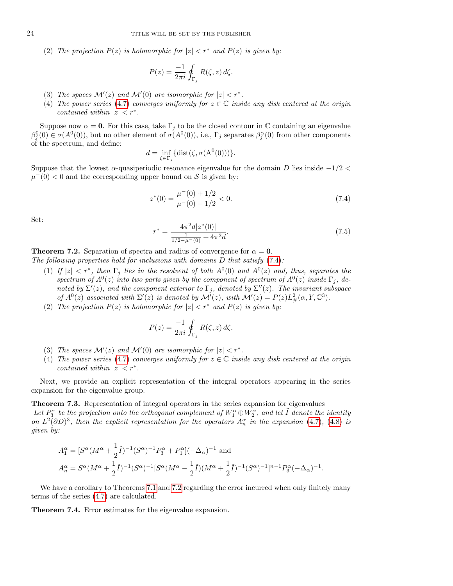(2) The projection  $P(z)$  is holomorphic for  $|z| < r^*$  and  $P(z)$  is given by:

$$
P(z) = \frac{-1}{2\pi i} \oint_{\Gamma_j} R(\zeta, z) d\zeta.
$$

- (3) The spaces  $\mathcal{M}'(z)$  and  $\mathcal{M}'(0)$  are isomorphic for  $|z| < r^*$ .
- (4) The power series [\(4.7\)](#page-18-4) converges uniformly for  $z \in \mathbb{C}$  inside any disk centered at the origin contained within  $|z| < r^*$ .

Suppose now  $\alpha = 0$ . For this case, take  $\Gamma_i$  to be the closed contour in C containing an eigenvalue  $\beta_j^0(0) \in \sigma(A^0(0))$ , but no other element of  $\sigma(A^0(0))$ , i.e.,  $\Gamma_j$  separates  $\beta_j^{\alpha}(0)$  from other components of the spectrum, and define:

$$
d = \inf_{\zeta \in \Gamma_j} \{ \text{dist}(\zeta, \sigma(\mathbf{A}^0(0))) \}.
$$

Suppose that the lowest  $\alpha$ -quasiperiodic resonance eigenvalue for the domain D lies inside  $-1/2$  <  $\mu^-(0) < 0$  and the corresponding upper bound on S is given by:

<span id="page-23-1"></span>
$$
z^*(0) = \frac{\mu^-(0) + 1/2}{\mu^-(0) - 1/2} < 0. \tag{7.4}
$$

Set:

<span id="page-23-2"></span>
$$
r^* = \frac{4\pi^2 d|z^*(0)|}{\frac{1}{1/2 - \mu^-(0)} + 4\pi^2 d}.\tag{7.5}
$$

<span id="page-23-0"></span>**Theorem 7.2.** Separation of spectra and radius of convergence for  $\alpha = 0$ .

The following properties hold for inclusions with domains  $D$  that satisfy  $(7.4)$ :

- (1) If  $|z| < r^*$ , then  $\Gamma_j$  lies in the resolvent of both  $A^0(0)$  and  $A^0(z)$  and, thus, separates the spectrum of  $A^0(z)$  into two parts given by the component of spectrum of  $A^0(z)$  inside  $\Gamma_j$ , denoted by  $\Sigma'(z)$ , and the component exterior to  $\Gamma_j$ , denoted by  $\Sigma''(z)$ . The invariant subspace of  $A^0(z)$  associated with  $\Sigma'(z)$  is denoted by  $\mathcal{M}'(z)$ , with  $\mathcal{M}'(z) = P(z)L^2_{\#}(\alpha, Y, \mathbb{C}^3)$ .
- (2) The projection  $P(z)$  is holomorphic for  $|z| < r^*$  and  $P(z)$  is given by:

$$
P(z) = \frac{-1}{2\pi i} \oint_{\Gamma_j} R(\zeta, z) d\zeta.
$$

- (3) The spaces  $\mathcal{M}'(z)$  and  $\mathcal{M}'(0)$  are isomorphic for  $|z| < r^*$ .
- (4) The power series [\(4.7\)](#page-18-4) converges uniformly for  $z \in \mathbb{C}$  inside any disk centered at the origin contained within  $|z| < r^*$ .

Next, we provide an explicit representation of the integral operators appearing in the series expansion for the eigenvalue group.

<span id="page-23-4"></span>Theorem 7.3. Representation of integral operators in the series expansion for eigenvalues Let  $P_3^{\alpha}$  be the projection onto the orthogonal complement of  $W_1^{\alpha} \oplus W_2^{\alpha}$ , and let  $\tilde{I}$  denote the identity on  $L^2(\partial D)^3$ , then the explicit representation for the operators  $A_n^{\alpha}$  in the expansion [\(4.7\)](#page-18-4), [\(4.8\)](#page-18-5) is given by:

$$
\begin{split} &A_{1}^{\alpha}=[S^{\alpha}(M^{\alpha}+\frac{1}{2}\tilde{I})^{-1}(S^{\alpha})^{-1}P_{3}^{\alpha}+P_{1}^{\alpha}](-\Delta_{\alpha})^{-1}\text{ and}\\ &A_{n}^{\alpha}=S^{\alpha}(M^{\alpha}+\frac{1}{2}\tilde{I})^{-1}(S^{\alpha})^{-1}[S^{\alpha}(M^{\alpha}-\frac{1}{2}\tilde{I})(M^{\alpha}+\frac{1}{2}\tilde{I})^{-1}(S^{\alpha})^{-1}]^{n-1}P_{3}^{\alpha}(-\Delta_{\alpha})^{-1}. \end{split}
$$

We have a corollary to Theorems [7.1](#page-22-0) and [7.2](#page-23-0) regarding the error incurred when only finitely many terms of the series [\(4.7\)](#page-18-4) are calculated.

<span id="page-23-3"></span>Theorem 7.4. Error estimates for the eigenvalue expansion.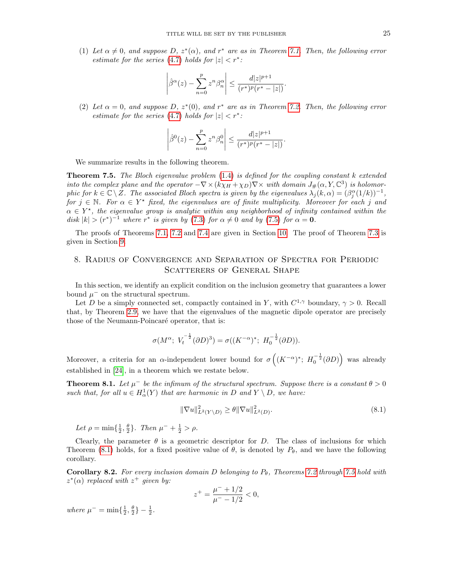(1) Let  $\alpha \neq 0$ , and suppose D,  $z^*(\alpha)$ , and  $r^*$  are as in Theorem [7.1.](#page-22-0) Then, the following error estimate for the series [\(4.7\)](#page-18-4) holds for  $|z| < r^*$ :

$$
\left|\hat{\beta}^{\alpha}(z) - \sum_{n=0}^{p} z^{n} \beta_{n}^{\alpha}\right| \leq \frac{d|z|^{p+1}}{(r^{*})^{p}(r^{*}-|z|)}.
$$

(2) Let  $\alpha = 0$ , and suppose D,  $z^*(0)$ , and  $r^*$  are as in Theorem [7.2.](#page-23-0) Then, the following error estimate for the series [\(4.7\)](#page-18-4) holds for  $|z| < r^*$ :

$$
\left| \hat{\beta}^{0}(z) - \sum_{n=0}^{p} z^{n} \beta_{n}^{0} \right| \leq \frac{d|z|^{p+1}}{(r^{*})^{p}(r^{*} - |z|)}.
$$

We summarize results in the following theorem.

<span id="page-24-2"></span>**Theorem 7.5.** The Bloch eigenvalue problem  $(1.4)$  is defined for the coupling constant k extended into the complex plane and the operator  $-\nabla \times (k\chi_H + \chi_D) \nabla \times$  with domain  $J_\#(\alpha, Y, \mathbb{C}^3)$  is holomorphic for  $k \in \mathbb{C} \setminus Z$ . The associated Bloch spectra is given by the eigenvalues  $\lambda_j(k, \alpha) = (\beta_j^{\alpha}(1/k))^{-1}$ , for  $j \in \mathbb{N}$ . For  $\alpha \in Y^*$  fixed, the eigenvalues are of finite multiplicity. Moreover for each j and  $\alpha \in Y^*$ , the eigenvalue group is analytic within any neighborhood of infinity contained within the disk  $|k| > (r^*)^{-1}$  where  $r^*$  is given by [\(7.3\)](#page-22-4) for  $\alpha \neq 0$  and by [\(7.5\)](#page-23-2) for  $\alpha = 0$ .

The proofs of Theorems [7.1,](#page-22-0) [7.2](#page-23-0) and [7.4](#page-23-3) are given in Section [10.](#page-27-0) The proof of Theorem [7.3](#page-23-4) is given in Section [9.](#page-26-0)

## <span id="page-24-0"></span>8. Radius of Convergence and Separation of Spectra for Periodic SCATTERERS OF GENERAL SHAPE

In this section, we identify an explicit condition on the inclusion geometry that guarantees a lower bound  $\mu^-$  on the structural spectrum.

Let D be a simply connected set, compactly contained in Y, with  $C^{1,\gamma}$  boundary,  $\gamma > 0$ . Recall that, by Theorem [2.9,](#page-11-5) we have that the eigenvalues of the magnetic dipole operator are precisely those of the Neumann-Poincaré operator, that is:

$$
\sigma(M^{\alpha};\ V_t^{-\frac{1}{2}}(\partial D)^3) = \sigma((K^{-\alpha})^*;\ H_0^{-\frac{1}{2}}(\partial D)).
$$

Moreover, a criteria for an  $\alpha$ -independent lower bound for  $\sigma\left((K^{-\alpha})^*; H_0^{-\frac{1}{2}}(\partial D)\right)$  was already established in [\[24\]](#page-36-9), in a theorem which we restate below.

<span id="page-24-1"></span>**Theorem 8.1.** Let  $\mu^-$  be the infimum of the structural spectrum. Suppose there is a constant  $\theta > 0$ such that, for all  $u \in H^1_\alpha(Y)$  that are harmonic in D and  $Y \setminus D$ , we have:

<span id="page-24-3"></span>
$$
\|\nabla u\|_{L^2(Y \setminus D)}^2 \ge \theta \|\nabla u\|_{L^2(D)}^2.
$$
\n(8.1)

Let  $\rho = \min\{\frac{1}{2}, \frac{\theta}{2}\}\$ . Then  $\mu^- + \frac{1}{2} > \rho$ .

Clearly, the parameter  $\theta$  is a geometric descriptor for D. The class of inclusions for which Theorem [\(8.1\)](#page-24-1) holds, for a fixed positive value of  $\theta$ , is denoted by  $P_{\theta}$ , and we have the following corollary.

**Corollary 8.2.** For every inclusion domain D belonging to  $P_{\theta}$ , Theorems [7.2](#page-23-0) through [7.5](#page-24-2) hold with  $z^*(\alpha)$  replaced with  $z^+$  given by:

$$
z^{+} = \frac{\mu^{-} + 1/2}{\mu^{-} - 1/2} < 0,
$$

where  $\mu^- = \min\{\frac{1}{2}, \frac{\theta}{2}\} - \frac{1}{2}$ .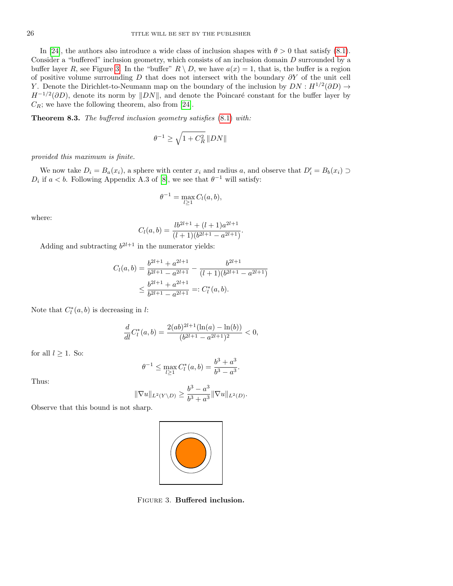In [\[24\]](#page-36-9), the authors also introduce a wide class of inclusion shapes with  $\theta > 0$  that satisfy [\(8.1\)](#page-24-3). Consider a "buffered" inclusion geometry, which consists of an inclusion domain D surrounded by a buffer layer R, see Figure [3.](#page-25-0) In the "buffer"  $R \setminus D$ , we have  $a(x) = 1$ , that is, the buffer is a region of positive volume surrounding D that does not intersect with the boundary  $\partial Y$  of the unit cell Y. Denote the Dirichlet-to-Neumann map on the boundary of the inclusion by  $DN: H^{1/2}(\partial D) \to$  $H^{-1/2}(\partial D)$ , denote its norm by  $||DN||$ , and denote the Poincaré constant for the buffer layer by  $C_R$ ; we have the following theorem, also from [\[24\]](#page-36-9).

Theorem 8.3. The buffered inclusion geometry satisfies [\(8.1\)](#page-24-3) with:

$$
\theta^{-1}\geq \sqrt{1+C_R^2}\,\|DN\|
$$

provided this maximum is finite.

We now take  $D_i = B_a(x_i)$ , a sphere with center  $x_i$  and radius a, and observe that  $D'_i = B_b(x_i) \supset$  $D_i$  if  $a < b$ . Following Appendix A.3 of [\[8\]](#page-35-8), we see that  $\theta^{-1}$  will satisfy:

$$
\theta^{-1} = \max_{l \ge 1} C_l(a, b),
$$

where:

$$
C_l(a,b) = \frac{lb^{2l+1} + (l+1)a^{2l+1}}{(l+1)(b^{2l+1} - a^{2l+1})}.
$$

Adding and subtracting  $b^{2l+1}$  in the numerator yields:

$$
C_l(a,b) = \frac{b^{2l+1} + a^{2l+1}}{b^{2l+1} - a^{2l+1}} - \frac{b^{2l+1}}{(l+1)(b^{2l+1} - a^{2l+1})}
$$
  

$$
\leq \frac{b^{2l+1} + a^{2l+1}}{b^{2l+1} - a^{2l+1}} =: C_l^*(a,b).
$$

Note that  $C_l^*(a, b)$  is decreasing in l:

$$
\frac{d}{dl}C_l^*(a,b) = \frac{2(ab)^{2l+1}(\ln(a) - \ln(b))}{(b^{2l+1} - a^{2l+1})^2} < 0,
$$

for all  $l \geq 1$ . So:

$$
\theta^{-1} \le \max_{l \ge 1} C_l^*(a, b) = \frac{b^3 + a^3}{b^3 - a^3}.
$$

Thus:

$$
\|\nabla u\|_{L^2(Y \setminus D)} \ge \frac{b^3 - a^3}{b^3 + a^3} \|\nabla u\|_{L^2(D)}.
$$

Observe that this bound is not sharp.

<span id="page-25-0"></span>

Figure 3. Buffered inclusion.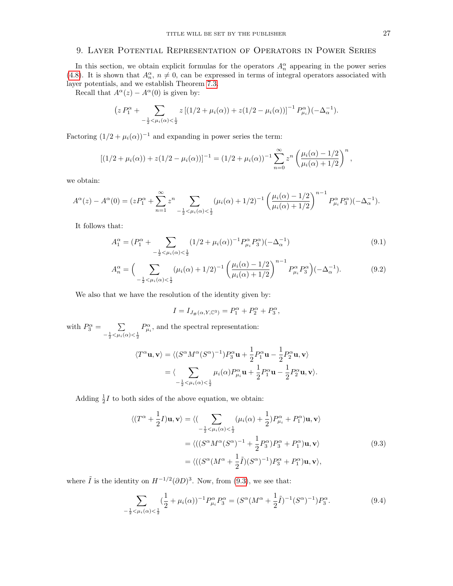# <span id="page-26-0"></span>9. Layer Potential Representation of Operators in Power Series

In this section, we obtain explicit formulas for the operators  $A_n^{\alpha}$  appearing in the power series [\(4.8\)](#page-18-5). It is shown that  $A_n^{\alpha}$ ,  $n \neq 0$ , can be expressed in terms of integral operators associated with layer potentials, and we establish Theorem [7.3.](#page-23-4)

Recall that  $A^{\alpha}(z) - A^{\alpha}(0)$  is given by:

$$
\left(z P_1^{\alpha} + \sum_{-\frac{1}{2} < \mu_i(\alpha) < \frac{1}{2}} z \left[ (1/2 + \mu_i(\alpha)) + z (1/2 - \mu_i(\alpha)) \right]^{-1} P_{\mu_i}^{\alpha} \right) (-\Delta_{\alpha}^{-1}).
$$

Factoring  $(1/2 + \mu_i(\alpha))^{-1}$  and expanding in power series the term:

$$
[(1/2 + \mu_i(\alpha)) + z(1/2 - \mu_i(\alpha))]^{-1} = (1/2 + \mu_i(\alpha))^{-1} \sum_{n=0}^{\infty} z^n \left( \frac{\mu_i(\alpha) - 1/2}{\mu_i(\alpha) + 1/2} \right)^n,
$$

we obtain:

$$
A^{\alpha}(z) - A^{\alpha}(0) = (zP_1^{\alpha} + \sum_{n=1}^{\infty} z^n \sum_{-\frac{1}{2} < \mu_i(\alpha) < \frac{1}{2}} (\mu_i(\alpha) + 1/2)^{-1} \left( \frac{\mu_i(\alpha) - 1/2}{\mu_i(\alpha) + 1/2} \right)^{n-1} P_{\mu_i}^{\alpha} P_3^{\alpha} ( - \Delta_{\alpha}^{-1} ).
$$

It follows that:

$$
A_1^{\alpha} = (P_1^{\alpha} + \sum_{-\frac{1}{2} < \mu_i(\alpha) < \frac{1}{2}} (1/2 + \mu_i(\alpha))^{-1} P_{\mu_i}^{\alpha} P_3^{\alpha}) (-\Delta_{\alpha}^{-1})
$$
\n(9.1)

$$
A_n^{\alpha} = \Big( \sum_{-\frac{1}{2} < \mu_i(\alpha) < \frac{1}{2}} (\mu_i(\alpha) + 1/2)^{-1} \left( \frac{\mu_i(\alpha) - 1/2}{\mu_i(\alpha) + 1/2} \right)^{n-1} P_{\mu_i}^{\alpha} P_3^{\alpha} \Big) (-\Delta_{\alpha}^{-1}). \tag{9.2}
$$

We also that we have the resolution of the identity given by:

<span id="page-26-4"></span><span id="page-26-2"></span><span id="page-26-1"></span>
$$
I = I_{J_{\#}(\alpha, Y, \mathbb{C}^3)} = P_1^{\alpha} + P_2^{\alpha} + P_3^{\alpha},
$$

with  $P_3^{\alpha} = \sum$  $-\frac{1}{2} < \mu_i(\alpha) < \frac{1}{2}$  $P^{\alpha}_{\mu_i}$ , and the spectral representation:

$$
\langle T^{\alpha} \mathbf{u}, \mathbf{v} \rangle = \langle (S^{\alpha} M^{\alpha} (S^{\alpha})^{-1}) P_3^{\alpha} \mathbf{u} + \frac{1}{2} P_1^{\alpha} \mathbf{u} - \frac{1}{2} P_2^{\alpha} \mathbf{u}, \mathbf{v} \rangle
$$
  
= 
$$
\langle \sum_{-\frac{1}{2} < \mu_i(\alpha) < \frac{1}{2}} \mu_i(\alpha) P_{\mu_i}^{\alpha} \mathbf{u} + \frac{1}{2} P_1^{\alpha} \mathbf{u} - \frac{1}{2} P_2^{\alpha} \mathbf{u}, \mathbf{v} \rangle.
$$

Adding  $\frac{1}{2}I$  to both sides of the above equation, we obtain:

$$
\langle (T^{\alpha} + \frac{1}{2}I)\mathbf{u}, \mathbf{v} \rangle = \langle (\sum_{-\frac{1}{2} < \mu_i(\alpha) < \frac{1}{2}} (\mu_i(\alpha) + \frac{1}{2})P^{\alpha}_{\mu_i} + P^{\alpha}_1)\mathbf{u}, \mathbf{v} \rangle
$$
  
\n
$$
= \langle ((S^{\alpha}M^{\alpha}(S^{\alpha})^{-1} + \frac{1}{2}P^{\alpha}_3)P^{\alpha}_3 + P^{\alpha}_1)\mathbf{u}, \mathbf{v} \rangle
$$
  
\n
$$
= \langle ((S^{\alpha}(M^{\alpha} + \frac{1}{2}\tilde{I})(S^{\alpha})^{-1})P^{\alpha}_3 + P^{\alpha}_1)\mathbf{u}, \mathbf{v} \rangle,
$$
\n(9.3)

where  $\tilde{I}$  is the identity on  $H^{-1/2}(\partial D)^3$ . Now, from [\(9.3\)](#page-26-1), we see that:

<span id="page-26-3"></span>
$$
\sum_{-\frac{1}{2} < \mu_i(\alpha) < \frac{1}{2}} (\frac{1}{2} + \mu_i(\alpha))^{-1} P_{\mu_i}^{\alpha} P_3^{\alpha} = (S^{\alpha} (M^{\alpha} + \frac{1}{2}\tilde{I})^{-1} (S^{\alpha})^{-1}) P_3^{\alpha}.
$$
 (9.4)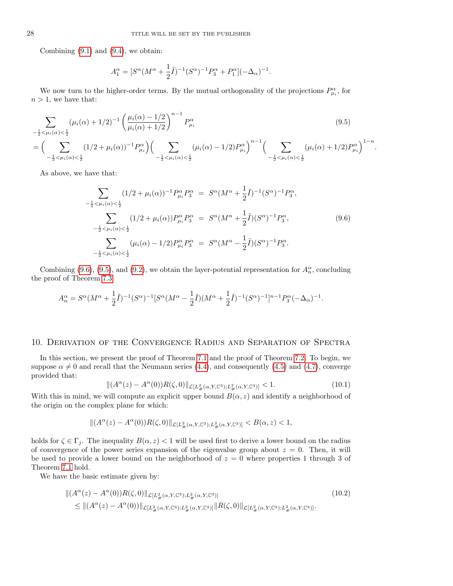Combining  $(9.1)$  and  $(9.4)$ , we obtain:

$$
A_1^{\alpha} = [S^{\alpha} (M^{\alpha} + \frac{1}{2}\tilde{I})^{-1} (S^{\alpha})^{-1} P_3^{\alpha} + P_1^{\alpha}] (-\Delta_{\alpha})^{-1}.
$$

We now turn to the higher-order terms. By the mutual orthogonality of the projections  $P^{\alpha}_{\mu_i}$ , for  $n > 1$ , we have that:

$$
\sum_{-\frac{1}{2} < \mu_i(\alpha) < \frac{1}{2}} (\mu_i(\alpha) + 1/2)^{-1} \left( \frac{\mu_i(\alpha) - 1/2}{\mu_i(\alpha) + 1/2} \right)^{n-1} P_{\mu_i}^{\alpha}
$$
(9.5)  
= 
$$
\Big( \sum_{-\frac{1}{2} < \mu_i(\alpha) < \frac{1}{2}} (1/2 + \mu_i(\alpha))^{-1} P_{\mu_i}^{\alpha} \Big) \Big( \sum_{-\frac{1}{2} < \mu_i(\alpha) < \frac{1}{2}} (\mu_i(\alpha) - 1/2) P_{\mu_i}^{\alpha} \Big)^{n-1} \Big( \sum_{-\frac{1}{2} < \mu_i(\alpha) < \frac{1}{2}} (\mu_i(\alpha) + 1/2) P_{\mu_i}^{\alpha} \Big)^{1-n}
$$

As above, we have that:

$$
\sum_{-\frac{1}{2} < \mu_i(\alpha) < \frac{1}{2}} (1/2 + \mu_i(\alpha))^{-1} P_{\mu_i}^{\alpha} P_3^{\alpha} = S^{\alpha} (M^{\alpha} + \frac{1}{2}\tilde{I})^{-1} (S^{\alpha})^{-1} P_3^{\alpha},
$$
  

$$
\sum_{-\frac{1}{2} < \mu_i(\alpha) < \frac{1}{2}} (1/2 + \mu_i(\alpha)) P_{\mu_i}^{\alpha} P_3^{\alpha} = S^{\alpha} (M^{\alpha} + \frac{1}{2}\tilde{I}) (S^{\alpha})^{-1} P_3^{\alpha},
$$
  

$$
\sum_{-\frac{1}{2} < \mu_i(\alpha) < \frac{1}{2}} (\mu_i(\alpha) - 1/2) P_{\mu_i}^{\alpha} P_3^{\alpha} = S^{\alpha} (M^{\alpha} - \frac{1}{2}\tilde{I}) (S^{\alpha})^{-1} P_3^{\alpha}.
$$
 (9.6)

<span id="page-27-2"></span><span id="page-27-1"></span>.

Combining [\(9.6\)](#page-27-1), [\(9.5\)](#page-27-2), and [\(9.2\)](#page-26-4), we obtain the layer-potential representation for  $A_n^{\alpha}$ , concluding the proof of Theorem [7.3:](#page-23-4)

$$
A_n^{\alpha} = S^{\alpha} (M^{\alpha} + \frac{1}{2} \tilde{I})^{-1} (S^{\alpha})^{-1} [S^{\alpha} (M^{\alpha} - \frac{1}{2} \tilde{I}) (M^{\alpha} + \frac{1}{2} \tilde{I})^{-1} (S^{\alpha})^{-1}]^{n-1} P_3^{\alpha} (-\Delta_{\alpha})^{-1}.
$$

## <span id="page-27-0"></span>10. Derivation of the Convergence Radius and Separation of Spectra

In this section, we present the proof of Theorem [7.1](#page-22-0) and the proof of Theorem [7.2.](#page-23-0) To begin, we suppose  $\alpha \neq 0$  and recall that the Neumann series [\(4.4\)](#page-17-1), and consequently [\(4.5\)](#page-17-2) and [\(4.7\)](#page-18-4), converge provided that:

<span id="page-27-4"></span><span id="page-27-3"></span>
$$
\|(A^{\alpha}(z) - A^{\alpha}(0))R(\zeta, 0)\|_{\mathcal{L}[L^2_{\#}(\alpha, Y, \mathbb{C}^3); L^2_{\#}(\alpha, Y, \mathbb{C}^3)]} < 1.
$$
\n(10.1)

With this in mind, we will compute an explicit upper bound  $B(\alpha, z)$  and identify a neighborhood of the origin on the complex plane for which:

$$
\|(A^\alpha(z)-A^\alpha(0))R(\zeta,0)\|_{\mathcal{L}[L^2_{\#}(\alpha, Y, \mathbb{C}^3); L^2_{\#}(\alpha, Y, \mathbb{C}^3)]}
$$

holds for  $\zeta \in \Gamma_j$ . The inequality  $B(\alpha, z) < 1$  will be used first to derive a lower bound on the radius of convergence of the power series expansion of the eigenvalue group about  $z = 0$ . Then, it will be used to provide a lower bound on the neighborhood of  $z = 0$  where properties 1 through 3 of Theorem [7.1](#page-22-0) hold.

We have the basic estimate given by:

$$
\| (A^{\alpha}(z) - A^{\alpha}(0)) R(\zeta, 0) \|_{\mathcal{L}[L^2_{\#}(\alpha, Y, \mathbb{C}^3); L^2_{\#}(\alpha, Y, \mathbb{C}^3)]} \leq \| (A^{\alpha}(z) - A^{\alpha}(0)) \|_{\mathcal{L}[L^2_{\#}(\alpha, Y, \mathbb{C}^3); L^2_{\#}(\alpha, Y, \mathbb{C}^3)]} \| R(\zeta, 0) \|_{\mathcal{L}[L^2_{\#}(\alpha, Y, \mathbb{C}^3); L^2_{\#}(\alpha, Y, \mathbb{C}^3)]}.
$$
\n(10.2)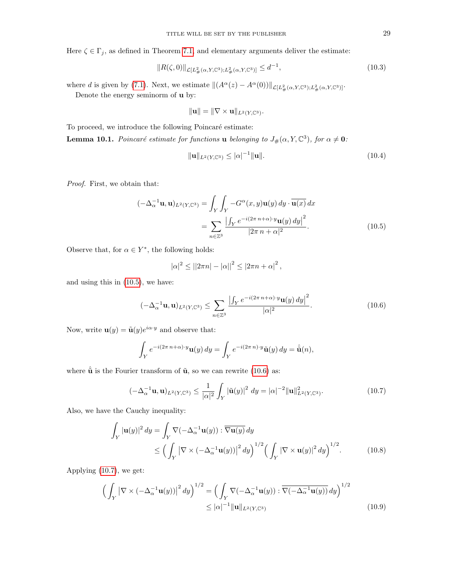Here  $\zeta \in \Gamma_j$ , as defined in Theorem [7.1,](#page-22-0) and elementary arguments deliver the estimate:

<span id="page-28-6"></span>
$$
||R(\zeta,0)||_{\mathcal{L}[L^2_{\#}(\alpha,Y,\mathbb{C}^3);L^2_{\#}(\alpha,Y,\mathbb{C}^3)]} \leq d^{-1},\tag{10.3}
$$

where d is given by [\(7.1\)](#page-22-5). Next, we estimate  $\|(A^{\alpha}(z) - A^{\alpha}(0))\|_{\mathcal{L}[L^2_{\#}(\alpha, Y, \mathbb{C}^3); L^2_{\#}(\alpha, Y, \mathbb{C}^3)]}$ .

Denote the energy seminorm of u by:

$$
\|\mathbf{u}\| = \|\nabla \times \mathbf{u}\|_{L^2(Y,\mathbb{C}^3)}.
$$

To proceed, we introduce the following Poincaré estimate:

**Lemma 10.1.** Poincaré estimate for functions **u** belonging to  $J_*(\alpha, Y, \mathbb{C}^3)$ , for  $\alpha \neq \mathbf{0}$ :

<span id="page-28-5"></span><span id="page-28-0"></span>
$$
\|\mathbf{u}\|_{L^{2}(Y,\mathbb{C}^{3})} \leq |\alpha|^{-1} \|\mathbf{u}\|.
$$
 (10.4)

Proof. First, we obtain that:

$$
\begin{aligned} (-\Delta_{\alpha}^{-1} \mathbf{u}, \mathbf{u})_{L^2(Y, \mathbb{C}^3)} &= \int_Y \int_Y -G^{\alpha}(x, y) \mathbf{u}(y) \, dy \cdot \overline{\mathbf{u}(x)} \, dx \\ &= \sum_{n \in \mathbb{Z}^3} \frac{\left| \int_Y e^{-i(2\pi \, n + \alpha) \cdot y} \mathbf{u}(y) \, dy \right|^2}{|2\pi \, n + \alpha|^2} . \end{aligned} \tag{10.5}
$$

Observe that, for  $\alpha \in Y^*$ , the following holds:

$$
|\alpha|^2 \leq ||2\pi n| - |\alpha||^2 \leq |2\pi n + \alpha|^2
$$
,

and using this in [\(10.5\)](#page-28-0), we have:

<span id="page-28-1"></span>
$$
(-\Delta_{\alpha}^{-1}\mathbf{u},\mathbf{u})_{L^{2}(Y,\mathbb{C}^{3})} \leq \sum_{n\in\mathbb{Z}^{3}}\frac{\left|\int_{Y}e^{-i(2\pi n+\alpha)\cdot y}\mathbf{u}(y)\,dy\right|^{2}}{|\alpha|^{2}}.\tag{10.6}
$$

Now, write  $\mathbf{u}(y) = \tilde{\mathbf{u}}(y)e^{i\alpha \cdot y}$  and observe that:

$$
\int_Y e^{-i(2\pi n + \alpha) \cdot y} \mathbf{u}(y) \, dy = \int_Y e^{-i(2\pi n) \cdot y} \tilde{\mathbf{u}}(y) \, dy = \hat{\tilde{\mathbf{u}}}(n),
$$

where  $\hat{\tilde{\mathbf{u}}}$  is the Fourier transform of  $\tilde{\mathbf{u}}$ , so we can rewrite [\(10.6\)](#page-28-1) as:

<span id="page-28-3"></span><span id="page-28-2"></span>
$$
(-\Delta_{\alpha}^{-1} \mathbf{u}, \mathbf{u})_{L^{2}(Y, \mathbb{C}^{3})} \leq \frac{1}{|\alpha|^{2}} \int_{Y} |\tilde{\mathbf{u}}(y)|^{2} dy = |\alpha|^{-2} \|\mathbf{u}\|_{L^{2}(Y, \mathbb{C}^{3})}^{2}.
$$
 (10.7)

Also, we have the Cauchy inequality:

$$
\int_{Y} |\mathbf{u}(y)|^{2} dy = \int_{Y} \nabla \left( -\Delta_{\alpha}^{-1} \mathbf{u}(y) \right) : \overline{\nabla \mathbf{u}(y)} dy
$$
\n
$$
\leq \left( \int_{Y} \left| \nabla \times \left( -\Delta_{\alpha}^{-1} \mathbf{u}(y) \right) \right|^{2} dy \right)^{1/2} \left( \int_{Y} \left| \nabla \times \mathbf{u}(y) \right|^{2} dy \right)^{1/2} . \tag{10.8}
$$

Applying [\(10.7\)](#page-28-2), we get:

<span id="page-28-4"></span>
$$
\left(\int_{Y} \left|\nabla \times \left(-\Delta_{\alpha}^{-1} \mathbf{u}(y)\right)\right|^{2} dy\right)^{1/2} = \left(\int_{Y} \nabla \left(-\Delta_{\alpha}^{-1} \mathbf{u}(y)\right) : \overline{\nabla \left(-\Delta_{\alpha}^{-1} \mathbf{u}(y)\right)} dy\right)^{1/2} \leq |\alpha|^{-1} \|\mathbf{u}\|_{L^{2}(Y, \mathbb{C}^{3})}
$$
\n(10.9)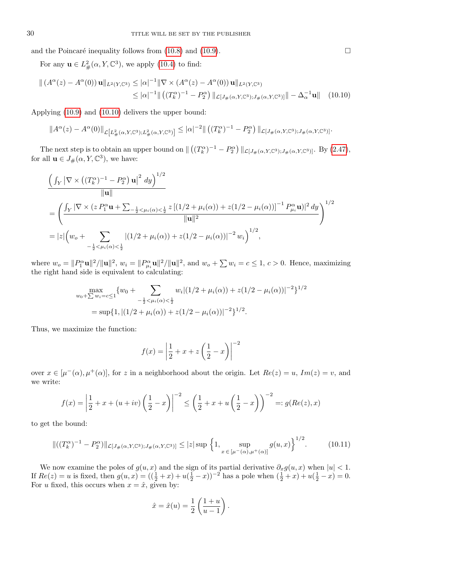and the Poincaré inequality follows from  $(10.8)$  and  $(10.9)$ .

For any  $\mathbf{u} \in L^2_{\#}(\alpha, Y, \mathbb{C}^3)$ , we apply [\(10.4\)](#page-28-5) to find:

$$
\| (A^{\alpha}(z) - A^{\alpha}(0)) \mathbf{u} \|_{L^{2}(Y,\mathbb{C}^{3})} \leq |\alpha|^{-1} \|\nabla \times (A^{\alpha}(z) - A^{\alpha}(0)) \mathbf{u} \|_{L^{2}(Y,\mathbb{C}^{3})}
$$
  
 
$$
\leq |\alpha|^{-1} \| ((T_{k}^{\alpha})^{-1} - P_{2}^{\alpha}) \|_{\mathcal{L}[J_{\#}(\alpha,Y,\mathbb{C}^{3});J_{\#}(\alpha,Y,\mathbb{C}^{3})]} \| - \Delta_{\alpha}^{-1} \mathbf{u} \| \quad (10.10)
$$

Applying [\(10.9\)](#page-28-4) and [\(10.10\)](#page-29-0) delivers the upper bound:

$$
||A^{\alpha}(z) - A^{\alpha}(0)||_{\mathcal{L}\left[L_{\#}^{2}(\alpha, Y, \mathbb{C}^{3}); L_{\#}^{2}(\alpha, Y, \mathbb{C}^{3})\right]} \leq |\alpha|^{-2} ||\left((T_{k}^{\alpha})^{-1} - P_{2}^{\alpha}\right)||_{\mathcal{L}\left[J_{\#}(\alpha, Y, \mathbb{C}^{3}); J_{\#}(\alpha, Y, \mathbb{C}^{3})\right]}.
$$

The next step is to obtain an upper bound on  $\|((T_k^{\alpha})^{-1} - P_2^{\alpha}) \|_{\mathcal{L}[J_{\#}(\alpha,Y,\mathbb{C}^3);J_{\#}(\alpha,Y,\mathbb{C}^3)]}$ . By [\(2.47\)](#page-14-4), for all  $\mathbf{u} \in J_{\#}(\alpha, Y, \mathbb{C}^3)$ , we have:

$$
\frac{\left(\int_Y |\nabla \times ((T_k^{\alpha})^{-1} - P_2^{\alpha}) \mathbf{u}|^2 dy\right)^{1/2}}{\|\mathbf{u}\|}
$$
\n
$$
= \left(\frac{\int_Y |\nabla \times (z P_1^{\alpha} \mathbf{u} + \sum_{-\frac{1}{2} < \mu_i(\alpha) < \frac{1}{2}} z \left[(1/2 + \mu_i(\alpha)) + z(1/2 - \mu_i(\alpha))\right]^{-1} P_{\mu_i}^{\alpha} \mathbf{u}|^2 dy}{\|\mathbf{u}\|^2}\right)^{1/2}
$$
\n
$$
= |z| \left(w_o + \sum_{-\frac{1}{2} < \mu_i(\alpha) < \frac{1}{2}} |(1/2 + \mu_i(\alpha)) + z(1/2 - \mu_i(\alpha))|^{-2} w_i\right)^{1/2},
$$

where  $w_o = ||P_1^{\alpha} \mathbf{u}||^2 / ||\mathbf{u}||^2$ ,  $w_i = ||P_{\mu_i}^{\alpha} \mathbf{u}||^2 / ||\mathbf{u}||^2$ , and  $w_o + \sum w_i = c \le 1$ ,  $c > 0$ . Hence, maximizing the right hand side is equivalent to calculating:

$$
\max_{w_0 + \sum w_i = c \le 1} \{w_0 + \sum_{-\frac{1}{2} < \mu_i(\alpha) < \frac{1}{2}} w_i | (1/2 + \mu_i(\alpha)) + z(1/2 - \mu_i(\alpha))|^{-2} \}^{1/2}
$$
\n
$$
= \sup\{1, |(1/2 + \mu_i(\alpha)) + z(1/2 - \mu_i(\alpha))|^{-2}\}^{1/2}.
$$

Thus, we maximize the function:

$$
f(x) = \left| \frac{1}{2} + x + z \left( \frac{1}{2} - x \right) \right|^{-2}
$$

over  $x \in [\mu^-(\alpha), \mu^+(\alpha)]$ , for z in a neighborhood about the origin. Let  $Re(z) = u$ ,  $Im(z) = v$ , and we write:

$$
f(x) = \left| \frac{1}{2} + x + (u + iv) \left( \frac{1}{2} - x \right) \right|^{-2} \le \left( \frac{1}{2} + x + u \left( \frac{1}{2} - x \right) \right)^{-2} =: g(Re(z), x)
$$

to get the bound:

<span id="page-29-1"></span>
$$
\|((T_k^{\alpha})^{-1} - P_2^{\alpha})\|_{\mathcal{L}[J_\#(\alpha, Y, \mathbb{C}^3); J_\#(\alpha, Y, \mathbb{C}^3)]} \le |z| \sup \left\{1, \sup_{x \in [\mu^-(\alpha), \mu^+(\alpha)]} g(u, x)\right\}^{1/2}.
$$
 (10.11)

We now examine the poles of  $g(u, x)$  and the sign of its partial derivative  $\partial_x g(u, x)$  when  $|u| < 1$ . If  $Re(z) = u$  is fixed, then  $g(u, x) = (\frac{1}{2} + x) + u(\frac{1}{2} - x))^{-2}$  has a pole when  $(\frac{1}{2} + x) + u(\frac{1}{2} - x) = 0$ . For u fixed, this occurs when  $x = \hat{x}$ , given by:

$$
\hat{x} = \hat{x}(u) = \frac{1}{2} \left( \frac{1+u}{u-1} \right).
$$

<span id="page-29-0"></span>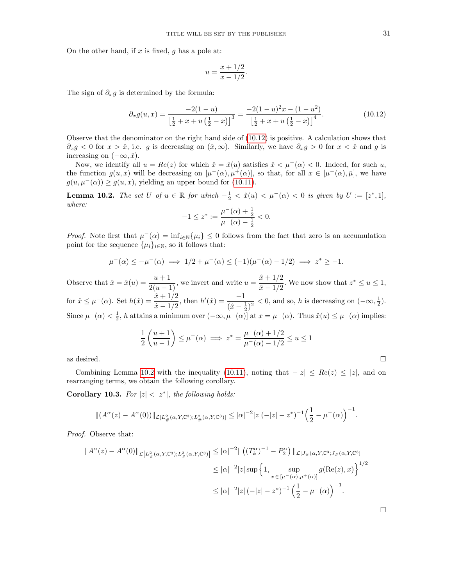On the other hand, if x is fixed, q has a pole at:

$$
u = \frac{x + 1/2}{x - 1/2}.
$$

The sign of  $\partial_x g$  is determined by the formula:

<span id="page-30-0"></span>
$$
\partial_x g(u, x) = \frac{-2(1 - u)}{\left[\frac{1}{2} + x + u\left(\frac{1}{2} - x\right)\right]^3} = \frac{-2(1 - u)^2 x - (1 - u^2)}{\left[\frac{1}{2} + x + u\left(\frac{1}{2} - x\right)\right]^4}.
$$
\n(10.12)

Observe that the denominator on the right hand side of [\(10.12\)](#page-30-0) is positive. A calculation shows that  $\partial_x g < 0$  for  $x > \hat{x}$ , i.e. g is decreasing on  $(\hat{x}, \infty)$ . Similarly, we have  $\partial_x g > 0$  for  $x < \hat{x}$  and g is increasing on  $(-\infty, \hat{x})$ .

Now, we identify all  $u = Re(z)$  for which  $\hat{x} = \hat{x}(u)$  satisfies  $\hat{x} < \mu^{-1}(\alpha) < 0$ . Indeed, for such u, the function  $g(u, x)$  will be decreasing on  $[\mu^-(\alpha), \mu^+(\alpha)]$ , so that, for all  $x \in [\mu^-(\alpha), \bar{\mu}]$ , we have  $g(u, \mu^-(\alpha)) \ge g(u, x)$ , yielding an upper bound for [\(10.11\)](#page-29-1).

<span id="page-30-1"></span>**Lemma 10.2.** The set U of  $u \in \mathbb{R}$  for which  $-\frac{1}{2} < \hat{x}(u) < \mu^{-}(\alpha) < 0$  is given by  $U := [z^*, 1]$ , where:

$$
-1 \le z^* := \frac{\mu^-(\alpha) + \frac{1}{2}}{\mu^-(\alpha) - \frac{1}{2}} < 0.
$$

*Proof.* Note first that  $\mu^{-}(\alpha) = \inf_{i \in \mathbb{N}} {\mu_i} \leq 0$  follows from the fact that zero is an accumulation point for the sequence  $\{\mu_i\}_{i\in\mathbb{N}}$ , so it follows that:

$$
\mu^{-}(\alpha) \le -\mu^{-}(\alpha) \implies 1/2 + \mu^{-}(\alpha) \le (-1)(\mu^{-}(\alpha) - 1/2) \implies z^* \ge -1.
$$

Observe that  $\hat{x} = \hat{x}(u) = \frac{u+1}{2(u-1)}$ , we invert and write  $u = \frac{\hat{x} + 1/2}{\hat{x} - 1/2}$  $\frac{x+1/2}{x-1/2}$ . We now show that  $z^* \le u \le 1$ , for  $\hat{x} \le \mu^-(\alpha)$ . Set  $h(\hat{x}) = \frac{\hat{x} + 1/2}{\hat{x} - 1/2}$ , then  $h'(\hat{x}) = \frac{-1}{(\hat{x} - \frac{1}{2})^2} < 0$ , and so, h is decreasing on  $(-\infty, \frac{1}{2})$ . Since  $\mu^-(\alpha) < \frac{1}{2}$ , h attains a minimum over  $(-\infty, \mu^-(\alpha)]$  at  $x = \mu^-(\alpha)$ . Thus  $\hat{x}(u) \leq \mu^-(\alpha)$  implies:

$$
\frac{1}{2} \left( \frac{u+1}{u-1} \right) \le \mu^{-}(\alpha) \implies z^* = \frac{\mu^{-}(\alpha) + 1/2}{\mu^{-}(\alpha) - 1/2} \le u \le 1
$$

as desired.  $\Box$ 

Combining Lemma [10.2](#page-30-1) with the inequality [\(10.11\)](#page-29-1), noting that  $-|z| \leq Re(z) \leq |z|$ , and on rearranging terms, we obtain the following corollary.

<span id="page-30-2"></span>Corollary 10.3. For  $|z| < |z^*|$ , the following holds:

$$
\|(A^{\alpha}(z) - A^{\alpha}(0))\|_{\mathcal{L}[L^2_{\#}(\alpha, Y, \mathbb{C}^3); L^2_{\#}(\alpha, Y, \mathbb{C}^3)]} \leq |\alpha|^{-2}|z|(-|z| - z^*)^{-1}\Big(\frac{1}{2} - \mu^-(\alpha)\Big)^{-1}.
$$

Proof. Observe that:

$$
\|A^{\alpha}(z) - A^{\alpha}(0)\|_{\mathcal{L}\left[L_{\#}^{2}(\alpha, Y, \mathbb{C}^{3}); L_{\#}^{2}(\alpha, Y, \mathbb{C}^{3})\right]} \leq |\alpha|^{-2} \| \left( (T_{k}^{\alpha})^{-1} - P_{2}^{\alpha} \right) \|_{\mathcal{L}\left[J_{\#}(\alpha, Y, \mathbb{C}^{3}; J_{\#}(\alpha, Y, \mathbb{C}^{3})\right]} \leq |\alpha|^{-2} |z| \sup \left\{ 1, \sup_{x \in [\mu^{-}(\alpha), \mu^{+}(\alpha)]} g(\text{Re}(z), x) \right\}^{1/2} \leq |\alpha|^{-2} |z| \left( -|z| - z^{*} \right)^{-1} \left( \frac{1}{2} - \mu^{-}(\alpha) \right)^{-1}.
$$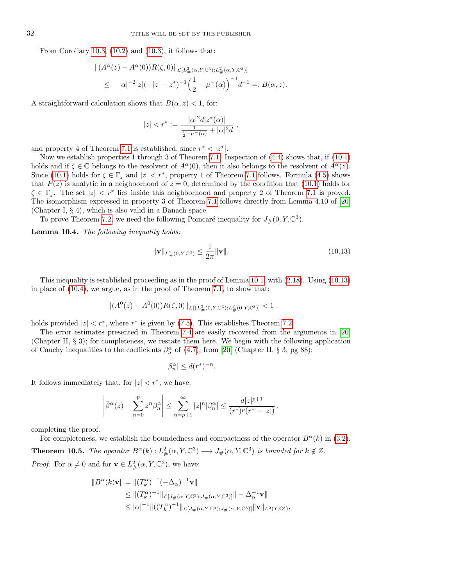From Corollary [10.3,](#page-30-2) [\(10.2\)](#page-27-3) and [\(10.3\)](#page-28-6), it follows that:

$$
|| (A^{\alpha}(z) - A^{\alpha}(0))R(\zeta, 0)||_{\mathcal{L}[L^2_{\#}(\alpha, Y, \mathbb{C}^3); L^2_{\#}(\alpha, Y, \mathbb{C}^3)]}
$$
  
 
$$
\leq | \alpha |^{-2} |z| (-|z| - z^*)^{-1} \Big( \frac{1}{2} - \mu^-(\alpha) \Big)^{-1} d^{-1} =: B(\alpha, z).
$$

A straightforward calculation shows that  $B(\alpha, z) < 1$ , for:

$$
|z| < r^* := \frac{|\alpha|^2 d |z^*(\alpha)|}{\frac{1}{\frac{1}{2} - \mu^-(\alpha)} + |\alpha|^2 d} ,
$$

and property 4 of Theorem [7.1](#page-22-0) is established, since  $r^* < |z^*|$ .

Now we establish properties 1 through 3 of Theorem [7.1.](#page-22-0) Inspection of [\(4.4\)](#page-17-1) shows that, if [\(10.1\)](#page-27-4) holds and if  $\zeta \in \mathbb{C}$  belongs to the resolvent of  $A^{\alpha}(0)$ , then it also belongs to the resolvent of  $A^{\alpha}(z)$ . Since [\(10.1\)](#page-27-4) holds for  $\zeta \in \Gamma_j$  and  $|z| < r^*$ , property 1 of Theorem [7.1](#page-22-0) follows. Formula [\(4.5\)](#page-17-2) shows that  $P(z)$  is analytic in a neighborhood of  $z = 0$ , determined by the condition that [\(10.1\)](#page-27-4) holds for  $\zeta \in \Gamma_j$ . The set  $|z| < r^*$  lies inside this neighborhood and property 2 of Theorem [7.1](#page-22-0) is proved. The isomorphism expressed in property 3 of Theorem [7.1](#page-22-0) follows directly from Lemma 4.10 of [\[20\]](#page-36-20) (Chapter I, § 4), which is also valid in a Banach space.

To prove Theorem [7.2,](#page-23-0) we need the following Poincaré inequality for  $J_{\#}(0, Y, \mathbb{C}^3)$ .

Lemma 10.4. The following inequality holds:

<span id="page-31-1"></span>
$$
\|\mathbf{v}\|_{L^2_{\#}(0,Y,\mathbb{C}^3)} \le \frac{1}{2\pi} \|\mathbf{v}\|.\tag{10.13}
$$

This inequality is established proceeding as in the proof of Lemma [10.1,](#page-28-5) with [\(2.18\)](#page-7-6). Using [\(10.13\)](#page-31-1) in place of [\(10.4\)](#page-28-5), we argue, as in the proof of Theorem [7.1,](#page-22-0) to show that:

$$
\|(A^0(z) - A^0(0))R(\zeta, 0)\|_{\mathcal{L}[(L^2_{\#}(0, Y, \mathbb{C}^3); L^2_{\#}(0, Y, \mathbb{C}^3)]} < 1
$$

holds provided  $|z| < r^*$ , where  $r^*$  is given by [\(7.5\)](#page-23-2). This establishes Theorem [7.2.](#page-23-0)

The error estimates presented in Theorem [7.4](#page-23-3) are easily recovered from the arguments in [\[20\]](#page-36-20) (Chapter II, § 3); for completeness, we restate them here. We begin with the following application of Cauchy inequalities to the coefficients  $\beta_n^{\alpha}$  of [\(4.7\)](#page-18-4), from [\[20\]](#page-36-20) (Chapter II, § 3, pg 88):

$$
|\beta_n^{\alpha}| \le d(r^*)^{-n}.
$$

It follows immediately that, for  $|z| < r^*$ , we have:

$$
\left|\hat{\beta}^{\alpha}(z) - \sum_{n=0}^p z^n \beta_n^{\alpha}\right| \leq \sum_{n=p+1}^{\infty} |z|^n |\beta_n^{\alpha}| \leq \frac{d|z|^{p+1}}{(r^*)^p(r^*-|z|)},
$$

completing the proof.

For completeness, we establish the boundedness and compactness of the operator  $B^{\alpha}(k)$  in [\(3.2\)](#page-15-5).

<span id="page-31-0"></span>**Theorem 10.5.** The operator  $B^{\alpha}(k) : L^2_{\#}(\alpha, Y, \mathbb{C}^3) \longrightarrow J_{\#}(\alpha, Y, \mathbb{C}^3)$  is bounded for  $k \notin \mathbb{Z}$ .

*Proof.* For  $\alpha \neq 0$  and for  $\mathbf{v} \in L^2_{\#}(\alpha, Y, \mathbb{C}^3)$ , we have:

$$
||B^{\alpha}(k)\mathbf{v}|| = ||(T_k^{\alpha})^{-1}(-\Delta_{\alpha})^{-1}\mathbf{v}||
$$
  
\n
$$
\leq ||(T_k^{\alpha})^{-1}||_{\mathcal{L}[J_{\#}(\alpha,Y,\mathbb{C}^3);J_{\#}(\alpha,Y,\mathbb{C}^3)]}|| - \Delta_{\alpha}^{-1}\mathbf{v}||
$$
  
\n
$$
\leq |\alpha|^{-1} ||((T_k^{\alpha})^{-1}||_{\mathcal{L}[J_{\#}(\alpha,Y,\mathbb{C}^3);J_{\#}(\alpha,Y,\mathbb{C}^3)]}||\mathbf{v}||_{L^2(Y,\mathbb{C}^3)},
$$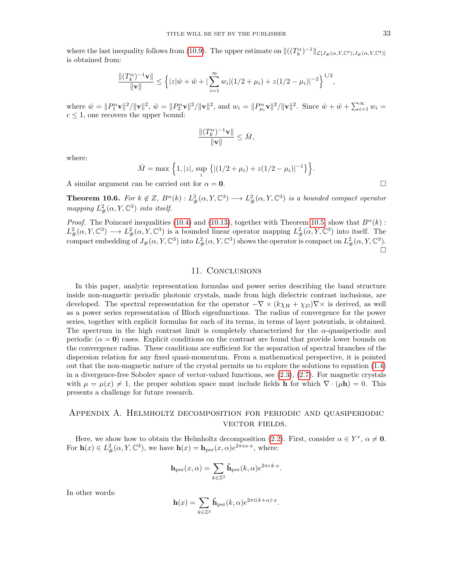where the last inequality follows from [\(10.9\)](#page-28-4). The upper estimate on  $\|((T_k^{\alpha})^{-1}\|_{\mathcal{L}[J_{\#}(\alpha,Y,\mathbb{C}^3);J_{\#}(\alpha,Y,\mathbb{C}^3)]})$ is obtained from:

$$
\frac{\|(T_k^{\alpha})^{-1}\mathbf{v}\|}{\|\mathbf{v}\|} \le \left\{|z|\hat{w} + \tilde{w} + |\sum_{i=1}^{\infty} w_i|(1/2 + \mu_i) + z(1/2 - \mu_i)|^{-2}\right\}^{1/2},
$$

where  $\hat{w} = ||P_1^{\alpha} \mathbf{v}||^2 / ||\mathbf{v}||^2$ ,  $\tilde{w} = ||P_2^{\alpha} \mathbf{v}||^2 / ||\mathbf{v}||^2$ , and  $w_i = ||P_{\mu_i}^{\alpha} \mathbf{v}||^2 / ||\mathbf{v}||^2$ . Since  $\hat{w} + \tilde{w} + \sum_{i=1}^{\infty} w_i =$  $c \leq 1$ , one recovers the upper bound:

$$
\frac{\|(T_k^{\alpha})^{-1}\mathbf{v}\|}{\|\mathbf{v}\|}\leq \bar{M},
$$

where:

$$
\bar{M} = \max \left\{ 1, |z|, \sup_{i} \left\{ |(1/2 + \mu_i) + z(1/2 - \mu_i)|^{-1} \right\} \right\}.
$$

A similar argument can be carried out for  $\alpha = 0$ .

<span id="page-32-1"></span>**Theorem 10.6.** For  $k \notin Z$ ,  $B^{\alpha}(k)$ :  $L^2_{\#}(\alpha, Y, \mathbb{C}^3) \longrightarrow L^2_{\#}(\alpha, Y, \mathbb{C}^3)$  is a bounded compact operator mapping  $L^2_{\#}(\alpha, Y, \mathbb{C}^3)$  into itself.

*Proof.* The Poincaré inequalities [\(10.4\)](#page-28-5) and [\(10.13\)](#page-31-1), together with Theorem [10.5,](#page-31-0) show that  $B^{\alpha}(k)$ :  $L^2_{\#}(\alpha, Y, \mathbb{C}^3) \longrightarrow L^2_{\#}(\alpha, Y, \mathbb{C}^3)$  is a bounded linear operator mapping  $L^2_{\#}(\alpha, Y, \mathbb{C}^3)$  into itself. The compact embedding of  $J_*(\alpha, Y, \mathbb{C}^3)$  into  $L^2_{\#}(\alpha, Y, \mathbb{C}^3)$  shows the operator is compact on  $L^2_{\#}(\alpha, Y, \mathbb{C}^3)$ . 'n

#### 11. Conclusions

In this paper, analytic representation formulas and power series describing the band structure inside non-magnetic periodic photonic crystals, made from high dielectric contrast inclusions, are developed. The spectral representation for the operator  $-\nabla \times (k\chi_H + \chi_D)\nabla \times$  is derived, as well as a power series representation of Bloch eigenfunctions. The radius of convergence for the power series, together with explicit formulas for each of its terms, in terms of layer potentials, is obtained. The spectrum in the high contrast limit is completely characterized for the  $\alpha$ -quasiperiodic and periodic ( $\alpha = 0$ ) cases. Explicit conditions on the contrast are found that provide lower bounds on the convergence radius. These conditions are sufficient for the separation of spectral branches of the dispersion relation for any fixed quasi-momentum. From a mathematical perspective, it is pointed out that the non-magnetic nature of the crystal permits us to explore the solutions to equation [\(1.4\)](#page-2-0) in a divergence-free Sobolev space of vector-valued functions, see [\(2.3\)](#page-4-4), [\(2.7\)](#page-4-3). For magnetic crystals with  $\mu = \mu(x) \neq 1$ , the proper solution space must include fields h for which  $\nabla \cdot (\mu \mathbf{h}) = 0$ . This presents a challenge for future research.

## <span id="page-32-0"></span>Appendix A. Helmholtz decomposition for periodic and quasiperiodic vector fields.

Here, we show how to obtain the Helmholtz decomposition [\(2.2\)](#page-4-1). First, consider  $\alpha \in Y^*$ ,  $\alpha \neq \mathbf{0}$ . For  $\mathbf{h}(x) \in L^2_{\#}(\alpha, Y, \mathbb{C}^3)$ , we have  $\mathbf{h}(x) = \mathbf{h}_{\mathrm{per}}(x, \alpha) e^{2\pi i \alpha \cdot x}$ , where:

$$
\mathbf{h}_{\mathrm{per}}(x,\alpha) = \sum_{k \in \mathbb{Z}^3} \hat{\mathbf{h}}_{\mathrm{per}}(k,\alpha) e^{2\pi i \, k \cdot x}.
$$

In other words:

$$
\mathbf{h}(x) = \sum_{k \in \mathbb{Z}^3} \hat{\mathbf{h}}_{\text{per}}(k, \alpha) e^{2\pi i (k + \alpha) \cdot x}.
$$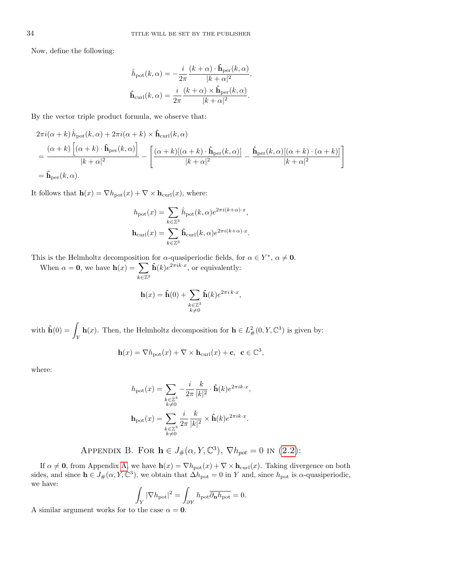Now, define the following:

$$
\begin{split} \label{eq:hath} \hat{h}_{\rm pot}(k,\alpha) &= -\frac{i}{2\pi}\frac{(k+\alpha)\cdot\hat{\mathbf{h}}_{\rm per}(k,\alpha)}{|k+\alpha|^2}, \\ \hat{\mathbf{h}}_{\rm curl}(k,\alpha) &= \frac{i}{2\pi}\frac{(k+\alpha)\times\hat{\mathbf{h}}_{\rm per}(k,\alpha)}{|k+\alpha|^2}. \end{split}
$$

By the vector triple product formula, we observe that:

$$
2\pi i(\alpha + k) \hat{h}_{\text{pot}}(k, \alpha) + 2\pi i(\alpha + k) \times \hat{\mathbf{h}}_{\text{curl}}(k, \alpha)
$$
  
= 
$$
\frac{(\alpha + k) [(\alpha + k) \cdot \hat{\mathbf{h}}_{\text{per}}(k, \alpha)]}{|k + \alpha|^2} - \left[ \frac{(\alpha + k) [(\alpha + k) \cdot \hat{\mathbf{h}}_{\text{per}}(k, \alpha)]}{|k + \alpha|^2} - \frac{\hat{\mathbf{h}}_{\text{per}}(k, \alpha) [(\alpha + k) \cdot (\alpha + k)]}{|k + \alpha|^2} \right]
$$
  
= 
$$
\hat{\mathbf{h}}_{\text{per}}(k, \alpha).
$$

It follows that  $h(x) = \nabla h_{pot}(x) + \nabla \times h_{curl}(x)$ , where:

$$
\begin{aligned} h_{\text{pot}}(x) &= \sum_{k \in \mathbb{Z}^3} \hat{h}_{\text{pot}}(k,\alpha) e^{2 \pi i (k+\alpha) \cdot x}, \\ \mathbf{h}_{\text{curl}}(x) &= \sum_{k \in \mathbb{Z}^3} \hat{\mathbf{h}}_{\text{curl}}(k,\alpha) e^{2 \pi i (k+\alpha) \cdot x}. \end{aligned}
$$

This is the Helmholtz decomposition for  $\alpha$ -quasiperiodic fields, for  $\alpha \in Y^*$ ,  $\alpha \neq \mathbf{0}$ .

When  $\alpha = 0$ , we have  $h(x) = \sum$  $k\in\mathbb{Z}^3$  $\hat{\mathbf{h}}(k)e^{2\pi i k \cdot x}$ , or equivalently:

$$
\mathbf{h}(x) = \hat{\mathbf{h}}(0) + \sum_{\substack{k \in \mathbb{Z}^3 \\ k \neq 0}} \hat{\mathbf{h}}(k) e^{2\pi i k \cdot x},
$$

with  $\mathbf{\hat{h}}(0) = \mathbf{I}$ Y **h**(*x*). Then, the Helmholtz decomposition for  $h \in L^2_{\#}(0, Y, \mathbb{C}^3)$  is given by:

$$
\mathbf{h}(x) = \nabla h_{\text{pot}}(x) + \nabla \times \mathbf{h}_{\text{curl}}(x) + \mathbf{c}, \ \ \mathbf{c} \in \mathbb{C}^3,
$$

where:

$$
\begin{aligned} h_{\text{pot}}(x) &= \sum_{\substack{k \in \mathbb{Z}^3 \\ k \neq 0}} -\frac{i}{2\pi} \frac{k}{|k|^2} \cdot \hat{\mathbf{h}}(k) e^{2\pi i k \cdot x}, \\ \mathbf{h}_{\text{pot}}(x) &= \sum_{\substack{k \in \mathbb{Z}^3 \\ k \neq 0}} \frac{i}{2\pi} \frac{k}{|k|^2} \times \hat{\mathbf{h}}(k) e^{2\pi i k \cdot x}. \end{aligned}
$$

APPENDIX B. FOR  $\mathbf{h} \in J_{\#}(\alpha, Y, \mathbb{C}^3)$ ,  $\nabla h_{pot} = 0$  in [\(2.2\)](#page-4-1):

<span id="page-33-0"></span>If  $\alpha \neq 0$ , from Appendix [A,](#page-32-0) we have  $h(x) = \nabla h_{\text{pot}}(x) + \nabla \times h_{\text{curl}}(x)$ . Taking divergence on both sides, and since  $h \in J_{\#}(\alpha, Y, \mathbb{C}^3)$ , we obtain that  $\Delta h_{pot} = 0$  in Y and, since  $h_{pot}$  is  $\alpha$ -quasiperiodic, we have:

$$
\int_{Y} |\nabla h_{\text{pot}}|^2 = \int_{\partial Y} h_{\text{pot}} \overline{\partial_{\mathbf{n}} h_{\text{pot}}} = 0.
$$

A similar argument works for to the case  $\alpha = 0$ .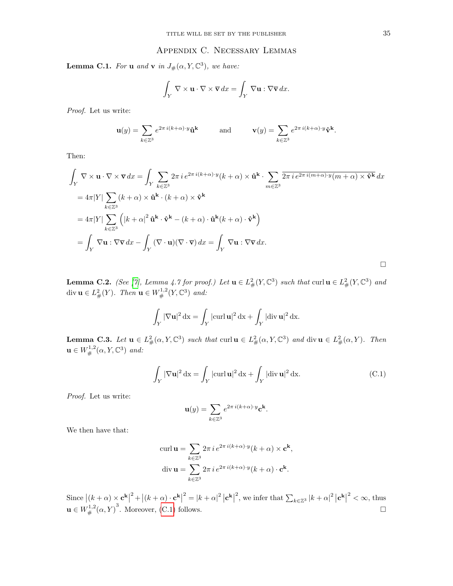# Appendix C. Necessary Lemmas

<span id="page-34-2"></span><span id="page-34-0"></span>**Lemma C.1.** For **u** and **v** in  $J_{\#}(\alpha, Y, \mathbb{C}^3)$ , we have:

$$
\int_Y \nabla \times \mathbf{u} \cdot \nabla \times \overline{\mathbf{v}} \, dx = \int_Y \nabla \mathbf{u} : \nabla \overline{\mathbf{v}} \, dx.
$$

Proof. Let us write:

$$
\mathbf{u}(y) = \sum_{k \in \mathbb{Z}^3} e^{2\pi i (k+\alpha) \cdot y} \hat{\mathbf{u}}^k \quad \text{and} \quad \mathbf{v}(y) = \sum_{k \in \mathbb{Z}^3} e^{2\pi i (k+\alpha) \cdot y} \hat{\mathbf{v}}^k.
$$

Then:

$$
\int_{Y} \nabla \times \mathbf{u} \cdot \nabla \times \nabla dx = \int_{Y} \sum_{k \in \mathbb{Z}^{3}} 2\pi i e^{2\pi i (k+\alpha) \cdot y} (k+\alpha) \times \hat{\mathbf{u}}^{k} \cdot \sum_{m \in \mathbb{Z}^{3}} \overline{2\pi i e^{2\pi i (m+\alpha) \cdot y} (m+\alpha) \times \hat{\mathbf{v}}^{k}} dx
$$
\n
$$
= 4\pi |Y| \sum_{k \in \mathbb{Z}^{3}} (k+\alpha) \times \hat{\mathbf{u}}^{k} \cdot (k+\alpha) \times \hat{\mathbf{v}}^{k}
$$
\n
$$
= 4\pi |Y| \sum_{k \in \mathbb{Z}^{3}} \left( |k+\alpha|^{2} \hat{\mathbf{u}}^{k} \cdot \hat{\mathbf{v}}^{k} - (k+\alpha) \cdot \hat{\mathbf{u}}^{k} (k+\alpha) \cdot \hat{\mathbf{v}}^{k} \right)
$$
\n
$$
= \int_{Y} \nabla \mathbf{u} : \nabla \overline{\mathbf{v}} dx - \int_{Y} (\nabla \cdot \mathbf{u}) (\nabla \cdot \overline{\mathbf{v}}) dx = \int_{Y} \nabla \mathbf{u} : \nabla \overline{\mathbf{v}} dx.
$$

**Lemma C.2.** (See [\[7\]](#page-35-2), Lemma 4.7 for proof.) Let  $\mathbf{u} \in L^2_{\#}(Y, \mathbb{C}^3)$  such that  $\text{curl } \mathbf{u} \in L^2_{\#}(Y, \mathbb{C}^3)$  and div  $\mathbf{u} \in L^2_{\#}(Y)$ . Then  $\mathbf{u} \in W^{1,2}_{\#}(Y, \mathbb{C}^3)$  and:

$$
\int_Y |\nabla \mathbf{u}|^2 \, \mathrm{d}\mathbf{x} = \int_Y |\mathrm{curl}\,\mathbf{u}|^2 \, \mathrm{d}\mathbf{x} + \int_Y |\mathrm{div}\,\mathbf{u}|^2 \, \mathrm{d}\mathbf{x}.
$$

**Lemma C.3.** Let  $\mathbf{u} \in L^2_{\#}(\alpha, Y, \mathbb{C}^3)$  such that curl  $\mathbf{u} \in L^2_{\#}(\alpha, Y, \mathbb{C}^3)$  and div  $\mathbf{u} \in L^2_{\#}(\alpha, Y)$ . Then  $\mathbf{u} \in W^{1,2}_\#(\alpha, Y, \mathbb{C}^3)$  and:

<span id="page-34-1"></span>
$$
\int_{Y} |\nabla \mathbf{u}|^2 \, \mathrm{d}\mathbf{x} = \int_{Y} |\mathrm{curl} \, \mathbf{u}|^2 \, \mathrm{d}\mathbf{x} + \int_{Y} |\mathrm{div} \, \mathbf{u}|^2 \, \mathrm{d}\mathbf{x}.\tag{C.1}
$$

Proof. Let us write:

$$
\mathbf{u}(y) = \sum_{k \in \mathbb{Z}^3} e^{2\pi i (k+\alpha) \cdot y} \mathbf{c}^{\mathbf{k}}.
$$

We then have that:

$$
\operatorname{curl} \mathbf{u} = \sum_{k \in \mathbb{Z}^3} 2\pi i e^{2\pi i (k+\alpha) \cdot y} (k+\alpha) \times \mathbf{c}^k,
$$
  
div 
$$
\mathbf{u} = \sum_{k \in \mathbb{Z}^3} 2\pi i e^{2\pi i (k+\alpha) \cdot y} (k+\alpha) \cdot \mathbf{c}^k.
$$

Since  $|(k+\alpha) \times \mathbf{c}^{\mathbf{k}}|$  $2 + |(k + \alpha) \cdot \mathbf{c}^{\mathbf{k}}|$  $2 = |k + \alpha|^2 |\mathbf{c}^{\mathbf{k}}|$ <sup>2</sup>, we infer that  $\sum_{k \in \mathbb{Z}^3} |k + \alpha|^2 |\mathbf{c}^{\mathbf{k}}|$  $2^2 < \infty$ , thus  $\mathbf{u} \in W^{1,2}_\#(\alpha, Y)$ <sup>3</sup>. Moreover, [\(C.1\)](#page-34-1) follows.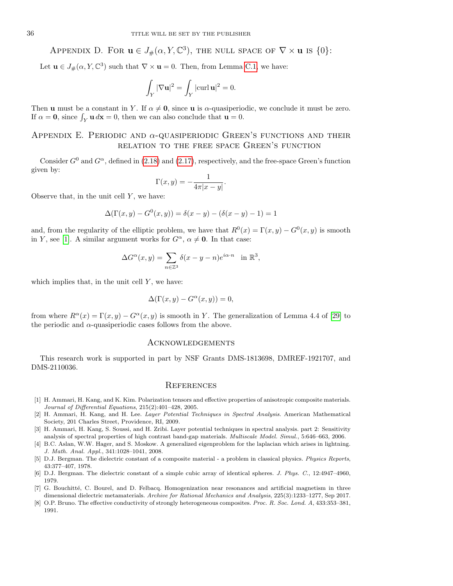# <span id="page-35-6"></span>APPENDIX D. FOR  $\mathbf{u} \in J_{\#}(\alpha, Y, \mathbb{C}^3)$ , the null space of  $\nabla \times \mathbf{u}$  is  $\{0\}$ :

Let  $\mathbf{u} \in J_{\#}(\alpha, Y, \mathbb{C}^3)$  such that  $\nabla \times \mathbf{u} = 0$ . Then, from Lemma [C.1,](#page-34-2) we have:

$$
\int_Y |\nabla \mathbf{u}|^2 = \int_Y |\text{curl } \mathbf{u}|^2 = 0.
$$

Then **u** must be a constant in Y. If  $\alpha \neq 0$ , since **u** is  $\alpha$ -quasiperiodic, we conclude it must be zero. If  $\alpha = 0$ , since  $\int_Y \mathbf{u} \, d\mathbf{x} = 0$ , then we can also conclude that  $\mathbf{u} = 0$ .

# <span id="page-35-7"></span>APPENDIX E. PERIODIC AND  $\alpha$ -QUASIPERIODIC GREEN'S FUNCTIONS AND THEIR relation to the free space Green's function

Consider  $G^0$  and  $G^{\alpha}$ , defined in [\(2.18\)](#page-7-6) and [\(2.17\)](#page-6-2), respectively, and the free-space Green's function given by:

$$
\Gamma(x,y) = -\frac{1}{4\pi|x-y|}.
$$

Observe that, in the unit cell  $Y$ , we have:

$$
\Delta(\Gamma(x, y) - G^{0}(x, y)) = \delta(x - y) - (\delta(x - y) - 1) = 1
$$

and, from the regularity of the elliptic problem, we have that  $R^0(x) = \Gamma(x, y) - G^0(x, y)$  is smooth in Y, see [\[1\]](#page-35-9). A similar argument works for  $G^{\alpha}$ ,  $\alpha \neq \mathbf{0}$ . In that case:

$$
\Delta G^{\alpha}(x, y) = \sum_{n \in \mathbb{Z}^3} \delta(x - y - n) e^{i \alpha \cdot n} \quad \text{in } \mathbb{R}^3,
$$

which implies that, in the unit cell  $Y$ , we have:

$$
\Delta(\Gamma(x, y) - G^{\alpha}(x, y)) = 0,
$$

from where  $R^{\alpha}(x) = \Gamma(x, y) - G^{\alpha}(x, y)$  is smooth in Y. The generalization of Lemma 4.4 of [\[29\]](#page-36-21) to the periodic and  $\alpha$ -quasiperiodic cases follows from the above.

#### Acknowledgements

This research work is supported in part by NSF Grants DMS-1813698, DMREF-1921707, and DMS-2110036.

#### **REFERENCES**

- <span id="page-35-9"></span>[1] H. Ammari, H. Kang, and K. Kim. Polarization tensors and effective properties of anisotropic composite materials. Journal of Differential Equations, 215(2):401–428, 2005.
- <span id="page-35-0"></span>[2] H. Ammari, H. Kang, and H. Lee. Layer Potential Techniques in Spectral Analysis. American Mathematical Society, 201 Charles Street, Providence, RI, 2009.
- <span id="page-35-1"></span>[3] H. Ammari, H. Kang, S. Soussi, and H. Zribi. Layer potential techniques in spectral analysis. part 2: Sensitivity analysis of spectral properties of high contrast band-gap materials. Multiscale Model. Simul., 5:646–663, 2006.
- <span id="page-35-5"></span>[4] B.C. Aslan, W.W. Hager, and S. Moskow. A generalized eigenproblem for the laplacian which arises in lightning. J. Math. Anal. Appl., 341:1028–1041, 2008.
- <span id="page-35-4"></span>[5] D.J. Bergman. The dielectric constant of a composite material - a problem in classical physics. Physics Reports, 43:377–407, 1978.
- <span id="page-35-3"></span>[6] D.J. Bergman. The dielectric constant of a simple cubic array of identical spheres. J. Phys. C., 12:4947–4960, 1979.
- <span id="page-35-2"></span>[7] G. Bouchitté, C. Bourel, and D. Felbacq. Homogenization near resonances and artificial magnetism in three dimensional dielectric metamaterials. Archive for Rational Mechanics and Analysis, 225(3):1233–1277, Sep 2017.
- <span id="page-35-8"></span>[8] O.P. Bruno. The effective conductivity of strongly heterogeneous composites. Proc. R. Soc. Lond. A, 433:353–381, 1991.